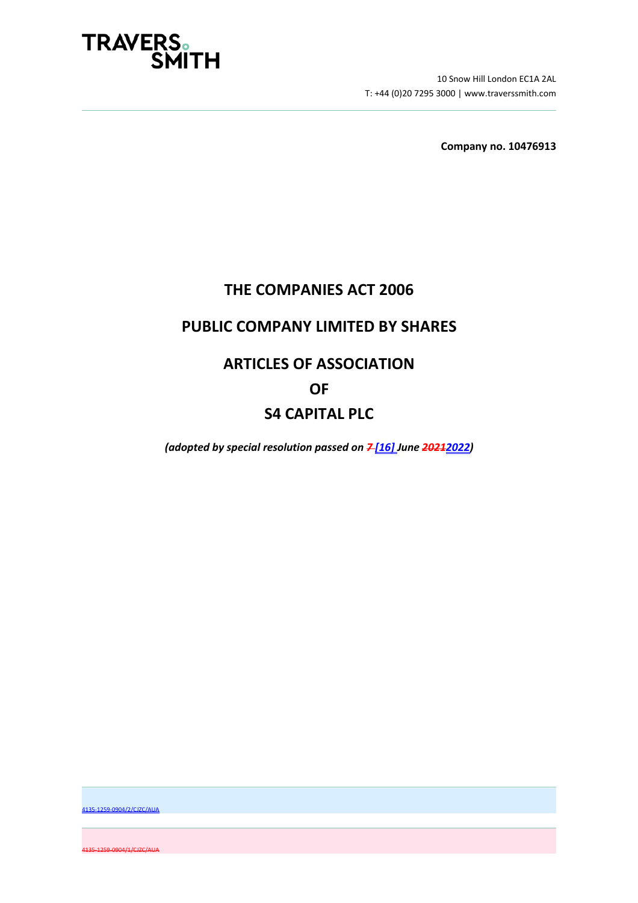

10 Snow Hill London EC1A 2AL T: +44 (0)20 7295 3000 | www.traverssmith.com

**Company no. 10476913** 

# **THE COMPANIES ACT 2006**

# **PUBLIC COMPANY LIMITED BY SHARES**

# **ARTICLES OF ASSOCIATION**

# **OF**

# **S4 CAPITAL PLC**

*(adopted by special resolution passed on 7 [16] June 20212022)* 

4135-1259-0904/2/CJZC/AUA

4135-1259-0904/1/CJZC/AUA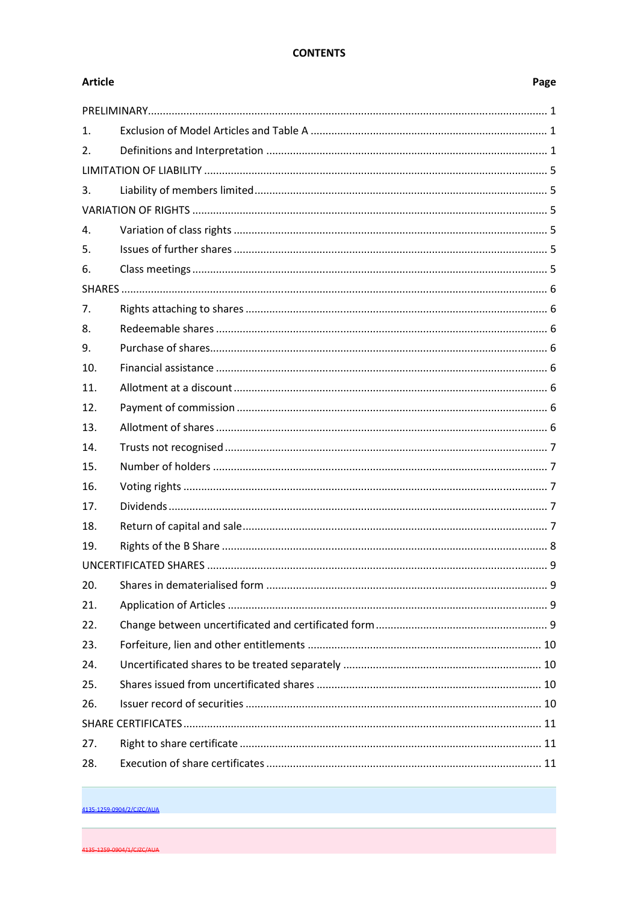## **CONTENTS**

| <b>Article</b> | Page |  |
|----------------|------|--|
|                |      |  |
| $\mathbf{1}$ . |      |  |
| 2.             |      |  |
|                |      |  |
| 3.             |      |  |
|                |      |  |
| $\mathbf{4}$ . |      |  |
| 5.             |      |  |
| 6.             |      |  |
|                |      |  |
| 7.             |      |  |
| 8.             |      |  |
| 9.             |      |  |
| 10.            |      |  |
| 11.            |      |  |
| 12.            |      |  |
| 13.            |      |  |
| 14.            |      |  |
| 15.            |      |  |
| 16.            |      |  |
| 17.            |      |  |
| 18.            |      |  |
| 19.            |      |  |
|                |      |  |
| 20.            |      |  |
| 21.            |      |  |
| 22.            |      |  |
| 23.            |      |  |
| 24.            |      |  |
| 25.            |      |  |
| 26.            |      |  |
|                |      |  |
| 27.            |      |  |
| 28.            |      |  |

4135-1259-0904/2/CJZC/AUA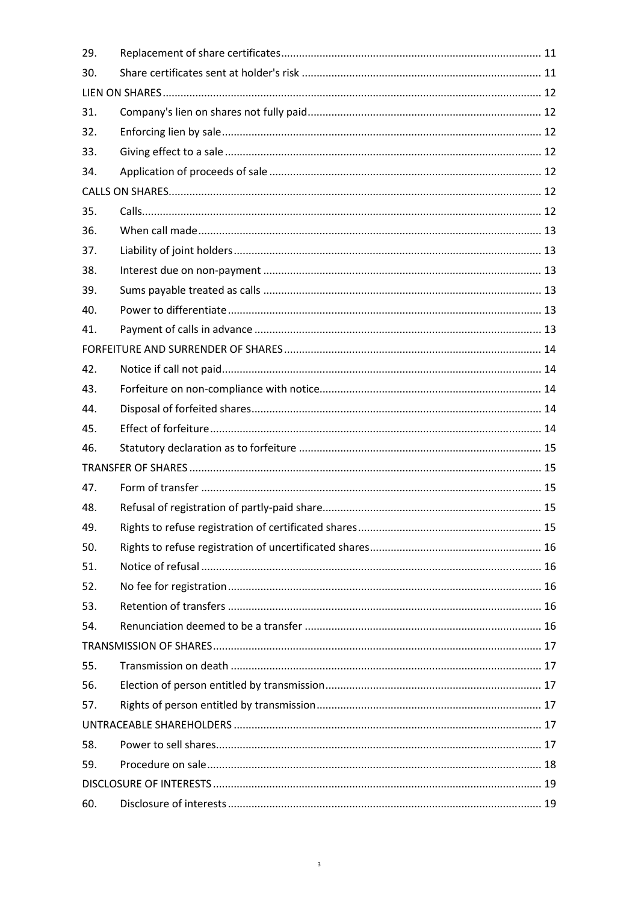| 29. |  |  |  |
|-----|--|--|--|
| 30. |  |  |  |
|     |  |  |  |
| 31. |  |  |  |
| 32. |  |  |  |
| 33. |  |  |  |
| 34. |  |  |  |
|     |  |  |  |
| 35. |  |  |  |
| 36. |  |  |  |
| 37. |  |  |  |
| 38. |  |  |  |
| 39. |  |  |  |
| 40. |  |  |  |
| 41. |  |  |  |
|     |  |  |  |
| 42. |  |  |  |
| 43. |  |  |  |
| 44. |  |  |  |
| 45. |  |  |  |
| 46. |  |  |  |
|     |  |  |  |
| 47. |  |  |  |
| 48. |  |  |  |
| 49. |  |  |  |
| 50. |  |  |  |
| 51. |  |  |  |
| 52. |  |  |  |
| 53. |  |  |  |
| 54. |  |  |  |
|     |  |  |  |
| 55. |  |  |  |
| 56. |  |  |  |
| 57. |  |  |  |
|     |  |  |  |
| 58. |  |  |  |
| 59. |  |  |  |
|     |  |  |  |
| 60. |  |  |  |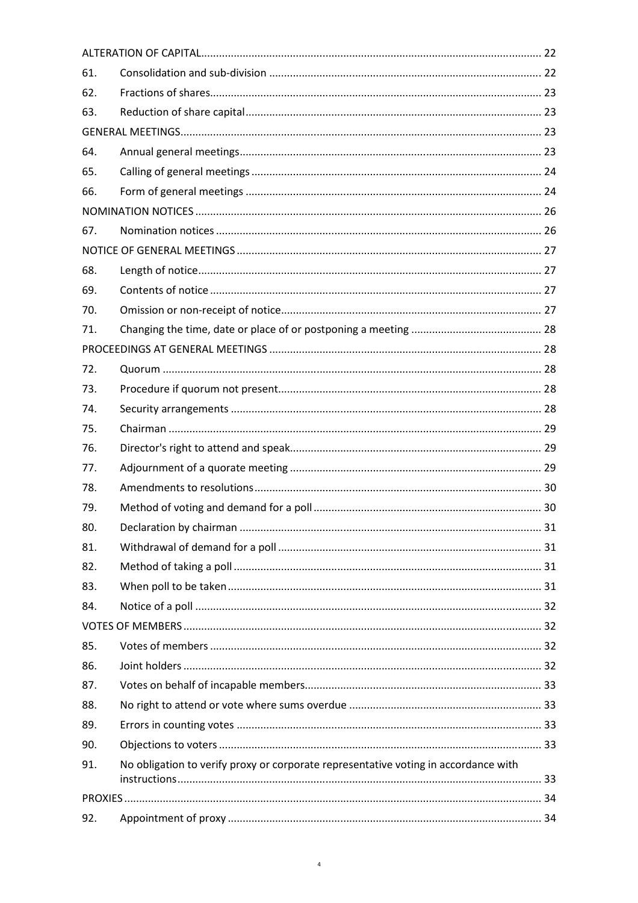| 61. |                                                                                     |  |  |
|-----|-------------------------------------------------------------------------------------|--|--|
| 62. |                                                                                     |  |  |
| 63. |                                                                                     |  |  |
|     |                                                                                     |  |  |
| 64. |                                                                                     |  |  |
| 65. |                                                                                     |  |  |
| 66. |                                                                                     |  |  |
|     |                                                                                     |  |  |
| 67. |                                                                                     |  |  |
|     |                                                                                     |  |  |
| 68. |                                                                                     |  |  |
| 69. |                                                                                     |  |  |
| 70. |                                                                                     |  |  |
| 71. |                                                                                     |  |  |
|     |                                                                                     |  |  |
| 72. |                                                                                     |  |  |
| 73. |                                                                                     |  |  |
| 74. |                                                                                     |  |  |
| 75. |                                                                                     |  |  |
| 76. |                                                                                     |  |  |
| 77. |                                                                                     |  |  |
| 78. |                                                                                     |  |  |
| 79. |                                                                                     |  |  |
| 80. |                                                                                     |  |  |
| 81. |                                                                                     |  |  |
| 82. |                                                                                     |  |  |
| 83. |                                                                                     |  |  |
| 84. |                                                                                     |  |  |
|     |                                                                                     |  |  |
| 85. |                                                                                     |  |  |
| 86. |                                                                                     |  |  |
| 87. |                                                                                     |  |  |
| 88. |                                                                                     |  |  |
| 89. |                                                                                     |  |  |
| 90. |                                                                                     |  |  |
| 91. | No obligation to verify proxy or corporate representative voting in accordance with |  |  |
|     |                                                                                     |  |  |
|     |                                                                                     |  |  |
| 92. |                                                                                     |  |  |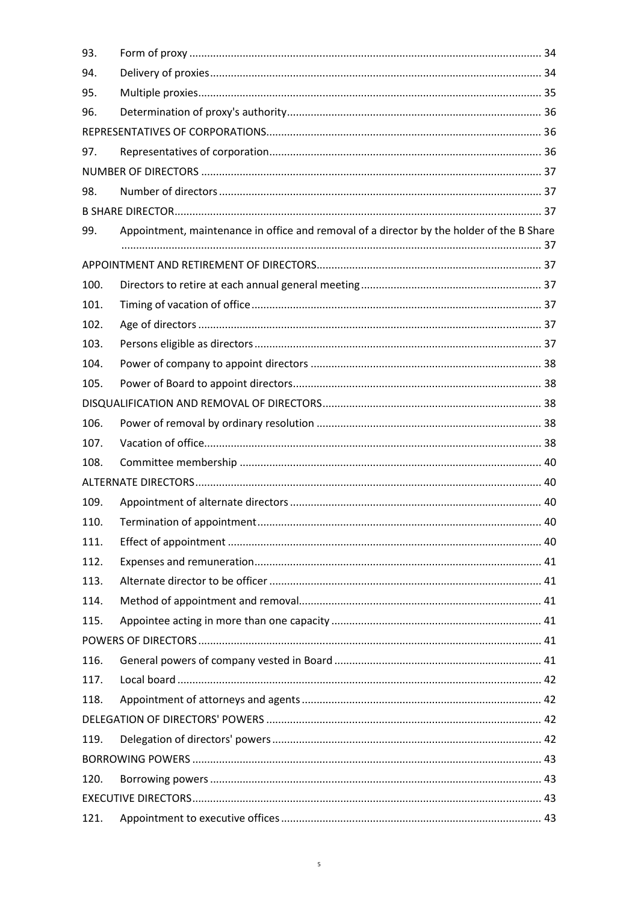| 93.  |                                                                                           |  |
|------|-------------------------------------------------------------------------------------------|--|
| 94.  |                                                                                           |  |
| 95.  |                                                                                           |  |
| 96.  |                                                                                           |  |
|      |                                                                                           |  |
| 97.  |                                                                                           |  |
|      |                                                                                           |  |
| 98.  |                                                                                           |  |
|      |                                                                                           |  |
| 99.  | Appointment, maintenance in office and removal of a director by the holder of the B Share |  |
|      |                                                                                           |  |
|      |                                                                                           |  |
| 100. |                                                                                           |  |
| 101. |                                                                                           |  |
| 102. |                                                                                           |  |
| 103. |                                                                                           |  |
| 104. |                                                                                           |  |
| 105. |                                                                                           |  |
|      |                                                                                           |  |
| 106. |                                                                                           |  |
| 107. |                                                                                           |  |
| 108. |                                                                                           |  |
|      |                                                                                           |  |
| 109. |                                                                                           |  |
| 110. |                                                                                           |  |
| 111. |                                                                                           |  |
| 112. |                                                                                           |  |
| 113. |                                                                                           |  |
| 114. |                                                                                           |  |
| 115. |                                                                                           |  |
|      |                                                                                           |  |
| 116. |                                                                                           |  |
| 117. |                                                                                           |  |
| 118. |                                                                                           |  |
|      |                                                                                           |  |
| 119. |                                                                                           |  |
|      |                                                                                           |  |
| 120. |                                                                                           |  |
|      |                                                                                           |  |
| 121. |                                                                                           |  |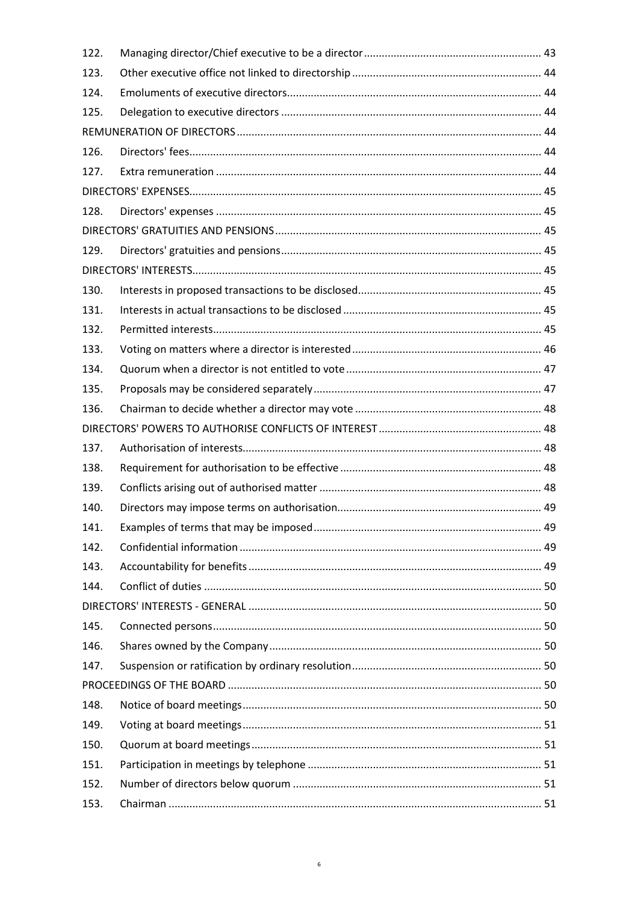| 122. |  |
|------|--|
| 123. |  |
| 124. |  |
| 125. |  |
|      |  |
| 126. |  |
| 127. |  |
|      |  |
| 128. |  |
|      |  |
| 129. |  |
|      |  |
| 130. |  |
| 131. |  |
| 132. |  |
| 133. |  |
| 134. |  |
| 135. |  |
| 136. |  |
|      |  |
| 137. |  |
| 138. |  |
| 139. |  |
| 140. |  |
| 141. |  |
| 142. |  |
| 143. |  |
| 144. |  |
|      |  |
| 145. |  |
| 146. |  |
| 147. |  |
|      |  |
| 148. |  |
| 149. |  |
| 150. |  |
| 151. |  |
| 152. |  |
| 153. |  |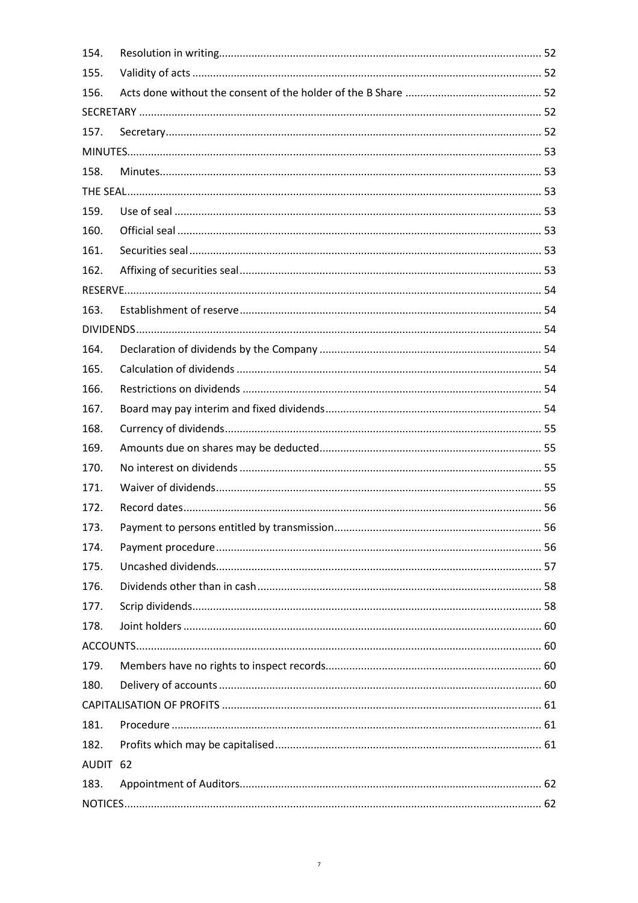| 154.     |  |  |
|----------|--|--|
| 155.     |  |  |
| 156.     |  |  |
|          |  |  |
| 157.     |  |  |
|          |  |  |
| 158.     |  |  |
|          |  |  |
| 159.     |  |  |
| 160.     |  |  |
| 161.     |  |  |
| 162.     |  |  |
|          |  |  |
| 163.     |  |  |
|          |  |  |
| 164.     |  |  |
| 165.     |  |  |
| 166.     |  |  |
| 167.     |  |  |
| 168.     |  |  |
| 169.     |  |  |
| 170.     |  |  |
| 171.     |  |  |
| 172.     |  |  |
| 173.     |  |  |
| 174.     |  |  |
| 175.     |  |  |
| 176.     |  |  |
| 177.     |  |  |
| 178.     |  |  |
|          |  |  |
| 179.     |  |  |
| 180.     |  |  |
|          |  |  |
| 181.     |  |  |
| 182.     |  |  |
| AUDIT 62 |  |  |
| 183.     |  |  |
|          |  |  |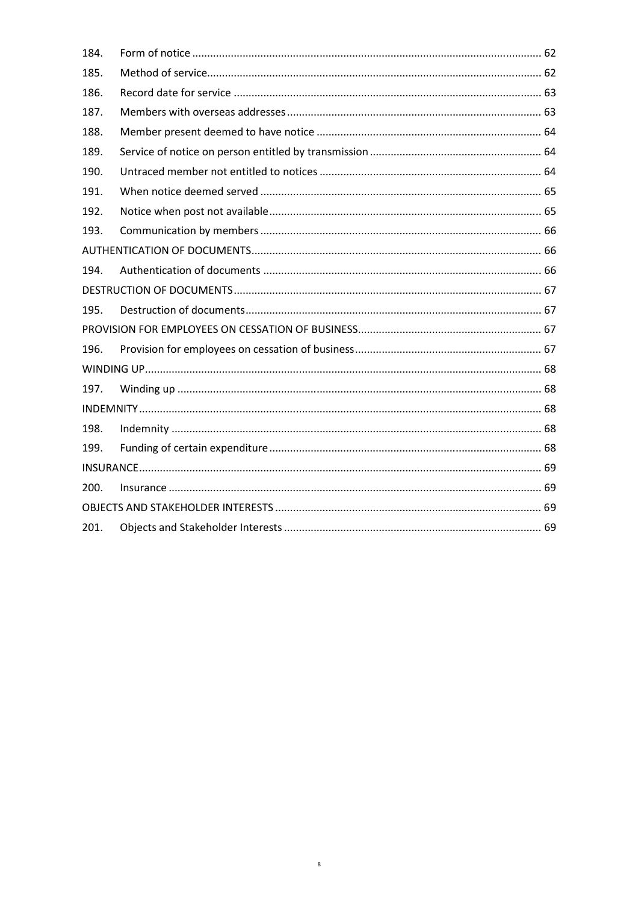| 184. |  |  |
|------|--|--|
| 185. |  |  |
| 186. |  |  |
| 187. |  |  |
| 188. |  |  |
| 189. |  |  |
| 190. |  |  |
| 191. |  |  |
| 192. |  |  |
| 193. |  |  |
|      |  |  |
| 194. |  |  |
|      |  |  |
| 195. |  |  |
|      |  |  |
| 196. |  |  |
|      |  |  |
| 197. |  |  |
|      |  |  |
| 198. |  |  |
| 199. |  |  |
|      |  |  |
| 200. |  |  |
|      |  |  |
| 201. |  |  |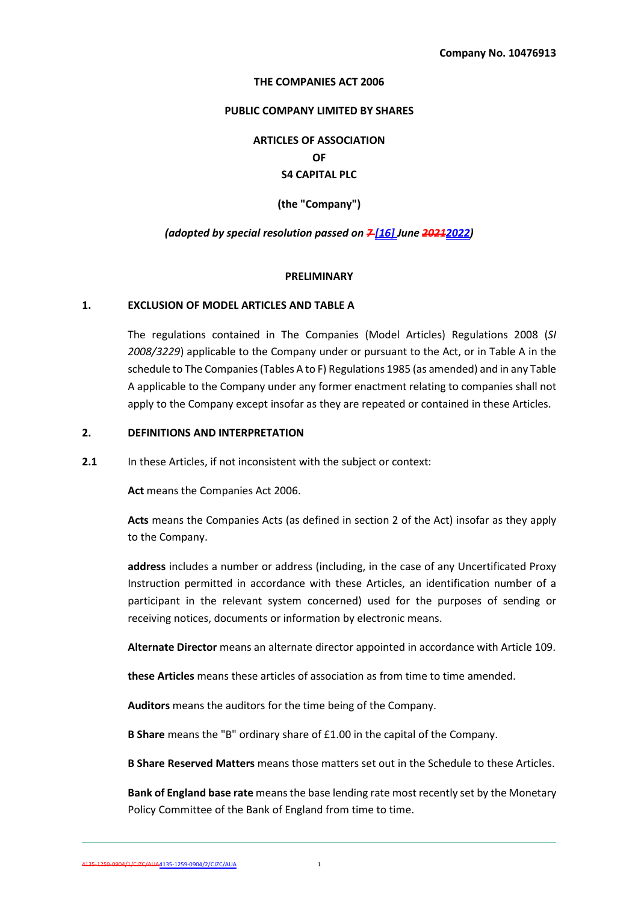#### **THE COMPANIES ACT 2006**

#### **PUBLIC COMPANY LIMITED BY SHARES**

**ARTICLES OF ASSOCIATION OF S4 CAPITAL PLC** 

**(the "Company")** 

### *(adopted by special resolution passed on 7 [16] June 20212022)*

#### **PRELIMINARY**

#### **1. EXCLUSION OF MODEL ARTICLES AND TABLE A**

The regulations contained in The Companies (Model Articles) Regulations 2008 (*SI 2008/3229*) applicable to the Company under or pursuant to the Act, or in Table A in the schedule to The Companies (Tables A to F) Regulations 1985 (as amended) and in any Table A applicable to the Company under any former enactment relating to companies shall not apply to the Company except insofar as they are repeated or contained in these Articles.

### **2. DEFINITIONS AND INTERPRETATION**

**2.1** In these Articles, if not inconsistent with the subject or context:

**Act** means the Companies Act 2006.

**Acts** means the Companies Acts (as defined in section 2 of the Act) insofar as they apply to the Company.

**address** includes a number or address (including, in the case of any Uncertificated Proxy Instruction permitted in accordance with these Articles, an identification number of a participant in the relevant system concerned) used for the purposes of sending or receiving notices, documents or information by electronic means.

**Alternate Director** means an alternate director appointed in accordance with Article 109.

**these Articles** means these articles of association as from time to time amended.

**Auditors** means the auditors for the time being of the Company.

**B Share** means the "B" ordinary share of £1.00 in the capital of the Company.

**B Share Reserved Matters** means those matters set out in the Schedule to these Articles.

**Bank of England base rate** means the base lending rate most recently set by the Monetary Policy Committee of the Bank of England from time to time.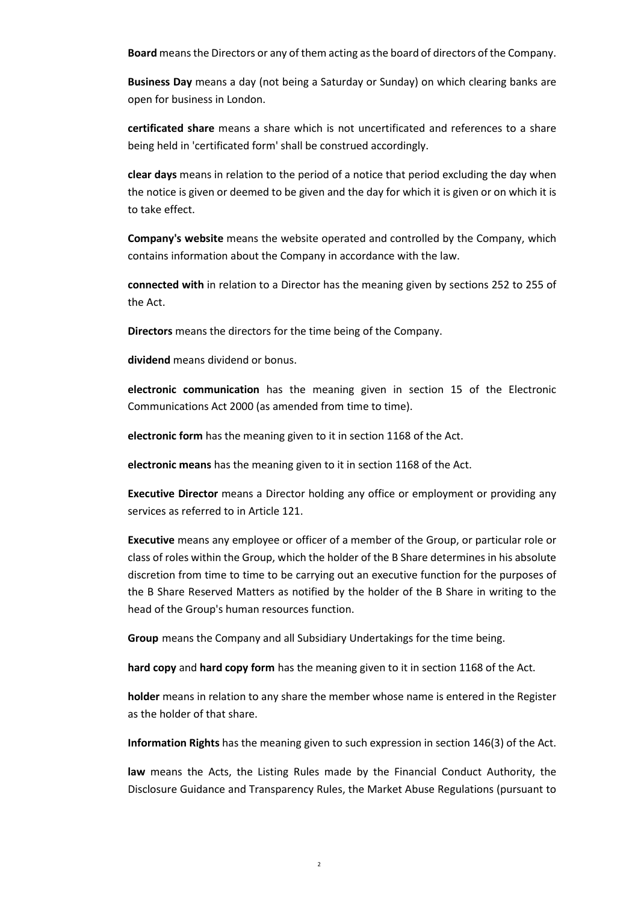**Board** means the Directors or any of them acting as the board of directors of the Company.

**Business Day** means a day (not being a Saturday or Sunday) on which clearing banks are open for business in London.

**certificated share** means a share which is not uncertificated and references to a share being held in 'certificated form' shall be construed accordingly.

**clear days** means in relation to the period of a notice that period excluding the day when the notice is given or deemed to be given and the day for which it is given or on which it is to take effect.

**Company's website** means the website operated and controlled by the Company, which contains information about the Company in accordance with the law.

**connected with** in relation to a Director has the meaning given by sections 252 to 255 of the Act.

**Directors** means the directors for the time being of the Company.

**dividend** means dividend or bonus.

**electronic communication** has the meaning given in section 15 of the Electronic Communications Act 2000 (as amended from time to time).

**electronic form** has the meaning given to it in section 1168 of the Act.

**electronic means** has the meaning given to it in section 1168 of the Act.

**Executive Director** means a Director holding any office or employment or providing any services as referred to in Article 121.

**Executive** means any employee or officer of a member of the Group, or particular role or class of roles within the Group, which the holder of the B Share determines in his absolute discretion from time to time to be carrying out an executive function for the purposes of the B Share Reserved Matters as notified by the holder of the B Share in writing to the head of the Group's human resources function.

**Group** means the Company and all Subsidiary Undertakings for the time being.

**hard copy** and **hard copy form** has the meaning given to it in section 1168 of the Act.

**holder** means in relation to any share the member whose name is entered in the Register as the holder of that share.

**Information Rights** has the meaning given to such expression in section 146(3) of the Act.

**law** means the Acts, the Listing Rules made by the Financial Conduct Authority, the Disclosure Guidance and Transparency Rules, the Market Abuse Regulations (pursuant to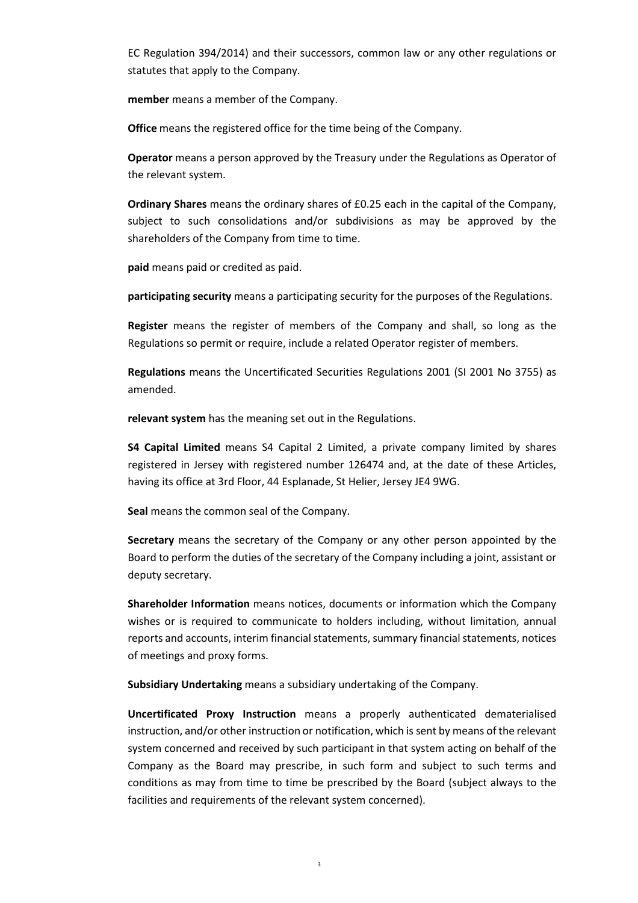EC Regulation 394/2014) and their successors, common law or any other regulations or statutes that apply to the Company.

**member** means a member of the Company.

**Office** means the registered office for the time being of the Company.

**Operator** means a person approved by the Treasury under the Regulations as Operator of the relevant system.

**Ordinary Shares** means the ordinary shares of £0.25 each in the capital of the Company, subject to such consolidations and/or subdivisions as may be approved by the shareholders of the Company from time to time.

**paid** means paid or credited as paid.

**participating security** means a participating security for the purposes of the Regulations.

**Register** means the register of members of the Company and shall, so long as the Regulations so permit or require, include a related Operator register of members.

**Regulations** means the Uncertificated Securities Regulations 2001 (SI 2001 No 3755) as amended.

**relevant system** has the meaning set out in the Regulations.

**S4 Capital Limited** means S4 Capital 2 Limited, a private company limited by shares registered in Jersey with registered number 126474 and, at the date of these Articles, having its office at 3rd Floor, 44 Esplanade, St Helier, Jersey JE4 9WG.

**Seal** means the common seal of the Company.

**Secretary** means the secretary of the Company or any other person appointed by the Board to perform the duties of the secretary of the Company including a joint, assistant or deputy secretary.

**Shareholder Information** means notices, documents or information which the Company wishes or is required to communicate to holders including, without limitation, annual reports and accounts, interim financial statements, summary financial statements, notices of meetings and proxy forms.

**Subsidiary Undertaking** means a subsidiary undertaking of the Company.

**Uncertificated Proxy Instruction** means a properly authenticated dematerialised instruction, and/or other instruction or notification, which is sent by means of the relevant system concerned and received by such participant in that system acting on behalf of the Company as the Board may prescribe, in such form and subject to such terms and conditions as may from time to time be prescribed by the Board (subject always to the facilities and requirements of the relevant system concerned).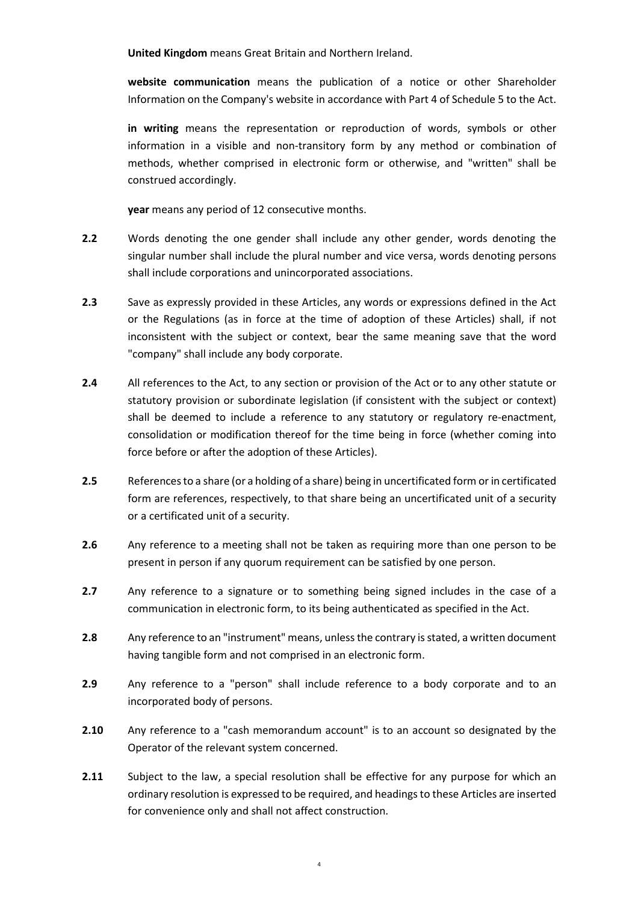**United Kingdom** means Great Britain and Northern Ireland.

**website communication** means the publication of a notice or other Shareholder Information on the Company's website in accordance with Part 4 of Schedule 5 to the Act.

**in writing** means the representation or reproduction of words, symbols or other information in a visible and non-transitory form by any method or combination of methods, whether comprised in electronic form or otherwise, and "written" shall be construed accordingly.

**year** means any period of 12 consecutive months.

- **2.2** Words denoting the one gender shall include any other gender, words denoting the singular number shall include the plural number and vice versa, words denoting persons shall include corporations and unincorporated associations.
- **2.3** Save as expressly provided in these Articles, any words or expressions defined in the Act or the Regulations (as in force at the time of adoption of these Articles) shall, if not inconsistent with the subject or context, bear the same meaning save that the word "company" shall include any body corporate.
- **2.4** All references to the Act, to any section or provision of the Act or to any other statute or statutory provision or subordinate legislation (if consistent with the subject or context) shall be deemed to include a reference to any statutory or regulatory re-enactment, consolidation or modification thereof for the time being in force (whether coming into force before or after the adoption of these Articles).
- **2.5** References to a share (or a holding of a share) being in uncertificated form or in certificated form are references, respectively, to that share being an uncertificated unit of a security or a certificated unit of a security.
- **2.6** Any reference to a meeting shall not be taken as requiring more than one person to be present in person if any quorum requirement can be satisfied by one person.
- **2.7** Any reference to a signature or to something being signed includes in the case of a communication in electronic form, to its being authenticated as specified in the Act.
- **2.8** Any reference to an "instrument" means, unless the contrary is stated, a written document having tangible form and not comprised in an electronic form.
- **2.9** Any reference to a "person" shall include reference to a body corporate and to an incorporated body of persons.
- **2.10** Any reference to a "cash memorandum account" is to an account so designated by the Operator of the relevant system concerned.
- **2.11** Subject to the law, a special resolution shall be effective for any purpose for which an ordinary resolution is expressed to be required, and headings to these Articles are inserted for convenience only and shall not affect construction.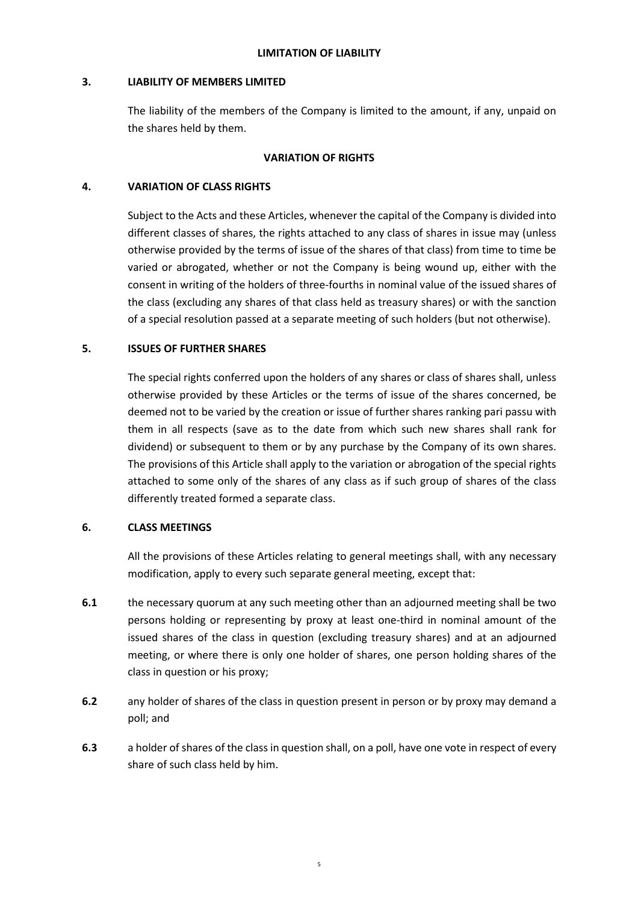## **3. LIABILITY OF MEMBERS LIMITED**

The liability of the members of the Company is limited to the amount, if any, unpaid on the shares held by them.

## **VARIATION OF RIGHTS**

## **4. VARIATION OF CLASS RIGHTS**

Subject to the Acts and these Articles, whenever the capital of the Company is divided into different classes of shares, the rights attached to any class of shares in issue may (unless otherwise provided by the terms of issue of the shares of that class) from time to time be varied or abrogated, whether or not the Company is being wound up, either with the consent in writing of the holders of three-fourths in nominal value of the issued shares of the class (excluding any shares of that class held as treasury shares) or with the sanction of a special resolution passed at a separate meeting of such holders (but not otherwise).

# **5. ISSUES OF FURTHER SHARES**

The special rights conferred upon the holders of any shares or class of shares shall, unless otherwise provided by these Articles or the terms of issue of the shares concerned, be deemed not to be varied by the creation or issue of further shares ranking pari passu with them in all respects (save as to the date from which such new shares shall rank for dividend) or subsequent to them or by any purchase by the Company of its own shares. The provisions of this Article shall apply to the variation or abrogation of the special rights attached to some only of the shares of any class as if such group of shares of the class differently treated formed a separate class.

## **6. CLASS MEETINGS**

All the provisions of these Articles relating to general meetings shall, with any necessary modification, apply to every such separate general meeting, except that:

- **6.1** the necessary quorum at any such meeting other than an adjourned meeting shall be two persons holding or representing by proxy at least one-third in nominal amount of the issued shares of the class in question (excluding treasury shares) and at an adjourned meeting, or where there is only one holder of shares, one person holding shares of the class in question or his proxy;
- **6.2** any holder of shares of the class in question present in person or by proxy may demand a poll; and
- **6.3** a holder of shares of the class in question shall, on a poll, have one vote in respect of every share of such class held by him.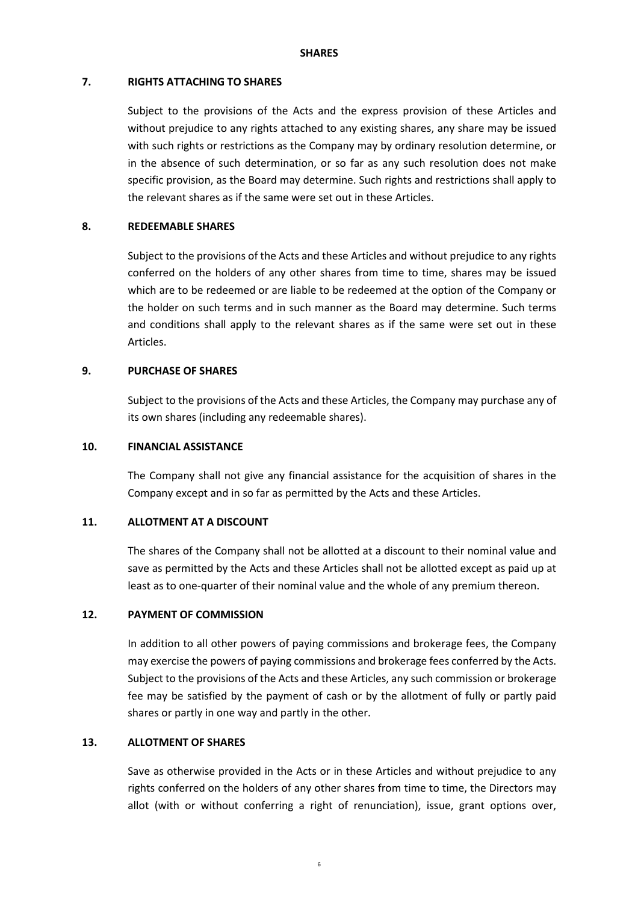#### **SHARES**

#### **7. RIGHTS ATTACHING TO SHARES**

Subject to the provisions of the Acts and the express provision of these Articles and without prejudice to any rights attached to any existing shares, any share may be issued with such rights or restrictions as the Company may by ordinary resolution determine, or in the absence of such determination, or so far as any such resolution does not make specific provision, as the Board may determine. Such rights and restrictions shall apply to the relevant shares as if the same were set out in these Articles.

#### **8. REDEEMABLE SHARES**

Subject to the provisions of the Acts and these Articles and without prejudice to any rights conferred on the holders of any other shares from time to time, shares may be issued which are to be redeemed or are liable to be redeemed at the option of the Company or the holder on such terms and in such manner as the Board may determine. Such terms and conditions shall apply to the relevant shares as if the same were set out in these Articles.

## **9. PURCHASE OF SHARES**

Subject to the provisions of the Acts and these Articles, the Company may purchase any of its own shares (including any redeemable shares).

## **10. FINANCIAL ASSISTANCE**

The Company shall not give any financial assistance for the acquisition of shares in the Company except and in so far as permitted by the Acts and these Articles.

### **11. ALLOTMENT AT A DISCOUNT**

The shares of the Company shall not be allotted at a discount to their nominal value and save as permitted by the Acts and these Articles shall not be allotted except as paid up at least as to one-quarter of their nominal value and the whole of any premium thereon.

#### **12. PAYMENT OF COMMISSION**

In addition to all other powers of paying commissions and brokerage fees, the Company may exercise the powers of paying commissions and brokerage fees conferred by the Acts. Subject to the provisions of the Acts and these Articles, any such commission or brokerage fee may be satisfied by the payment of cash or by the allotment of fully or partly paid shares or partly in one way and partly in the other.

#### **13. ALLOTMENT OF SHARES**

Save as otherwise provided in the Acts or in these Articles and without prejudice to any rights conferred on the holders of any other shares from time to time, the Directors may allot (with or without conferring a right of renunciation), issue, grant options over,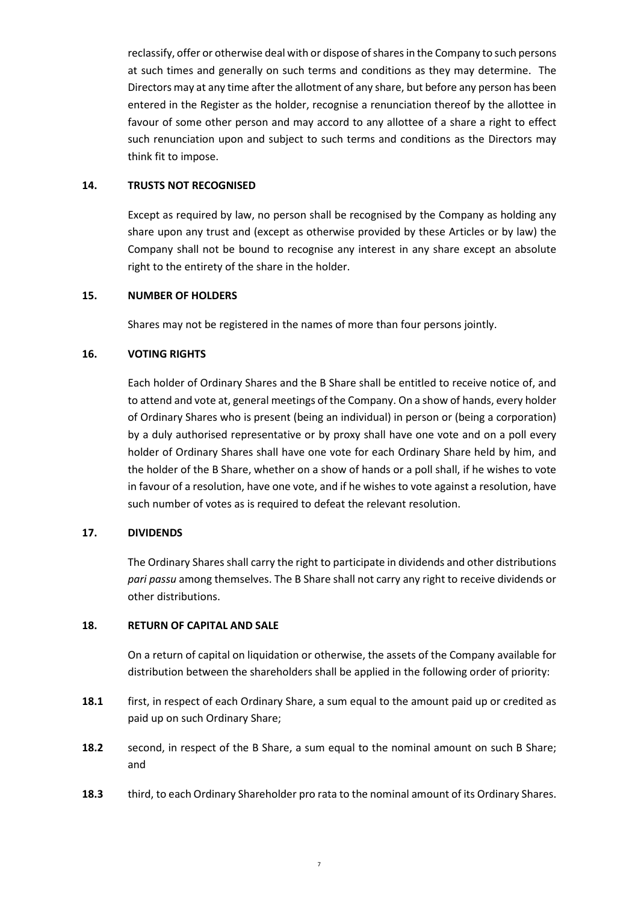reclassify, offer or otherwise deal with or dispose of shares in the Company to such persons at such times and generally on such terms and conditions as they may determine. The Directors may at any time after the allotment of any share, but before any person has been entered in the Register as the holder, recognise a renunciation thereof by the allottee in favour of some other person and may accord to any allottee of a share a right to effect such renunciation upon and subject to such terms and conditions as the Directors may think fit to impose.

## **14. TRUSTS NOT RECOGNISED**

Except as required by law, no person shall be recognised by the Company as holding any share upon any trust and (except as otherwise provided by these Articles or by law) the Company shall not be bound to recognise any interest in any share except an absolute right to the entirety of the share in the holder.

### **15. NUMBER OF HOLDERS**

Shares may not be registered in the names of more than four persons jointly.

## **16. VOTING RIGHTS**

Each holder of Ordinary Shares and the B Share shall be entitled to receive notice of, and to attend and vote at, general meetings of the Company. On a show of hands, every holder of Ordinary Shares who is present (being an individual) in person or (being a corporation) by a duly authorised representative or by proxy shall have one vote and on a poll every holder of Ordinary Shares shall have one vote for each Ordinary Share held by him, and the holder of the B Share, whether on a show of hands or a poll shall, if he wishes to vote in favour of a resolution, have one vote, and if he wishes to vote against a resolution, have such number of votes as is required to defeat the relevant resolution.

## **17. DIVIDENDS**

The Ordinary Shares shall carry the right to participate in dividends and other distributions *pari passu* among themselves. The B Share shall not carry any right to receive dividends or other distributions.

#### **18. RETURN OF CAPITAL AND SALE**

On a return of capital on liquidation or otherwise, the assets of the Company available for distribution between the shareholders shall be applied in the following order of priority:

- **18.1** first, in respect of each Ordinary Share, a sum equal to the amount paid up or credited as paid up on such Ordinary Share;
- **18.2** second, in respect of the B Share, a sum equal to the nominal amount on such B Share; and
- **18.3** third, to each Ordinary Shareholder pro rata to the nominal amount of its Ordinary Shares.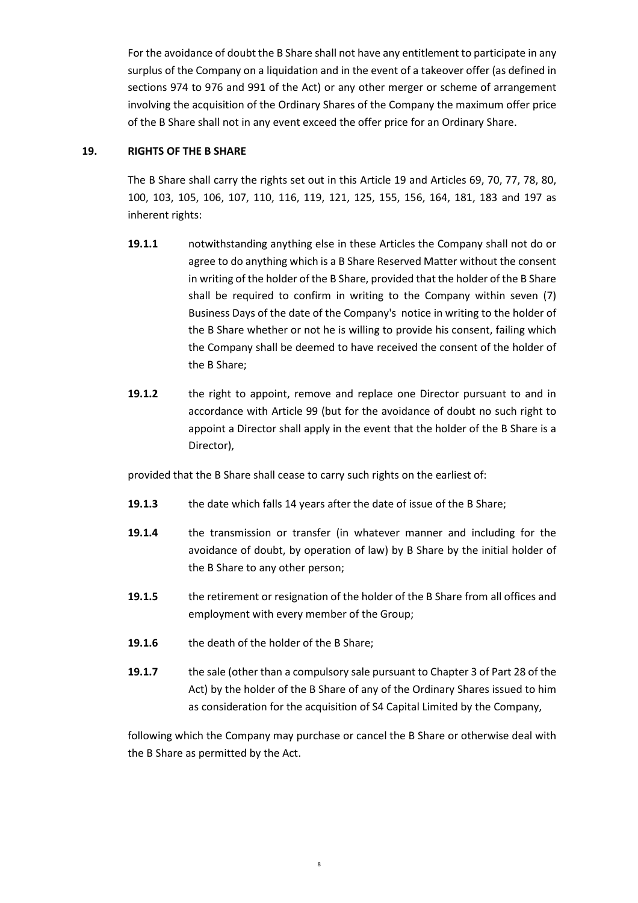For the avoidance of doubt the B Share shall not have any entitlement to participate in any surplus of the Company on a liquidation and in the event of a takeover offer (as defined in sections 974 to 976 and 991 of the Act) or any other merger or scheme of arrangement involving the acquisition of the Ordinary Shares of the Company the maximum offer price of the B Share shall not in any event exceed the offer price for an Ordinary Share.

# **19. RIGHTS OF THE B SHARE**

The B Share shall carry the rights set out in this Article 19 and Articles 69, 70, 77, 78, 80, 100, 103, 105, 106, 107, 110, 116, 119, 121, 125, 155, 156, 164, 181, 183 and 197 as inherent rights:

- **19.1.1** notwithstanding anything else in these Articles the Company shall not do or agree to do anything which is a B Share Reserved Matter without the consent in writing of the holder of the B Share, provided that the holder of the B Share shall be required to confirm in writing to the Company within seven (7) Business Days of the date of the Company's notice in writing to the holder of the B Share whether or not he is willing to provide his consent, failing which the Company shall be deemed to have received the consent of the holder of the B Share;
- **19.1.2** the right to appoint, remove and replace one Director pursuant to and in accordance with Article 99 (but for the avoidance of doubt no such right to appoint a Director shall apply in the event that the holder of the B Share is a Director),

provided that the B Share shall cease to carry such rights on the earliest of:

- **19.1.3** the date which falls 14 years after the date of issue of the B Share;
- **19.1.4** the transmission or transfer (in whatever manner and including for the avoidance of doubt, by operation of law) by B Share by the initial holder of the B Share to any other person;
- **19.1.5** the retirement or resignation of the holder of the B Share from all offices and employment with every member of the Group;
- **19.1.6** the death of the holder of the B Share;
- **19.1.7** the sale (other than a compulsory sale pursuant to Chapter 3 of Part 28 of the Act) by the holder of the B Share of any of the Ordinary Shares issued to him as consideration for the acquisition of S4 Capital Limited by the Company,

following which the Company may purchase or cancel the B Share or otherwise deal with the B Share as permitted by the Act.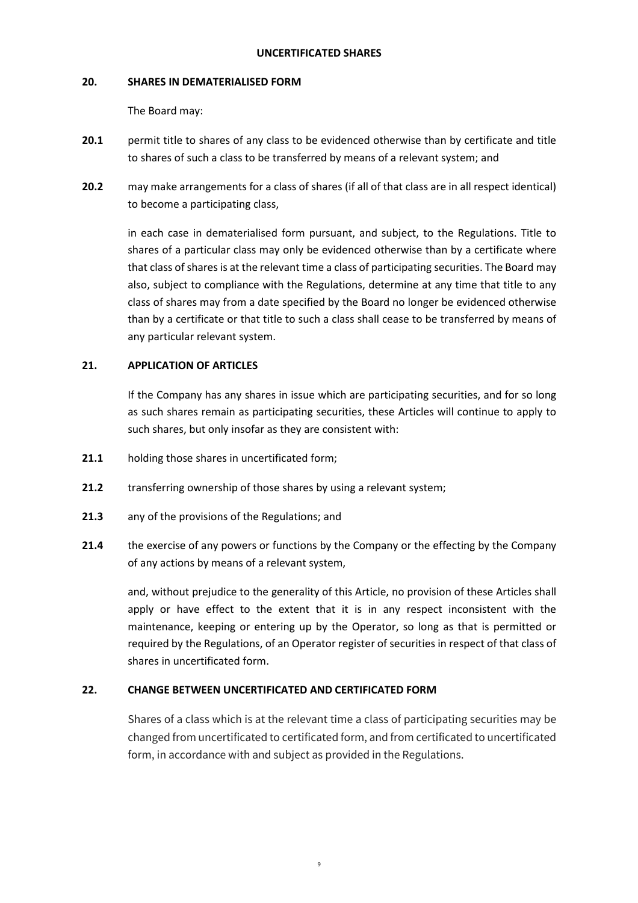### **UNCERTIFICATED SHARES**

#### **20. SHARES IN DEMATERIALISED FORM**

The Board may:

- **20.1** permit title to shares of any class to be evidenced otherwise than by certificate and title to shares of such a class to be transferred by means of a relevant system; and
- **20.2** may make arrangements for a class of shares (if all of that class are in all respect identical) to become a participating class,

in each case in dematerialised form pursuant, and subject, to the Regulations. Title to shares of a particular class may only be evidenced otherwise than by a certificate where that class of shares is at the relevant time a class of participating securities. The Board may also, subject to compliance with the Regulations, determine at any time that title to any class of shares may from a date specified by the Board no longer be evidenced otherwise than by a certificate or that title to such a class shall cease to be transferred by means of any particular relevant system.

### 21. **APPLICATION OF ARTICLES**

If the Company has any shares in issue which are participating securities, and for so long as such shares remain as participating securities, these Articles will continue to apply to such shares, but only insofar as they are consistent with:

- **21.1** holding those shares in uncertificated form;
- **21.2** transferring ownership of those shares by using a relevant system;
- **21.3** any of the provisions of the Regulations; and
- **21.4** the exercise of any powers or functions by the Company or the effecting by the Company of any actions by means of a relevant system,

and, without prejudice to the generality of this Article, no provision of these Articles shall apply or have effect to the extent that it is in any respect inconsistent with the maintenance, keeping or entering up by the Operator, so long as that is permitted or required by the Regulations, of an Operator register of securities in respect of that class of shares in uncertificated form.

## **22. CHANGE BETWEEN UNCERTIFICATED AND CERTIFICATED FORM**

Shares of a class which is at the relevant time a class of participating securities may be changed from uncertificated to certificated form, and from certificated to uncertificated form, in accordance with and subject as provided in the Regulations.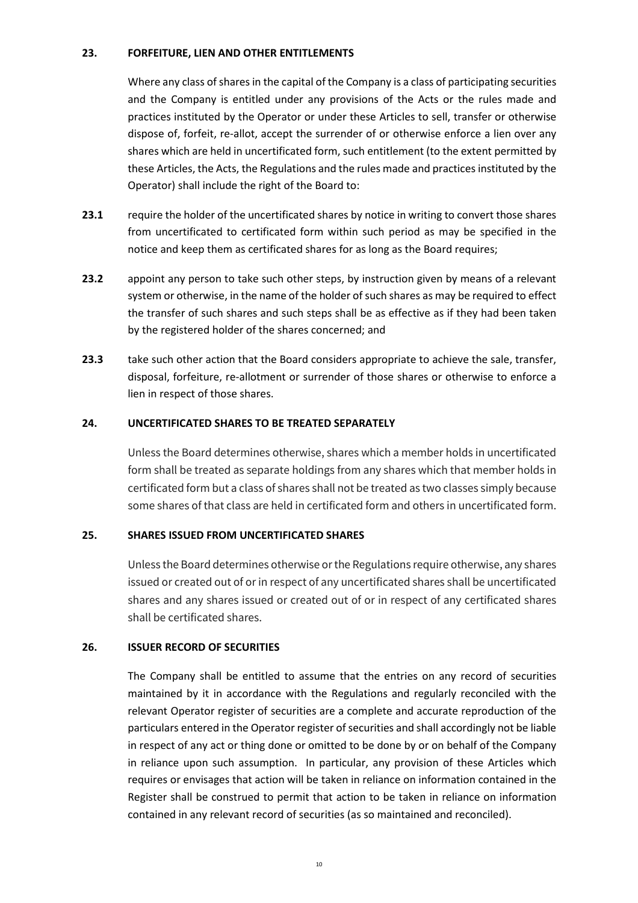# **23. FORFEITURE, LIEN AND OTHER ENTITLEMENTS**

Where any class of shares in the capital of the Company is a class of participating securities and the Company is entitled under any provisions of the Acts or the rules made and practices instituted by the Operator or under these Articles to sell, transfer or otherwise dispose of, forfeit, re-allot, accept the surrender of or otherwise enforce a lien over any shares which are held in uncertificated form, such entitlement (to the extent permitted by these Articles, the Acts, the Regulations and the rules made and practices instituted by the Operator) shall include the right of the Board to:

- **23.1** require the holder of the uncertificated shares by notice in writing to convert those shares from uncertificated to certificated form within such period as may be specified in the notice and keep them as certificated shares for as long as the Board requires;
- **23.2** appoint any person to take such other steps, by instruction given by means of a relevant system or otherwise, in the name of the holder of such shares as may be required to effect the transfer of such shares and such steps shall be as effective as if they had been taken by the registered holder of the shares concerned; and
- **23.3** take such other action that the Board considers appropriate to achieve the sale, transfer, disposal, forfeiture, re-allotment or surrender of those shares or otherwise to enforce a lien in respect of those shares.

## **24. UNCERTIFICATED SHARES TO BE TREATED SEPARATELY**

Unless the Board determines otherwise, shares which a member holds in uncertificated form shall be treated as separate holdings from any shares which that member holds in certificated form but a class of shares shall not be treated as two classes simply because some shares of that class are held in certificated form and others in uncertificated form.

#### **25. SHARES ISSUED FROM UNCERTIFICATED SHARES**

Unless the Board determines otherwise or the Regulations require otherwise, any shares issued or created out of or in respect of any uncertificated shares shall be uncertificated shares and any shares issued or created out of or in respect of any certificated shares shall be certificated shares.

#### **26. ISSUER RECORD OF SECURITIES**

The Company shall be entitled to assume that the entries on any record of securities maintained by it in accordance with the Regulations and regularly reconciled with the relevant Operator register of securities are a complete and accurate reproduction of the particulars entered in the Operator register of securities and shall accordingly not be liable in respect of any act or thing done or omitted to be done by or on behalf of the Company in reliance upon such assumption. In particular, any provision of these Articles which requires or envisages that action will be taken in reliance on information contained in the Register shall be construed to permit that action to be taken in reliance on information contained in any relevant record of securities (as so maintained and reconciled).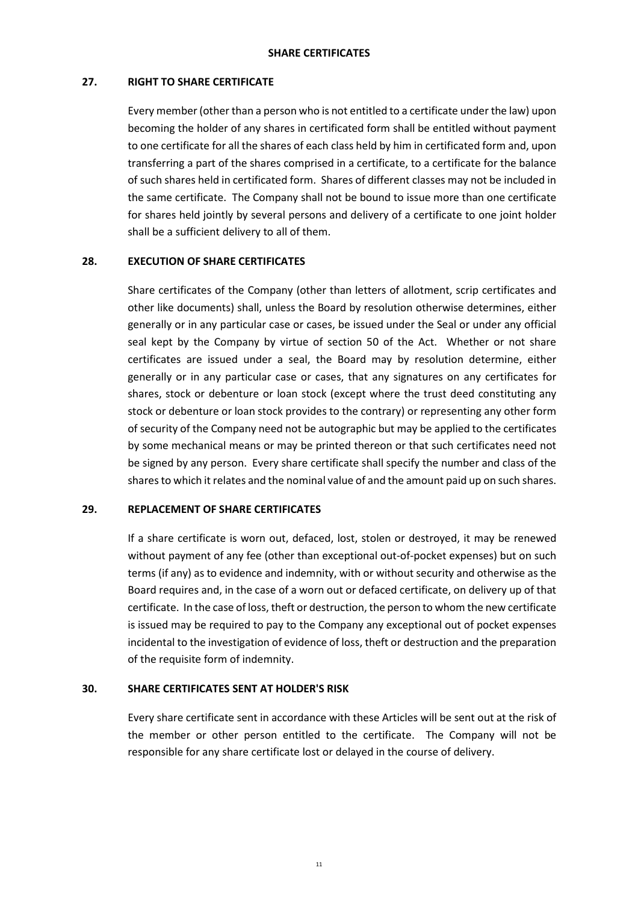## **27. RIGHT TO SHARE CERTIFICATE**

Every member (other than a person who is not entitled to a certificate under the law) upon becoming the holder of any shares in certificated form shall be entitled without payment to one certificate for all the shares of each class held by him in certificated form and, upon transferring a part of the shares comprised in a certificate, to a certificate for the balance of such shares held in certificated form. Shares of different classes may not be included in the same certificate. The Company shall not be bound to issue more than one certificate for shares held jointly by several persons and delivery of a certificate to one joint holder shall be a sufficient delivery to all of them.

# **28. EXECUTION OF SHARE CERTIFICATES**

Share certificates of the Company (other than letters of allotment, scrip certificates and other like documents) shall, unless the Board by resolution otherwise determines, either generally or in any particular case or cases, be issued under the Seal or under any official seal kept by the Company by virtue of section 50 of the Act. Whether or not share certificates are issued under a seal, the Board may by resolution determine, either generally or in any particular case or cases, that any signatures on any certificates for shares, stock or debenture or loan stock (except where the trust deed constituting any stock or debenture or loan stock provides to the contrary) or representing any other form of security of the Company need not be autographic but may be applied to the certificates by some mechanical means or may be printed thereon or that such certificates need not be signed by any person. Every share certificate shall specify the number and class of the shares to which it relates and the nominal value of and the amount paid up on such shares.

## **29. REPLACEMENT OF SHARE CERTIFICATES**

If a share certificate is worn out, defaced, lost, stolen or destroyed, it may be renewed without payment of any fee (other than exceptional out-of-pocket expenses) but on such terms (if any) as to evidence and indemnity, with or without security and otherwise as the Board requires and, in the case of a worn out or defaced certificate, on delivery up of that certificate. In the case of loss, theft or destruction, the person to whom the new certificate is issued may be required to pay to the Company any exceptional out of pocket expenses incidental to the investigation of evidence of loss, theft or destruction and the preparation of the requisite form of indemnity.

# **30. SHARE CERTIFICATES SENT AT HOLDER'S RISK**

Every share certificate sent in accordance with these Articles will be sent out at the risk of the member or other person entitled to the certificate. The Company will not be responsible for any share certificate lost or delayed in the course of delivery.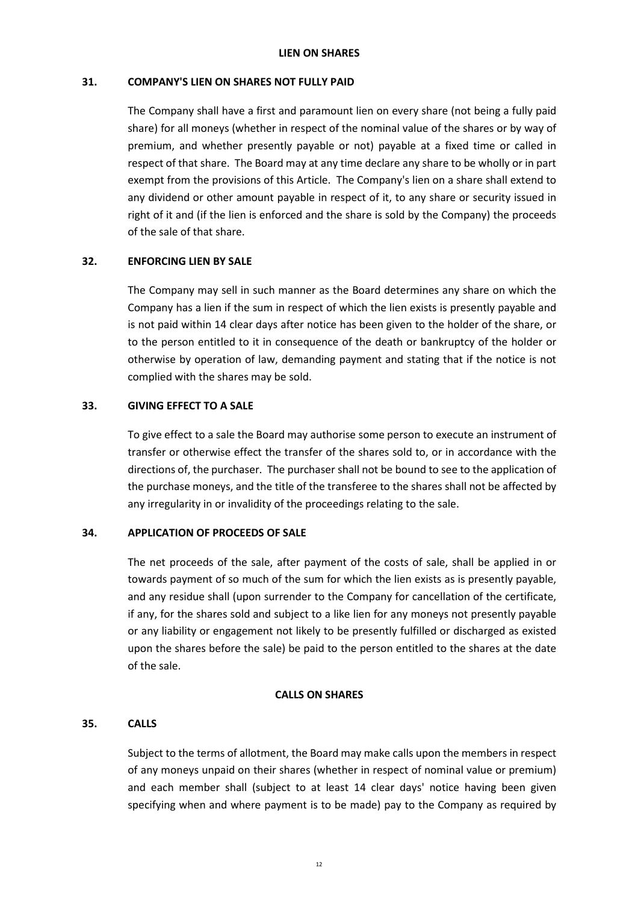#### **LIEN ON SHARES**

## **31. COMPANY'S LIEN ON SHARES NOT FULLY PAID**

The Company shall have a first and paramount lien on every share (not being a fully paid share) for all moneys (whether in respect of the nominal value of the shares or by way of premium, and whether presently payable or not) payable at a fixed time or called in respect of that share. The Board may at any time declare any share to be wholly or in part exempt from the provisions of this Article. The Company's lien on a share shall extend to any dividend or other amount payable in respect of it, to any share or security issued in right of it and (if the lien is enforced and the share is sold by the Company) the proceeds of the sale of that share.

#### **32. ENFORCING LIEN BY SALE**

The Company may sell in such manner as the Board determines any share on which the Company has a lien if the sum in respect of which the lien exists is presently payable and is not paid within 14 clear days after notice has been given to the holder of the share, or to the person entitled to it in consequence of the death or bankruptcy of the holder or otherwise by operation of law, demanding payment and stating that if the notice is not complied with the shares may be sold.

### **33. GIVING EFFECT TO A SALE**

To give effect to a sale the Board may authorise some person to execute an instrument of transfer or otherwise effect the transfer of the shares sold to, or in accordance with the directions of, the purchaser. The purchaser shall not be bound to see to the application of the purchase moneys, and the title of the transferee to the shares shall not be affected by any irregularity in or invalidity of the proceedings relating to the sale.

## **34. APPLICATION OF PROCEEDS OF SALE**

The net proceeds of the sale, after payment of the costs of sale, shall be applied in or towards payment of so much of the sum for which the lien exists as is presently payable, and any residue shall (upon surrender to the Company for cancellation of the certificate, if any, for the shares sold and subject to a like lien for any moneys not presently payable or any liability or engagement not likely to be presently fulfilled or discharged as existed upon the shares before the sale) be paid to the person entitled to the shares at the date of the sale.

#### **CALLS ON SHARES**

## **35. CALLS**

Subject to the terms of allotment, the Board may make calls upon the members in respect of any moneys unpaid on their shares (whether in respect of nominal value or premium) and each member shall (subject to at least 14 clear days' notice having been given specifying when and where payment is to be made) pay to the Company as required by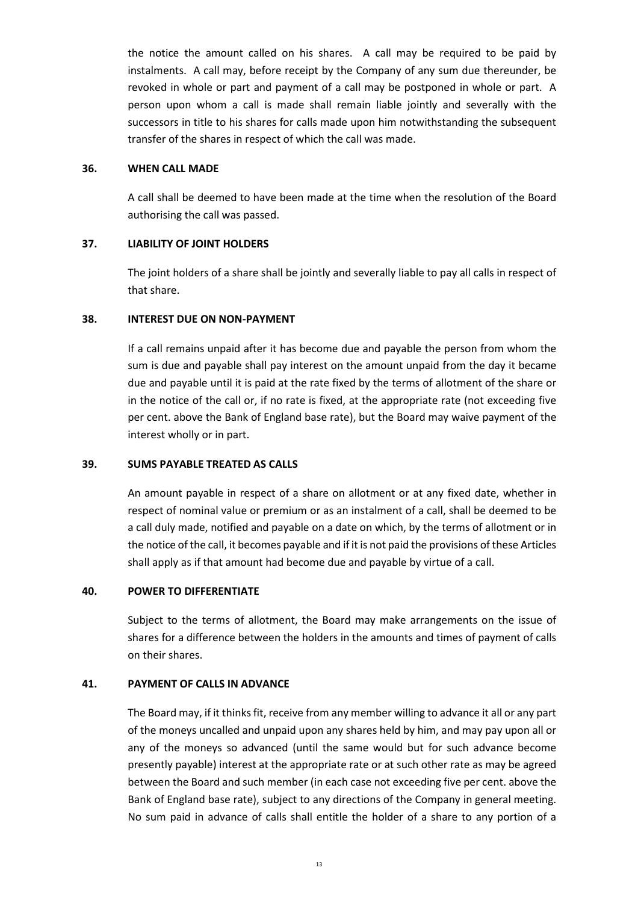the notice the amount called on his shares. A call may be required to be paid by instalments. A call may, before receipt by the Company of any sum due thereunder, be revoked in whole or part and payment of a call may be postponed in whole or part. A person upon whom a call is made shall remain liable jointly and severally with the successors in title to his shares for calls made upon him notwithstanding the subsequent transfer of the shares in respect of which the call was made.

#### **36. WHEN CALL MADE**

A call shall be deemed to have been made at the time when the resolution of the Board authorising the call was passed.

# **37. LIABILITY OF JOINT HOLDERS**

The joint holders of a share shall be jointly and severally liable to pay all calls in respect of that share.

## **38. INTEREST DUE ON NON-PAYMENT**

If a call remains unpaid after it has become due and payable the person from whom the sum is due and payable shall pay interest on the amount unpaid from the day it became due and payable until it is paid at the rate fixed by the terms of allotment of the share or in the notice of the call or, if no rate is fixed, at the appropriate rate (not exceeding five per cent. above the Bank of England base rate), but the Board may waive payment of the interest wholly or in part.

## **39. SUMS PAYABLE TREATED AS CALLS**

An amount payable in respect of a share on allotment or at any fixed date, whether in respect of nominal value or premium or as an instalment of a call, shall be deemed to be a call duly made, notified and payable on a date on which, by the terms of allotment or in the notice of the call, it becomes payable and if it is not paid the provisions of these Articles shall apply as if that amount had become due and payable by virtue of a call.

## **40. POWER TO DIFFERENTIATE**

Subject to the terms of allotment, the Board may make arrangements on the issue of shares for a difference between the holders in the amounts and times of payment of calls on their shares.

## **41. PAYMENT OF CALLS IN ADVANCE**

The Board may, if it thinks fit, receive from any member willing to advance it all or any part of the moneys uncalled and unpaid upon any shares held by him, and may pay upon all or any of the moneys so advanced (until the same would but for such advance become presently payable) interest at the appropriate rate or at such other rate as may be agreed between the Board and such member (in each case not exceeding five per cent. above the Bank of England base rate), subject to any directions of the Company in general meeting. No sum paid in advance of calls shall entitle the holder of a share to any portion of a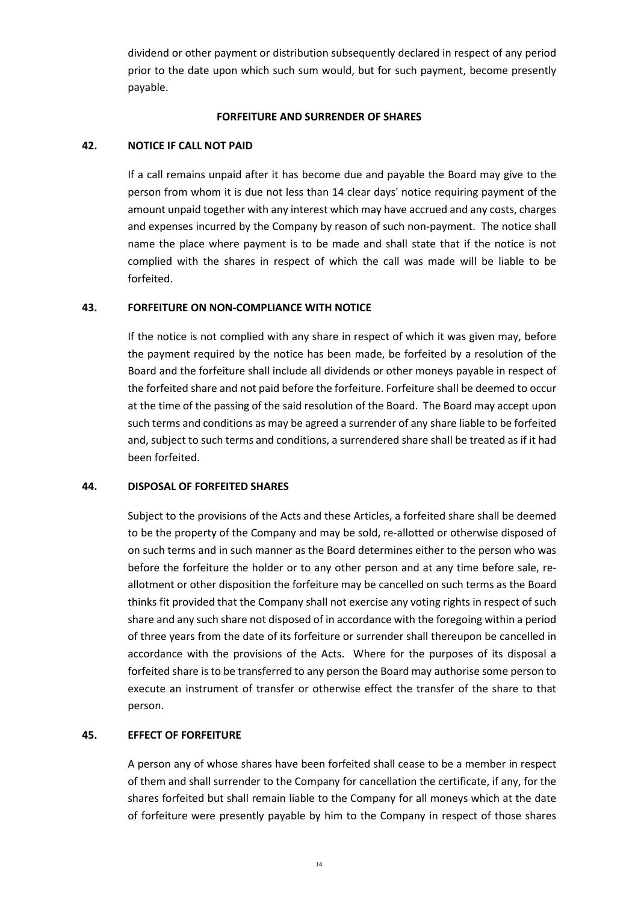dividend or other payment or distribution subsequently declared in respect of any period prior to the date upon which such sum would, but for such payment, become presently payable.

### **FORFEITURE AND SURRENDER OF SHARES**

## **42. NOTICE IF CALL NOT PAID**

If a call remains unpaid after it has become due and payable the Board may give to the person from whom it is due not less than 14 clear days' notice requiring payment of the amount unpaid together with any interest which may have accrued and any costs, charges and expenses incurred by the Company by reason of such non-payment. The notice shall name the place where payment is to be made and shall state that if the notice is not complied with the shares in respect of which the call was made will be liable to be forfeited.

### **43. FORFEITURE ON NON-COMPLIANCE WITH NOTICE**

If the notice is not complied with any share in respect of which it was given may, before the payment required by the notice has been made, be forfeited by a resolution of the Board and the forfeiture shall include all dividends or other moneys payable in respect of the forfeited share and not paid before the forfeiture. Forfeiture shall be deemed to occur at the time of the passing of the said resolution of the Board. The Board may accept upon such terms and conditions as may be agreed a surrender of any share liable to be forfeited and, subject to such terms and conditions, a surrendered share shall be treated as if it had been forfeited.

#### **44. DISPOSAL OF FORFEITED SHARES**

Subject to the provisions of the Acts and these Articles, a forfeited share shall be deemed to be the property of the Company and may be sold, re-allotted or otherwise disposed of on such terms and in such manner as the Board determines either to the person who was before the forfeiture the holder or to any other person and at any time before sale, reallotment or other disposition the forfeiture may be cancelled on such terms as the Board thinks fit provided that the Company shall not exercise any voting rights in respect of such share and any such share not disposed of in accordance with the foregoing within a period of three years from the date of its forfeiture or surrender shall thereupon be cancelled in accordance with the provisions of the Acts. Where for the purposes of its disposal a forfeited share is to be transferred to any person the Board may authorise some person to execute an instrument of transfer or otherwise effect the transfer of the share to that person.

## **45. EFFECT OF FORFEITURE**

A person any of whose shares have been forfeited shall cease to be a member in respect of them and shall surrender to the Company for cancellation the certificate, if any, for the shares forfeited but shall remain liable to the Company for all moneys which at the date of forfeiture were presently payable by him to the Company in respect of those shares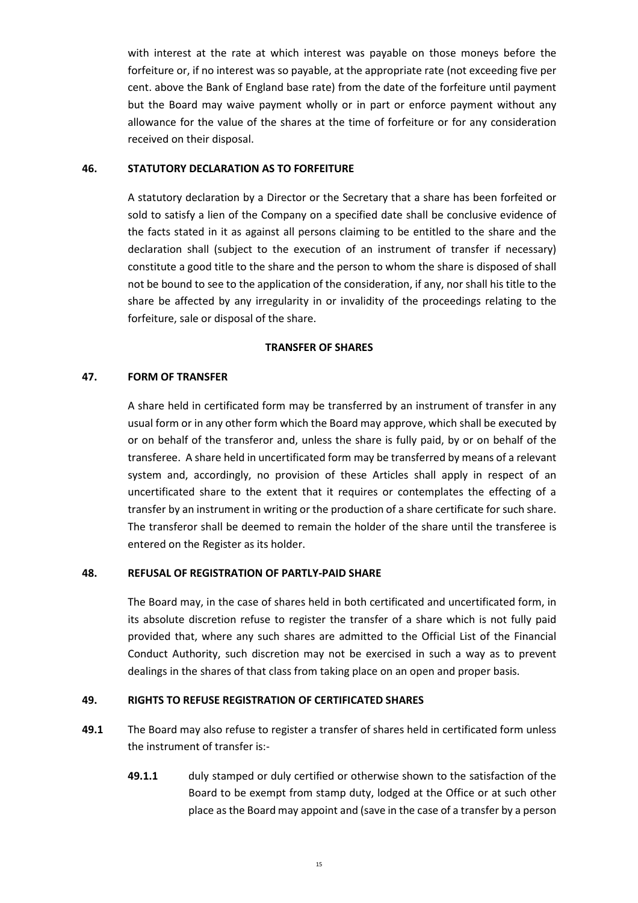with interest at the rate at which interest was payable on those moneys before the forfeiture or, if no interest was so payable, at the appropriate rate (not exceeding five per cent. above the Bank of England base rate) from the date of the forfeiture until payment but the Board may waive payment wholly or in part or enforce payment without any allowance for the value of the shares at the time of forfeiture or for any consideration received on their disposal.

### **46. STATUTORY DECLARATION AS TO FORFEITURE**

A statutory declaration by a Director or the Secretary that a share has been forfeited or sold to satisfy a lien of the Company on a specified date shall be conclusive evidence of the facts stated in it as against all persons claiming to be entitled to the share and the declaration shall (subject to the execution of an instrument of transfer if necessary) constitute a good title to the share and the person to whom the share is disposed of shall not be bound to see to the application of the consideration, if any, nor shall his title to the share be affected by any irregularity in or invalidity of the proceedings relating to the forfeiture, sale or disposal of the share.

### **TRANSFER OF SHARES**

## **47. FORM OF TRANSFER**

A share held in certificated form may be transferred by an instrument of transfer in any usual form or in any other form which the Board may approve, which shall be executed by or on behalf of the transferor and, unless the share is fully paid, by or on behalf of the transferee. A share held in uncertificated form may be transferred by means of a relevant system and, accordingly, no provision of these Articles shall apply in respect of an uncertificated share to the extent that it requires or contemplates the effecting of a transfer by an instrument in writing or the production of a share certificate for such share. The transferor shall be deemed to remain the holder of the share until the transferee is entered on the Register as its holder.

## **48. REFUSAL OF REGISTRATION OF PARTLY-PAID SHARE**

The Board may, in the case of shares held in both certificated and uncertificated form, in its absolute discretion refuse to register the transfer of a share which is not fully paid provided that, where any such shares are admitted to the Official List of the Financial Conduct Authority, such discretion may not be exercised in such a way as to prevent dealings in the shares of that class from taking place on an open and proper basis.

## **49. RIGHTS TO REFUSE REGISTRATION OF CERTIFICATED SHARES**

- **49.1** The Board may also refuse to register a transfer of shares held in certificated form unless the instrument of transfer is:-
	- **49.1.1** duly stamped or duly certified or otherwise shown to the satisfaction of the Board to be exempt from stamp duty, lodged at the Office or at such other place as the Board may appoint and (save in the case of a transfer by a person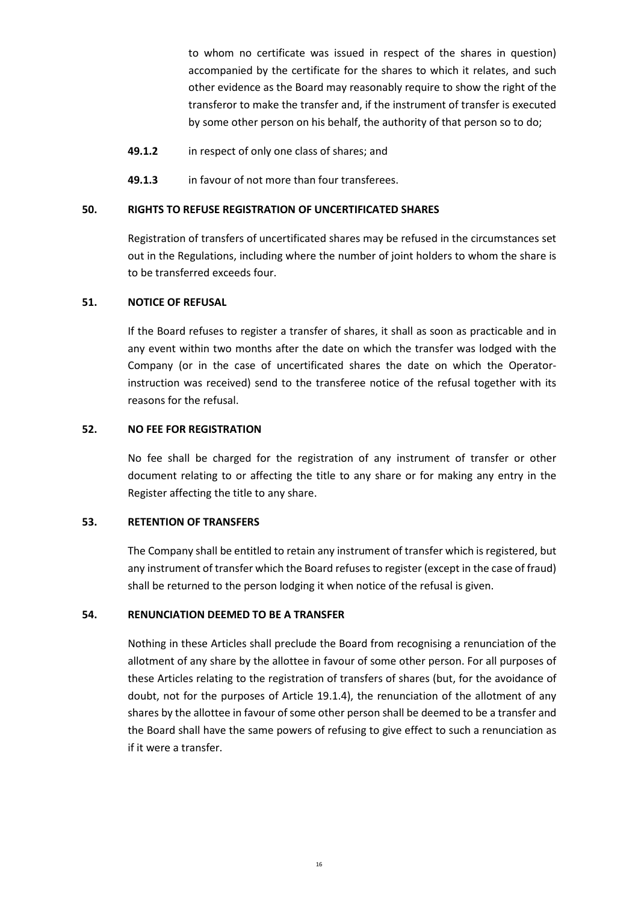to whom no certificate was issued in respect of the shares in question) accompanied by the certificate for the shares to which it relates, and such other evidence as the Board may reasonably require to show the right of the transferor to make the transfer and, if the instrument of transfer is executed by some other person on his behalf, the authority of that person so to do;

- **49.1.2** in respect of only one class of shares; and
- **49.1.3** in favour of not more than four transferees.

#### **50. RIGHTS TO REFUSE REGISTRATION OF UNCERTIFICATED SHARES**

Registration of transfers of uncertificated shares may be refused in the circumstances set out in the Regulations, including where the number of joint holders to whom the share is to be transferred exceeds four.

## **51. NOTICE OF REFUSAL**

If the Board refuses to register a transfer of shares, it shall as soon as practicable and in any event within two months after the date on which the transfer was lodged with the Company (or in the case of uncertificated shares the date on which the Operatorinstruction was received) send to the transferee notice of the refusal together with its reasons for the refusal.

## **52. NO FEE FOR REGISTRATION**

No fee shall be charged for the registration of any instrument of transfer or other document relating to or affecting the title to any share or for making any entry in the Register affecting the title to any share.

### **53. RETENTION OF TRANSFERS**

The Company shall be entitled to retain any instrument of transfer which is registered, but any instrument of transfer which the Board refuses to register (except in the case of fraud) shall be returned to the person lodging it when notice of the refusal is given.

#### **54. RENUNCIATION DEEMED TO BE A TRANSFER**

Nothing in these Articles shall preclude the Board from recognising a renunciation of the allotment of any share by the allottee in favour of some other person. For all purposes of these Articles relating to the registration of transfers of shares (but, for the avoidance of doubt, not for the purposes of Article 19.1.4), the renunciation of the allotment of any shares by the allottee in favour of some other person shall be deemed to be a transfer and the Board shall have the same powers of refusing to give effect to such a renunciation as if it were a transfer.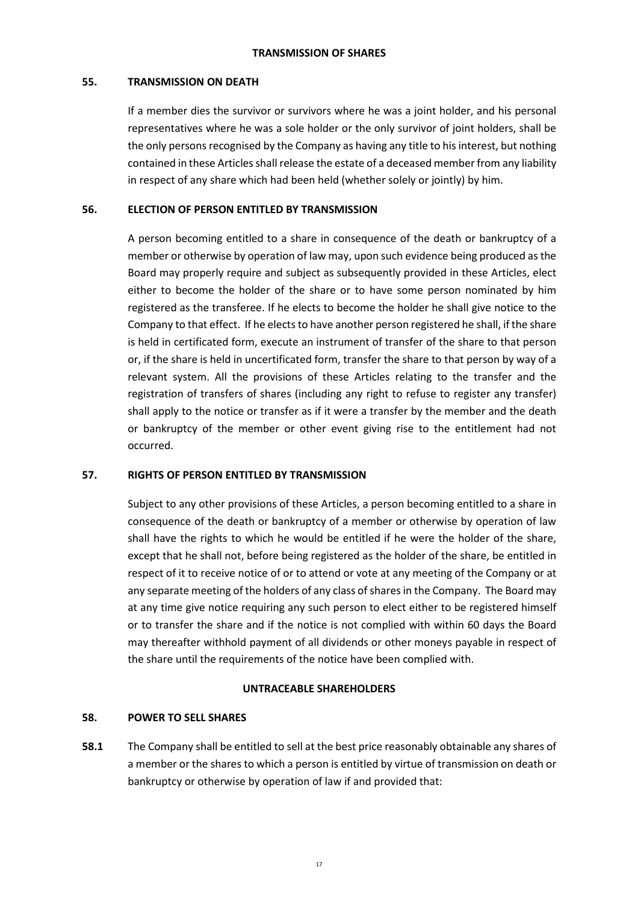## **TRANSMISSION OF SHARES**

### **55. TRANSMISSION ON DEATH**

If a member dies the survivor or survivors where he was a joint holder, and his personal representatives where he was a sole holder or the only survivor of joint holders, shall be the only persons recognised by the Company as having any title to his interest, but nothing contained in these Articles shall release the estate of a deceased member from any liability in respect of any share which had been held (whether solely or jointly) by him.

## **56. ELECTION OF PERSON ENTITLED BY TRANSMISSION**

A person becoming entitled to a share in consequence of the death or bankruptcy of a member or otherwise by operation of law may, upon such evidence being produced as the Board may properly require and subject as subsequently provided in these Articles, elect either to become the holder of the share or to have some person nominated by him registered as the transferee. If he elects to become the holder he shall give notice to the Company to that effect. If he elects to have another person registered he shall, if the share is held in certificated form, execute an instrument of transfer of the share to that person or, if the share is held in uncertificated form, transfer the share to that person by way of a relevant system. All the provisions of these Articles relating to the transfer and the registration of transfers of shares (including any right to refuse to register any transfer) shall apply to the notice or transfer as if it were a transfer by the member and the death or bankruptcy of the member or other event giving rise to the entitlement had not occurred.

## **57. RIGHTS OF PERSON ENTITLED BY TRANSMISSION**

Subject to any other provisions of these Articles, a person becoming entitled to a share in consequence of the death or bankruptcy of a member or otherwise by operation of law shall have the rights to which he would be entitled if he were the holder of the share, except that he shall not, before being registered as the holder of the share, be entitled in respect of it to receive notice of or to attend or vote at any meeting of the Company or at any separate meeting of the holders of any class of shares in the Company. The Board may at any time give notice requiring any such person to elect either to be registered himself or to transfer the share and if the notice is not complied with within 60 days the Board may thereafter withhold payment of all dividends or other moneys payable in respect of the share until the requirements of the notice have been complied with.

## **UNTRACEABLE SHAREHOLDERS**

## **58. POWER TO SELL SHARES**

**58.1** The Company shall be entitled to sell at the best price reasonably obtainable any shares of a member or the shares to which a person is entitled by virtue of transmission on death or bankruptcy or otherwise by operation of law if and provided that: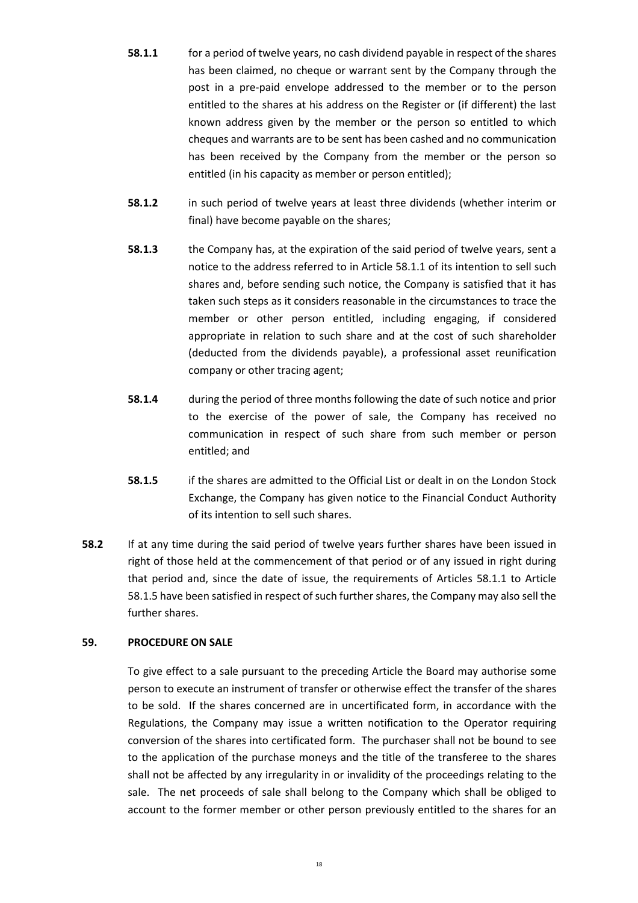- **58.1.1** for a period of twelve years, no cash dividend payable in respect of the shares has been claimed, no cheque or warrant sent by the Company through the post in a pre-paid envelope addressed to the member or to the person entitled to the shares at his address on the Register or (if different) the last known address given by the member or the person so entitled to which cheques and warrants are to be sent has been cashed and no communication has been received by the Company from the member or the person so entitled (in his capacity as member or person entitled);
- **58.1.2** in such period of twelve years at least three dividends (whether interim or final) have become payable on the shares;
- **58.1.3** the Company has, at the expiration of the said period of twelve years, sent a notice to the address referred to in Article 58.1.1 of its intention to sell such shares and, before sending such notice, the Company is satisfied that it has taken such steps as it considers reasonable in the circumstances to trace the member or other person entitled, including engaging, if considered appropriate in relation to such share and at the cost of such shareholder (deducted from the dividends payable), a professional asset reunification company or other tracing agent;
- **58.1.4** during the period of three months following the date of such notice and prior to the exercise of the power of sale, the Company has received no communication in respect of such share from such member or person entitled; and
- **58.1.5** if the shares are admitted to the Official List or dealt in on the London Stock Exchange, the Company has given notice to the Financial Conduct Authority of its intention to sell such shares.
- **58.2** If at any time during the said period of twelve years further shares have been issued in right of those held at the commencement of that period or of any issued in right during that period and, since the date of issue, the requirements of Articles 58.1.1 to Article 58.1.5 have been satisfied in respect of such further shares, the Company may also sell the further shares.

# **59. PROCEDURE ON SALE**

To give effect to a sale pursuant to the preceding Article the Board may authorise some person to execute an instrument of transfer or otherwise effect the transfer of the shares to be sold. If the shares concerned are in uncertificated form, in accordance with the Regulations, the Company may issue a written notification to the Operator requiring conversion of the shares into certificated form. The purchaser shall not be bound to see to the application of the purchase moneys and the title of the transferee to the shares shall not be affected by any irregularity in or invalidity of the proceedings relating to the sale. The net proceeds of sale shall belong to the Company which shall be obliged to account to the former member or other person previously entitled to the shares for an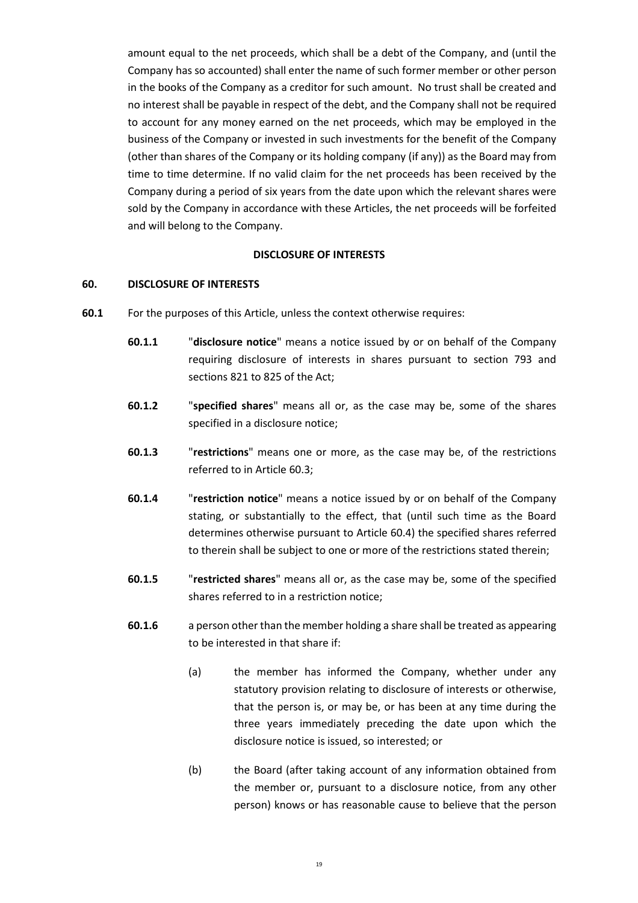amount equal to the net proceeds, which shall be a debt of the Company, and (until the Company has so accounted) shall enter the name of such former member or other person in the books of the Company as a creditor for such amount. No trust shall be created and no interest shall be payable in respect of the debt, and the Company shall not be required to account for any money earned on the net proceeds, which may be employed in the business of the Company or invested in such investments for the benefit of the Company (other than shares of the Company or its holding company (if any)) as the Board may from time to time determine. If no valid claim for the net proceeds has been received by the Company during a period of six years from the date upon which the relevant shares were sold by the Company in accordance with these Articles, the net proceeds will be forfeited and will belong to the Company.

#### **DISCLOSURE OF INTERESTS**

### **60. DISCLOSURE OF INTERESTS**

- **60.1** For the purposes of this Article, unless the context otherwise requires:
	- **60.1.1** "**disclosure notice**" means a notice issued by or on behalf of the Company requiring disclosure of interests in shares pursuant to section 793 and sections 821 to 825 of the Act;
	- **60.1.2** "**specified shares**" means all or, as the case may be, some of the shares specified in a disclosure notice;
	- **60.1.3** "**restrictions**" means one or more, as the case may be, of the restrictions referred to in Article 60.3;
	- **60.1.4** "**restriction notice**" means a notice issued by or on behalf of the Company stating, or substantially to the effect, that (until such time as the Board determines otherwise pursuant to Article 60.4) the specified shares referred to therein shall be subject to one or more of the restrictions stated therein;
	- **60.1.5** "**restricted shares**" means all or, as the case may be, some of the specified shares referred to in a restriction notice;
	- **60.1.6** a person other than the member holding a share shall be treated as appearing to be interested in that share if:
		- (a) the member has informed the Company, whether under any statutory provision relating to disclosure of interests or otherwise, that the person is, or may be, or has been at any time during the three years immediately preceding the date upon which the disclosure notice is issued, so interested; or
		- (b) the Board (after taking account of any information obtained from the member or, pursuant to a disclosure notice, from any other person) knows or has reasonable cause to believe that the person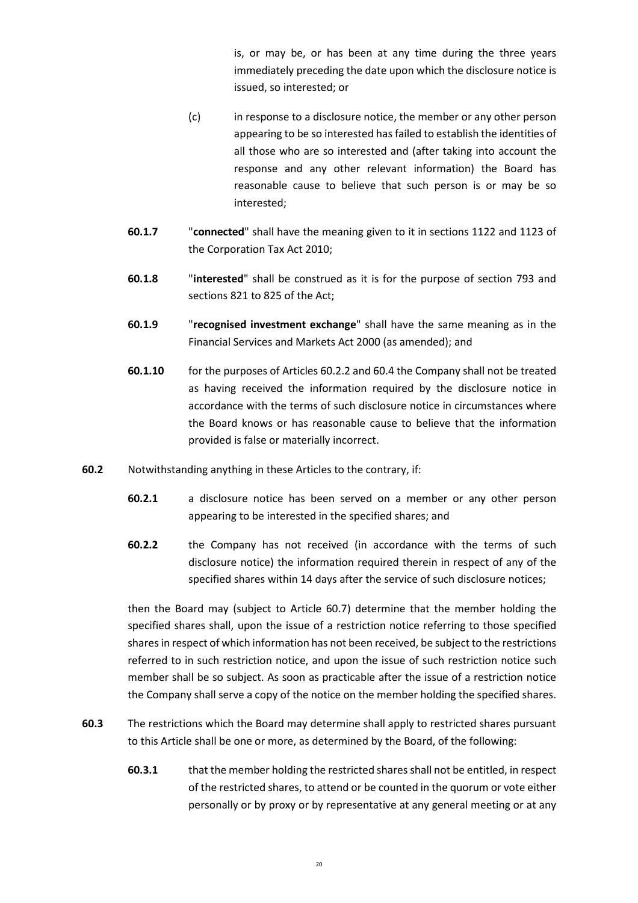is, or may be, or has been at any time during the three years immediately preceding the date upon which the disclosure notice is issued, so interested; or

- (c) in response to a disclosure notice, the member or any other person appearing to be so interested has failed to establish the identities of all those who are so interested and (after taking into account the response and any other relevant information) the Board has reasonable cause to believe that such person is or may be so interested;
- **60.1.7** "**connected**" shall have the meaning given to it in sections 1122 and 1123 of the Corporation Tax Act 2010;
- **60.1.8** "**interested**" shall be construed as it is for the purpose of section 793 and sections 821 to 825 of the Act;
- **60.1.9** "**recognised investment exchange**" shall have the same meaning as in the Financial Services and Markets Act 2000 (as amended); and
- **60.1.10** for the purposes of Articles 60.2.2 and 60.4 the Company shall not be treated as having received the information required by the disclosure notice in accordance with the terms of such disclosure notice in circumstances where the Board knows or has reasonable cause to believe that the information provided is false or materially incorrect.
- **60.2** Notwithstanding anything in these Articles to the contrary, if:
	- **60.2.1** a disclosure notice has been served on a member or any other person appearing to be interested in the specified shares; and
	- **60.2.2** the Company has not received (in accordance with the terms of such disclosure notice) the information required therein in respect of any of the specified shares within 14 days after the service of such disclosure notices;

then the Board may (subject to Article 60.7) determine that the member holding the specified shares shall, upon the issue of a restriction notice referring to those specified shares in respect of which information has not been received, be subject to the restrictions referred to in such restriction notice, and upon the issue of such restriction notice such member shall be so subject. As soon as practicable after the issue of a restriction notice the Company shall serve a copy of the notice on the member holding the specified shares.

- **60.3** The restrictions which the Board may determine shall apply to restricted shares pursuant to this Article shall be one or more, as determined by the Board, of the following:
	- **60.3.1** that the member holding the restricted shares shall not be entitled, in respect of the restricted shares, to attend or be counted in the quorum or vote either personally or by proxy or by representative at any general meeting or at any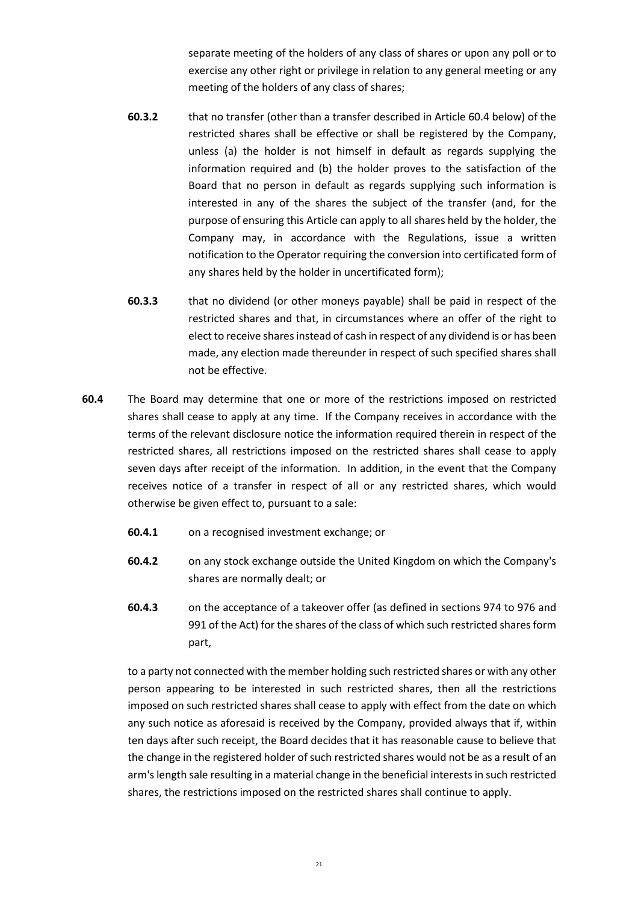separate meeting of the holders of any class of shares or upon any poll or to exercise any other right or privilege in relation to any general meeting or any meeting of the holders of any class of shares;

- **60.3.2** that no transfer (other than a transfer described in Article 60.4 below) of the restricted shares shall be effective or shall be registered by the Company, unless (a) the holder is not himself in default as regards supplying the information required and (b) the holder proves to the satisfaction of the Board that no person in default as regards supplying such information is interested in any of the shares the subject of the transfer (and, for the purpose of ensuring this Article can apply to all shares held by the holder, the Company may, in accordance with the Regulations, issue a written notification to the Operator requiring the conversion into certificated form of any shares held by the holder in uncertificated form);
- **60.3.3** that no dividend (or other moneys payable) shall be paid in respect of the restricted shares and that, in circumstances where an offer of the right to elect to receive shares instead of cash in respect of any dividend is or has been made, any election made thereunder in respect of such specified shares shall not be effective.
- **60.4** The Board may determine that one or more of the restrictions imposed on restricted shares shall cease to apply at any time. If the Company receives in accordance with the terms of the relevant disclosure notice the information required therein in respect of the restricted shares, all restrictions imposed on the restricted shares shall cease to apply seven days after receipt of the information. In addition, in the event that the Company receives notice of a transfer in respect of all or any restricted shares, which would otherwise be given effect to, pursuant to a sale:
	- **60.4.1** on a recognised investment exchange; or
	- **60.4.2** on any stock exchange outside the United Kingdom on which the Company's shares are normally dealt; or
	- **60.4.3** on the acceptance of a takeover offer (as defined in sections 974 to 976 and 991 of the Act) for the shares of the class of which such restricted shares form part,

to a party not connected with the member holding such restricted shares or with any other person appearing to be interested in such restricted shares, then all the restrictions imposed on such restricted shares shall cease to apply with effect from the date on which any such notice as aforesaid is received by the Company, provided always that if, within ten days after such receipt, the Board decides that it has reasonable cause to believe that the change in the registered holder of such restricted shares would not be as a result of an arm's length sale resulting in a material change in the beneficial interests in such restricted shares, the restrictions imposed on the restricted shares shall continue to apply.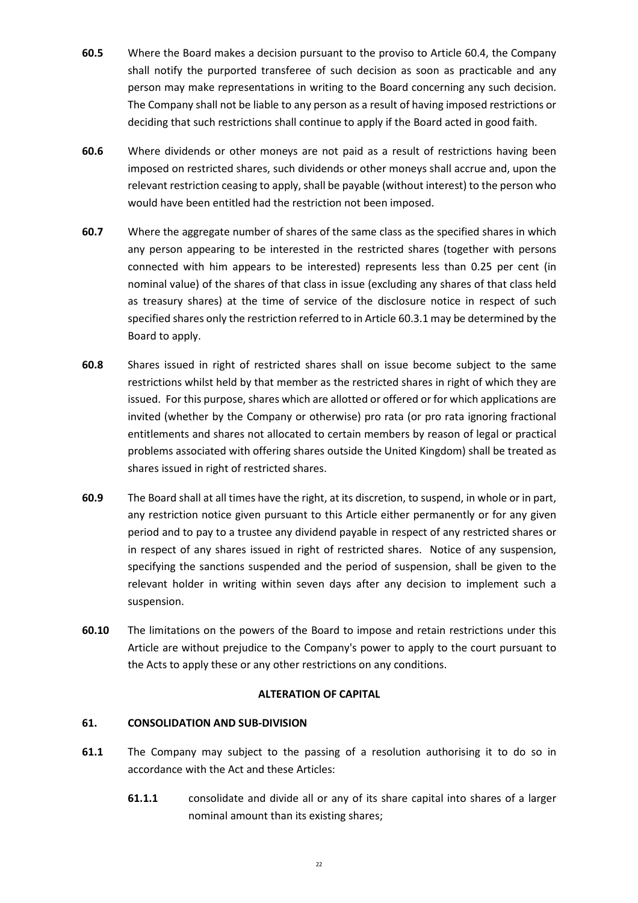- **60.5** Where the Board makes a decision pursuant to the proviso to Article 60.4, the Company shall notify the purported transferee of such decision as soon as practicable and any person may make representations in writing to the Board concerning any such decision. The Company shall not be liable to any person as a result of having imposed restrictions or deciding that such restrictions shall continue to apply if the Board acted in good faith.
- **60.6** Where dividends or other moneys are not paid as a result of restrictions having been imposed on restricted shares, such dividends or other moneys shall accrue and, upon the relevant restriction ceasing to apply, shall be payable (without interest) to the person who would have been entitled had the restriction not been imposed.
- **60.7** Where the aggregate number of shares of the same class as the specified shares in which any person appearing to be interested in the restricted shares (together with persons connected with him appears to be interested) represents less than 0.25 per cent (in nominal value) of the shares of that class in issue (excluding any shares of that class held as treasury shares) at the time of service of the disclosure notice in respect of such specified shares only the restriction referred to in Article 60.3.1 may be determined by the Board to apply.
- **60.8** Shares issued in right of restricted shares shall on issue become subject to the same restrictions whilst held by that member as the restricted shares in right of which they are issued. For this purpose, shares which are allotted or offered or for which applications are invited (whether by the Company or otherwise) pro rata (or pro rata ignoring fractional entitlements and shares not allocated to certain members by reason of legal or practical problems associated with offering shares outside the United Kingdom) shall be treated as shares issued in right of restricted shares.
- **60.9** The Board shall at all times have the right, at its discretion, to suspend, in whole or in part, any restriction notice given pursuant to this Article either permanently or for any given period and to pay to a trustee any dividend payable in respect of any restricted shares or in respect of any shares issued in right of restricted shares. Notice of any suspension, specifying the sanctions suspended and the period of suspension, shall be given to the relevant holder in writing within seven days after any decision to implement such a suspension.
- **60.10** The limitations on the powers of the Board to impose and retain restrictions under this Article are without prejudice to the Company's power to apply to the court pursuant to the Acts to apply these or any other restrictions on any conditions.

## **ALTERATION OF CAPITAL**

## **61. CONSOLIDATION AND SUB-DIVISION**

- **61.1** The Company may subject to the passing of a resolution authorising it to do so in accordance with the Act and these Articles:
	- **61.1.1** consolidate and divide all or any of its share capital into shares of a larger nominal amount than its existing shares;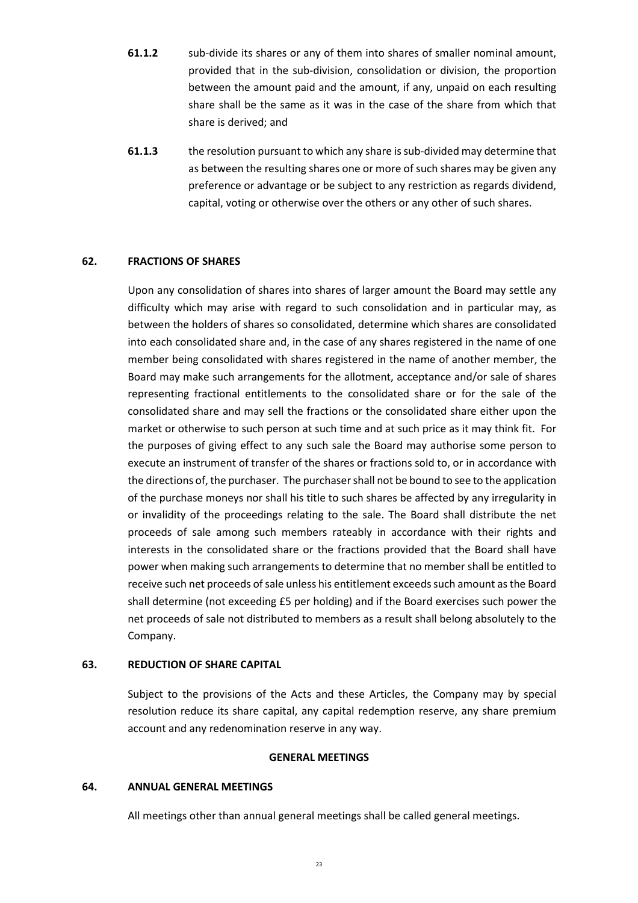- **61.1.2** sub-divide its shares or any of them into shares of smaller nominal amount, provided that in the sub-division, consolidation or division, the proportion between the amount paid and the amount, if any, unpaid on each resulting share shall be the same as it was in the case of the share from which that share is derived; and
- **61.1.3** the resolution pursuant to which any share is sub-divided may determine that as between the resulting shares one or more of such shares may be given any preference or advantage or be subject to any restriction as regards dividend, capital, voting or otherwise over the others or any other of such shares.

# **62. FRACTIONS OF SHARES**

Upon any consolidation of shares into shares of larger amount the Board may settle any difficulty which may arise with regard to such consolidation and in particular may, as between the holders of shares so consolidated, determine which shares are consolidated into each consolidated share and, in the case of any shares registered in the name of one member being consolidated with shares registered in the name of another member, the Board may make such arrangements for the allotment, acceptance and/or sale of shares representing fractional entitlements to the consolidated share or for the sale of the consolidated share and may sell the fractions or the consolidated share either upon the market or otherwise to such person at such time and at such price as it may think fit. For the purposes of giving effect to any such sale the Board may authorise some person to execute an instrument of transfer of the shares or fractions sold to, or in accordance with the directions of, the purchaser. The purchaser shall not be bound to see to the application of the purchase moneys nor shall his title to such shares be affected by any irregularity in or invalidity of the proceedings relating to the sale. The Board shall distribute the net proceeds of sale among such members rateably in accordance with their rights and interests in the consolidated share or the fractions provided that the Board shall have power when making such arrangements to determine that no member shall be entitled to receive such net proceeds of sale unless his entitlement exceeds such amount as the Board shall determine (not exceeding £5 per holding) and if the Board exercises such power the net proceeds of sale not distributed to members as a result shall belong absolutely to the Company.

## **63. REDUCTION OF SHARE CAPITAL**

Subject to the provisions of the Acts and these Articles, the Company may by special resolution reduce its share capital, any capital redemption reserve, any share premium account and any redenomination reserve in any way.

## **GENERAL MEETINGS**

## **64. ANNUAL GENERAL MEETINGS**

All meetings other than annual general meetings shall be called general meetings.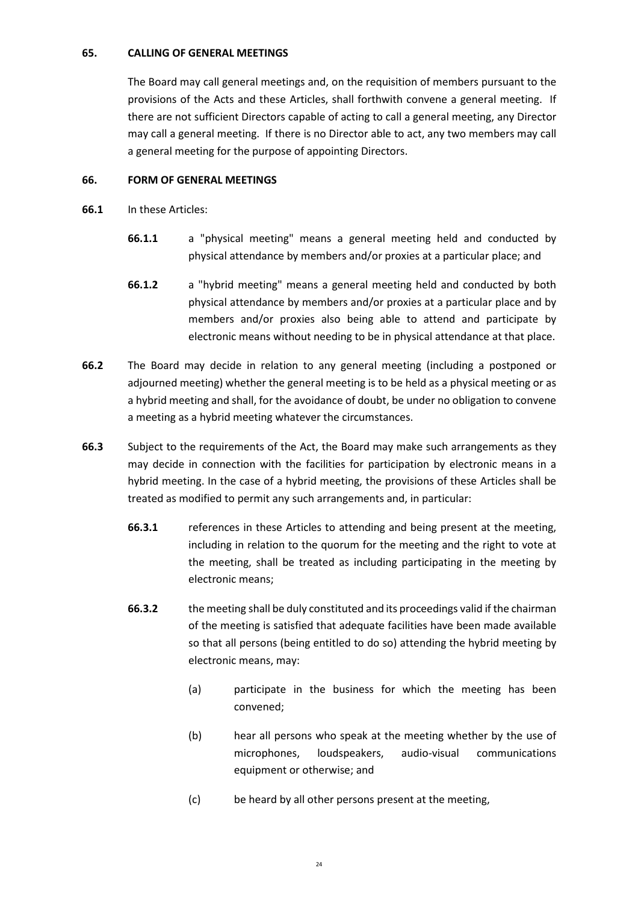## **65. CALLING OF GENERAL MEETINGS**

The Board may call general meetings and, on the requisition of members pursuant to the provisions of the Acts and these Articles, shall forthwith convene a general meeting. If there are not sufficient Directors capable of acting to call a general meeting, any Director may call a general meeting. If there is no Director able to act, any two members may call a general meeting for the purpose of appointing Directors.

# **66. FORM OF GENERAL MEETINGS**

- **66.1** In these Articles:
	- **66.1.1** a "physical meeting" means a general meeting held and conducted by physical attendance by members and/or proxies at a particular place; and
	- **66.1.2** a "hybrid meeting" means a general meeting held and conducted by both physical attendance by members and/or proxies at a particular place and by members and/or proxies also being able to attend and participate by electronic means without needing to be in physical attendance at that place.
- **66.2** The Board may decide in relation to any general meeting (including a postponed or adjourned meeting) whether the general meeting is to be held as a physical meeting or as a hybrid meeting and shall, for the avoidance of doubt, be under no obligation to convene a meeting as a hybrid meeting whatever the circumstances.
- **66.3** Subject to the requirements of the Act, the Board may make such arrangements as they may decide in connection with the facilities for participation by electronic means in a hybrid meeting. In the case of a hybrid meeting, the provisions of these Articles shall be treated as modified to permit any such arrangements and, in particular:
	- **66.3.1** references in these Articles to attending and being present at the meeting, including in relation to the quorum for the meeting and the right to vote at the meeting, shall be treated as including participating in the meeting by electronic means;
	- **66.3.2** the meeting shall be duly constituted and its proceedings valid if the chairman of the meeting is satisfied that adequate facilities have been made available so that all persons (being entitled to do so) attending the hybrid meeting by electronic means, may:
		- (a) participate in the business for which the meeting has been convened;
		- (b) hear all persons who speak at the meeting whether by the use of microphones, loudspeakers, audio-visual communications equipment or otherwise; and
		- (c) be heard by all other persons present at the meeting,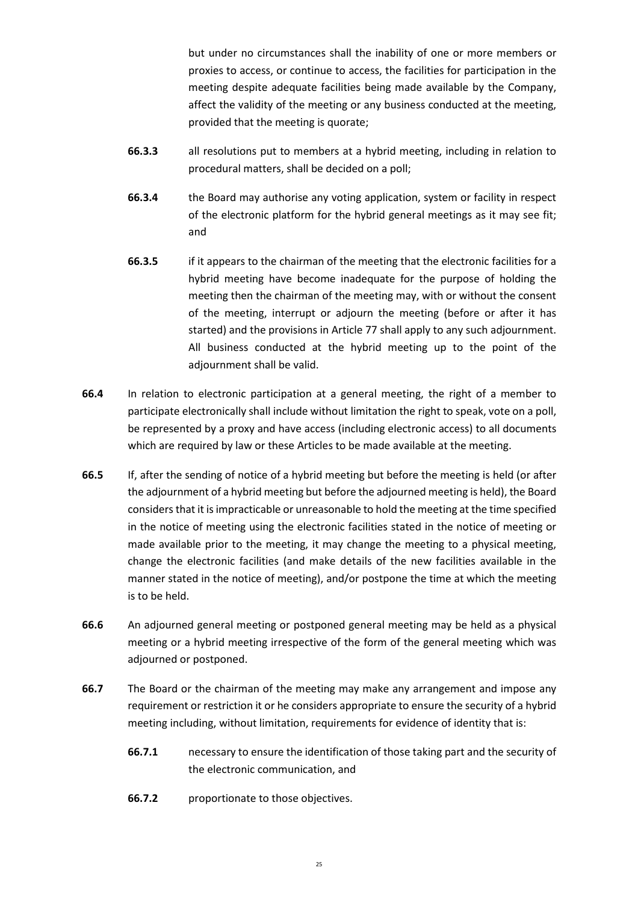but under no circumstances shall the inability of one or more members or proxies to access, or continue to access, the facilities for participation in the meeting despite adequate facilities being made available by the Company, affect the validity of the meeting or any business conducted at the meeting, provided that the meeting is quorate;

- **66.3.3** all resolutions put to members at a hybrid meeting, including in relation to procedural matters, shall be decided on a poll;
- **66.3.4** the Board may authorise any voting application, system or facility in respect of the electronic platform for the hybrid general meetings as it may see fit; and
- **66.3.5** if it appears to the chairman of the meeting that the electronic facilities for a hybrid meeting have become inadequate for the purpose of holding the meeting then the chairman of the meeting may, with or without the consent of the meeting, interrupt or adjourn the meeting (before or after it has started) and the provisions in Article 77 shall apply to any such adjournment. All business conducted at the hybrid meeting up to the point of the adjournment shall be valid.
- **66.4** In relation to electronic participation at a general meeting, the right of a member to participate electronically shall include without limitation the right to speak, vote on a poll, be represented by a proxy and have access (including electronic access) to all documents which are required by law or these Articles to be made available at the meeting.
- **66.5** If, after the sending of notice of a hybrid meeting but before the meeting is held (or after the adjournment of a hybrid meeting but before the adjourned meeting is held), the Board considers that it is impracticable or unreasonable to hold the meeting at the time specified in the notice of meeting using the electronic facilities stated in the notice of meeting or made available prior to the meeting, it may change the meeting to a physical meeting, change the electronic facilities (and make details of the new facilities available in the manner stated in the notice of meeting), and/or postpone the time at which the meeting is to be held.
- **66.6** An adjourned general meeting or postponed general meeting may be held as a physical meeting or a hybrid meeting irrespective of the form of the general meeting which was adjourned or postponed.
- **66.7** The Board or the chairman of the meeting may make any arrangement and impose any requirement or restriction it or he considers appropriate to ensure the security of a hybrid meeting including, without limitation, requirements for evidence of identity that is:
	- **66.7.1** necessary to ensure the identification of those taking part and the security of the electronic communication, and
	- **66.7.2** proportionate to those objectives.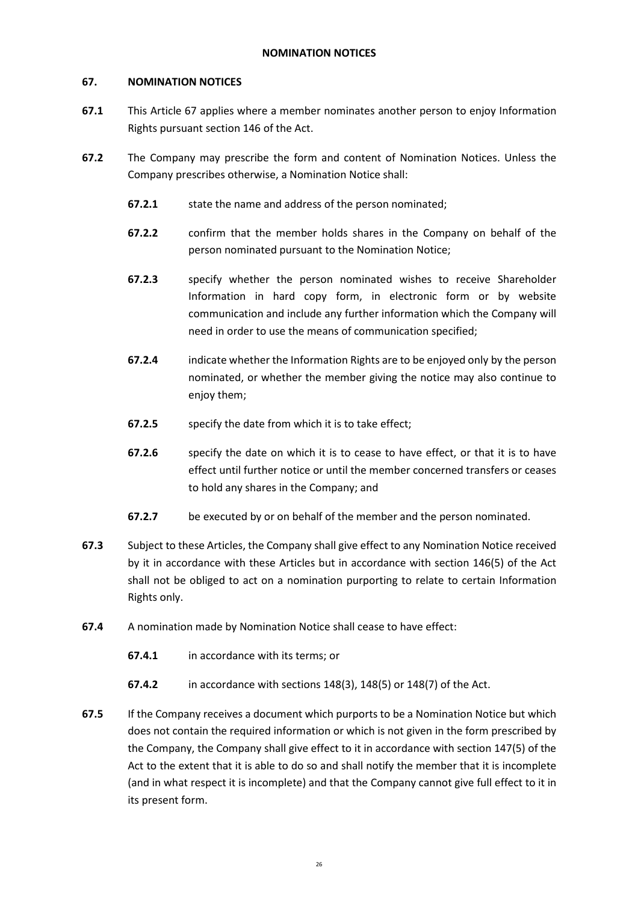## **67. NOMINATION NOTICES**

- **67.1** This Article 67 applies where a member nominates another person to enjoy Information Rights pursuant section 146 of the Act.
- **67.2** The Company may prescribe the form and content of Nomination Notices. Unless the Company prescribes otherwise, a Nomination Notice shall:
	- **67.2.1** state the name and address of the person nominated;
	- **67.2.2** confirm that the member holds shares in the Company on behalf of the person nominated pursuant to the Nomination Notice;
	- **67.2.3** specify whether the person nominated wishes to receive Shareholder Information in hard copy form, in electronic form or by website communication and include any further information which the Company will need in order to use the means of communication specified;
	- **67.2.4** indicate whether the Information Rights are to be enjoyed only by the person nominated, or whether the member giving the notice may also continue to enjoy them;
	- **67.2.5** specify the date from which it is to take effect;
	- **67.2.6** specify the date on which it is to cease to have effect, or that it is to have effect until further notice or until the member concerned transfers or ceases to hold any shares in the Company; and
	- **67.2.7** be executed by or on behalf of the member and the person nominated.
- **67.3** Subject to these Articles, the Company shall give effect to any Nomination Notice received by it in accordance with these Articles but in accordance with section 146(5) of the Act shall not be obliged to act on a nomination purporting to relate to certain Information Rights only.
- **67.4** A nomination made by Nomination Notice shall cease to have effect:
	- **67.4.1** in accordance with its terms; or
	- **67.4.2** in accordance with sections 148(3), 148(5) or 148(7) of the Act.
- **67.5** If the Company receives a document which purports to be a Nomination Notice but which does not contain the required information or which is not given in the form prescribed by the Company, the Company shall give effect to it in accordance with section 147(5) of the Act to the extent that it is able to do so and shall notify the member that it is incomplete (and in what respect it is incomplete) and that the Company cannot give full effect to it in its present form.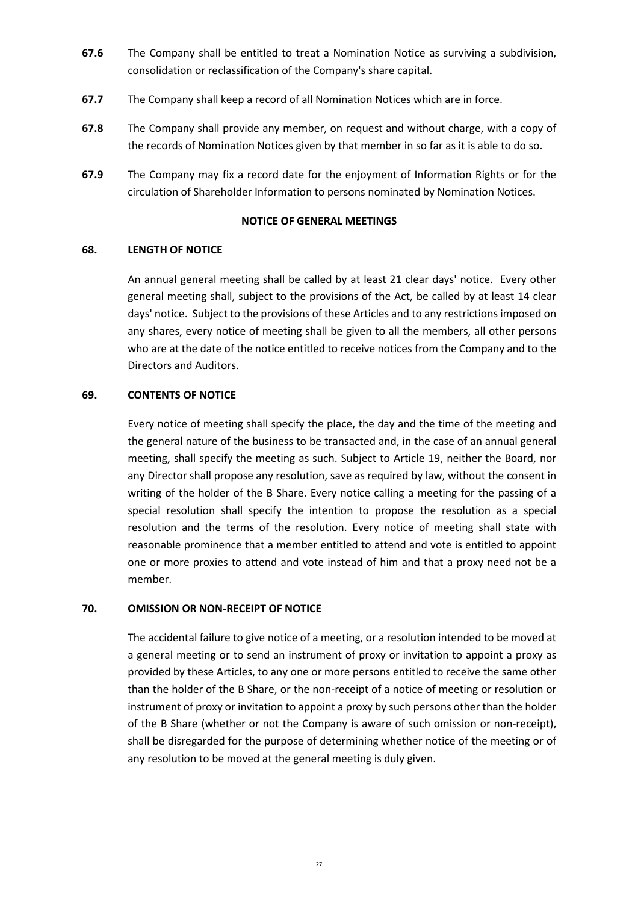- **67.6** The Company shall be entitled to treat a Nomination Notice as surviving a subdivision, consolidation or reclassification of the Company's share capital.
- **67.7** The Company shall keep a record of all Nomination Notices which are in force.
- **67.8** The Company shall provide any member, on request and without charge, with a copy of the records of Nomination Notices given by that member in so far as it is able to do so.
- **67.9** The Company may fix a record date for the enjoyment of Information Rights or for the circulation of Shareholder Information to persons nominated by Nomination Notices.

### **NOTICE OF GENERAL MEETINGS**

### **68. LENGTH OF NOTICE**

An annual general meeting shall be called by at least 21 clear days' notice. Every other general meeting shall, subject to the provisions of the Act, be called by at least 14 clear days' notice. Subject to the provisions of these Articles and to any restrictions imposed on any shares, every notice of meeting shall be given to all the members, all other persons who are at the date of the notice entitled to receive notices from the Company and to the Directors and Auditors.

## **69. CONTENTS OF NOTICE**

Every notice of meeting shall specify the place, the day and the time of the meeting and the general nature of the business to be transacted and, in the case of an annual general meeting, shall specify the meeting as such. Subject to Article 19, neither the Board, nor any Director shall propose any resolution, save as required by law, without the consent in writing of the holder of the B Share. Every notice calling a meeting for the passing of a special resolution shall specify the intention to propose the resolution as a special resolution and the terms of the resolution. Every notice of meeting shall state with reasonable prominence that a member entitled to attend and vote is entitled to appoint one or more proxies to attend and vote instead of him and that a proxy need not be a member.

#### **70. OMISSION OR NON-RECEIPT OF NOTICE**

The accidental failure to give notice of a meeting, or a resolution intended to be moved at a general meeting or to send an instrument of proxy or invitation to appoint a proxy as provided by these Articles, to any one or more persons entitled to receive the same other than the holder of the B Share, or the non-receipt of a notice of meeting or resolution or instrument of proxy or invitation to appoint a proxy by such persons other than the holder of the B Share (whether or not the Company is aware of such omission or non-receipt), shall be disregarded for the purpose of determining whether notice of the meeting or of any resolution to be moved at the general meeting is duly given.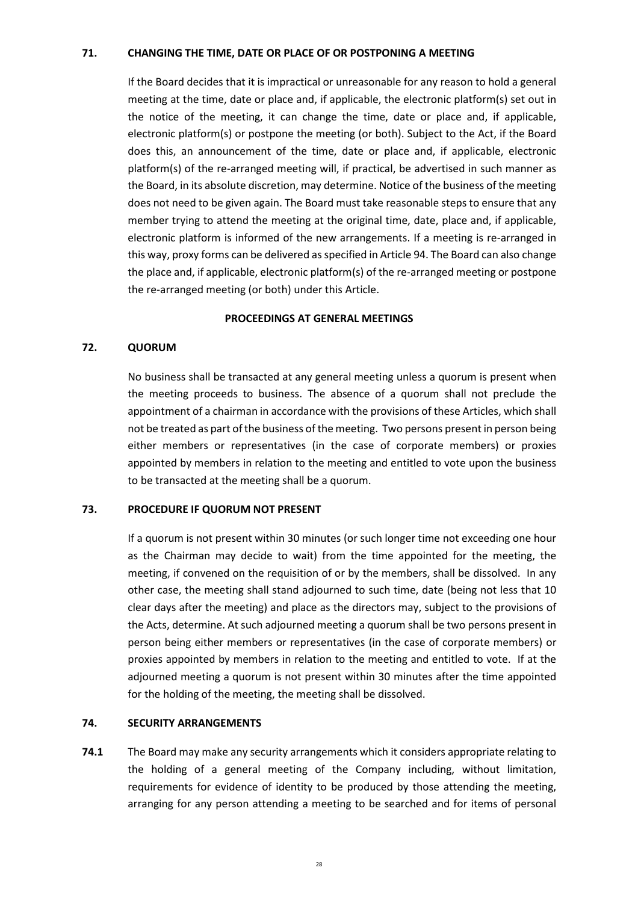## **71. CHANGING THE TIME, DATE OR PLACE OF OR POSTPONING A MEETING**

If the Board decides that it is impractical or unreasonable for any reason to hold a general meeting at the time, date or place and, if applicable, the electronic platform(s) set out in the notice of the meeting, it can change the time, date or place and, if applicable, electronic platform(s) or postpone the meeting (or both). Subject to the Act, if the Board does this, an announcement of the time, date or place and, if applicable, electronic platform(s) of the re-arranged meeting will, if practical, be advertised in such manner as the Board, in its absolute discretion, may determine. Notice of the business of the meeting does not need to be given again. The Board must take reasonable steps to ensure that any member trying to attend the meeting at the original time, date, place and, if applicable, electronic platform is informed of the new arrangements. If a meeting is re-arranged in this way, proxy forms can be delivered as specified in Article 94. The Board can also change the place and, if applicable, electronic platform(s) of the re-arranged meeting or postpone the re-arranged meeting (or both) under this Article.

#### **PROCEEDINGS AT GENERAL MEETINGS**

## **72. QUORUM**

No business shall be transacted at any general meeting unless a quorum is present when the meeting proceeds to business. The absence of a quorum shall not preclude the appointment of a chairman in accordance with the provisions of these Articles, which shall not be treated as part of the business of the meeting. Two persons present in person being either members or representatives (in the case of corporate members) or proxies appointed by members in relation to the meeting and entitled to vote upon the business to be transacted at the meeting shall be a quorum.

#### **73. PROCEDURE IF QUORUM NOT PRESENT**

If a quorum is not present within 30 minutes (or such longer time not exceeding one hour as the Chairman may decide to wait) from the time appointed for the meeting, the meeting, if convened on the requisition of or by the members, shall be dissolved. In any other case, the meeting shall stand adjourned to such time, date (being not less that 10 clear days after the meeting) and place as the directors may, subject to the provisions of the Acts, determine. At such adjourned meeting a quorum shall be two persons present in person being either members or representatives (in the case of corporate members) or proxies appointed by members in relation to the meeting and entitled to vote. If at the adjourned meeting a quorum is not present within 30 minutes after the time appointed for the holding of the meeting, the meeting shall be dissolved.

## **74. SECURITY ARRANGEMENTS**

**74.1** The Board may make any security arrangements which it considers appropriate relating to the holding of a general meeting of the Company including, without limitation, requirements for evidence of identity to be produced by those attending the meeting, arranging for any person attending a meeting to be searched and for items of personal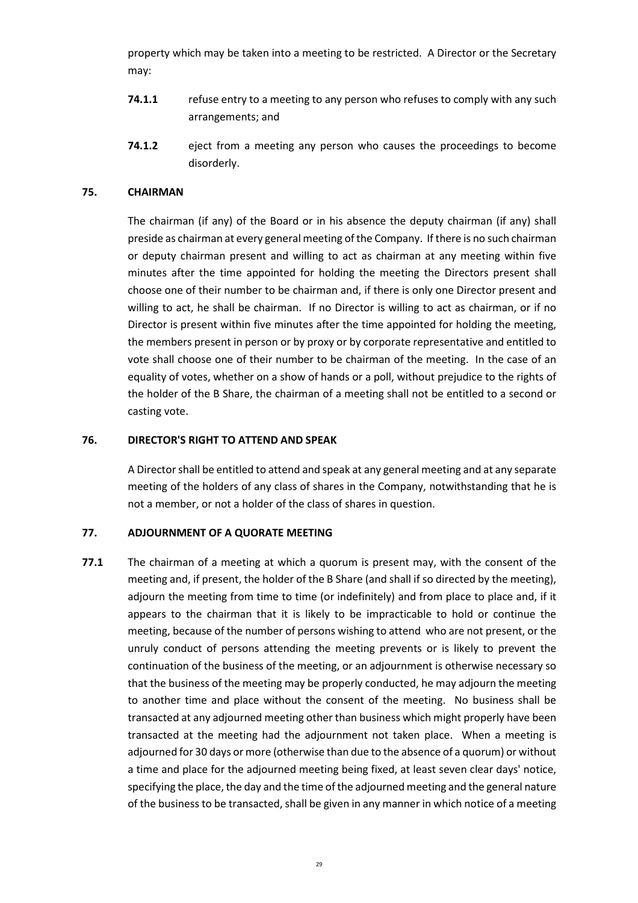property which may be taken into a meeting to be restricted. A Director or the Secretary may:

- **74.1.1** refuse entry to a meeting to any person who refuses to comply with any such arrangements; and
- **74.1.2** eject from a meeting any person who causes the proceedings to become disorderly.

### **75. CHAIRMAN**

The chairman (if any) of the Board or in his absence the deputy chairman (if any) shall preside as chairman at every general meeting of the Company. If there is no such chairman or deputy chairman present and willing to act as chairman at any meeting within five minutes after the time appointed for holding the meeting the Directors present shall choose one of their number to be chairman and, if there is only one Director present and willing to act, he shall be chairman. If no Director is willing to act as chairman, or if no Director is present within five minutes after the time appointed for holding the meeting, the members present in person or by proxy or by corporate representative and entitled to vote shall choose one of their number to be chairman of the meeting. In the case of an equality of votes, whether on a show of hands or a poll, without prejudice to the rights of the holder of the B Share, the chairman of a meeting shall not be entitled to a second or casting vote.

### **76. DIRECTOR'S RIGHT TO ATTEND AND SPEAK**

A Director shall be entitled to attend and speak at any general meeting and at any separate meeting of the holders of any class of shares in the Company, notwithstanding that he is not a member, or not a holder of the class of shares in question.

### **77. ADJOURNMENT OF A QUORATE MEETING**

**77.1** The chairman of a meeting at which a quorum is present may, with the consent of the meeting and, if present, the holder of the B Share (and shall if so directed by the meeting), adjourn the meeting from time to time (or indefinitely) and from place to place and, if it appears to the chairman that it is likely to be impracticable to hold or continue the meeting, because of the number of persons wishing to attend who are not present, or the unruly conduct of persons attending the meeting prevents or is likely to prevent the continuation of the business of the meeting, or an adjournment is otherwise necessary so that the business of the meeting may be properly conducted, he may adjourn the meeting to another time and place without the consent of the meeting. No business shall be transacted at any adjourned meeting other than business which might properly have been transacted at the meeting had the adjournment not taken place. When a meeting is adjourned for 30 days or more (otherwise than due to the absence of a quorum) or without a time and place for the adjourned meeting being fixed, at least seven clear days' notice, specifying the place, the day and the time of the adjourned meeting and the general nature of the business to be transacted, shall be given in any manner in which notice of a meeting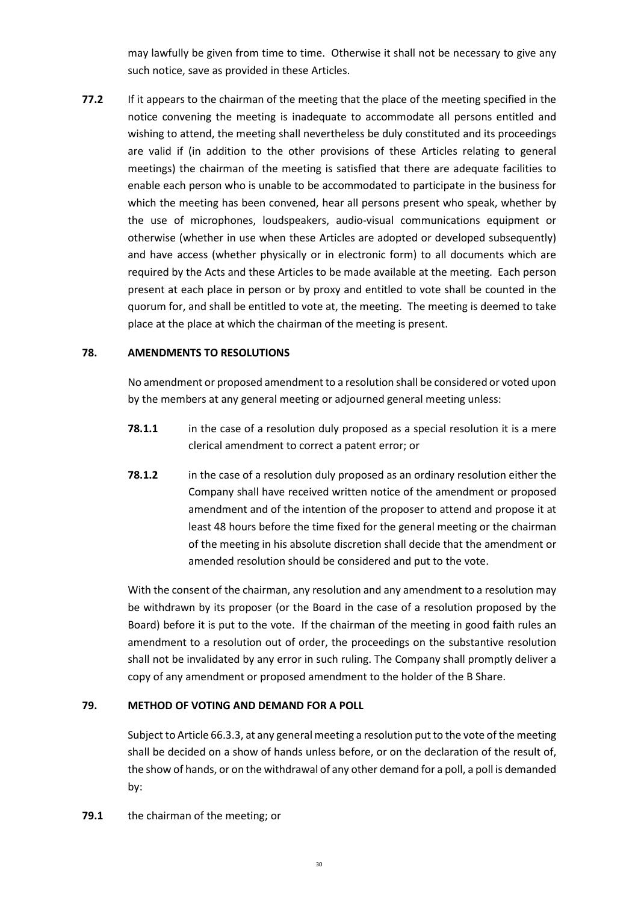may lawfully be given from time to time. Otherwise it shall not be necessary to give any such notice, save as provided in these Articles.

**77.2** If it appears to the chairman of the meeting that the place of the meeting specified in the notice convening the meeting is inadequate to accommodate all persons entitled and wishing to attend, the meeting shall nevertheless be duly constituted and its proceedings are valid if (in addition to the other provisions of these Articles relating to general meetings) the chairman of the meeting is satisfied that there are adequate facilities to enable each person who is unable to be accommodated to participate in the business for which the meeting has been convened, hear all persons present who speak, whether by the use of microphones, loudspeakers, audio-visual communications equipment or otherwise (whether in use when these Articles are adopted or developed subsequently) and have access (whether physically or in electronic form) to all documents which are required by the Acts and these Articles to be made available at the meeting. Each person present at each place in person or by proxy and entitled to vote shall be counted in the quorum for, and shall be entitled to vote at, the meeting. The meeting is deemed to take place at the place at which the chairman of the meeting is present.

# **78. AMENDMENTS TO RESOLUTIONS**

No amendment or proposed amendment to a resolution shall be considered or voted upon by the members at any general meeting or adjourned general meeting unless:

- **78.1.1** in the case of a resolution duly proposed as a special resolution it is a mere clerical amendment to correct a patent error; or
- **78.1.2** in the case of a resolution duly proposed as an ordinary resolution either the Company shall have received written notice of the amendment or proposed amendment and of the intention of the proposer to attend and propose it at least 48 hours before the time fixed for the general meeting or the chairman of the meeting in his absolute discretion shall decide that the amendment or amended resolution should be considered and put to the vote.

With the consent of the chairman, any resolution and any amendment to a resolution may be withdrawn by its proposer (or the Board in the case of a resolution proposed by the Board) before it is put to the vote. If the chairman of the meeting in good faith rules an amendment to a resolution out of order, the proceedings on the substantive resolution shall not be invalidated by any error in such ruling. The Company shall promptly deliver a copy of any amendment or proposed amendment to the holder of the B Share.

### **79. METHOD OF VOTING AND DEMAND FOR A POLL**

Subject to Article 66.3.3, at any general meeting a resolution put to the vote of the meeting shall be decided on a show of hands unless before, or on the declaration of the result of, the show of hands, or on the withdrawal of any other demand for a poll, a poll is demanded by:

**79.1** the chairman of the meeting; or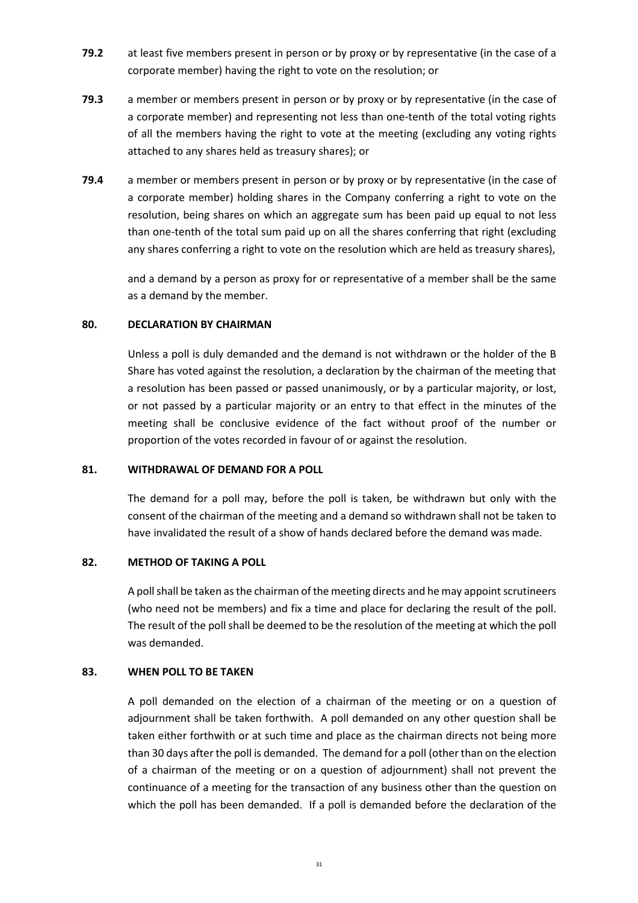- **79.2** at least five members present in person or by proxy or by representative (in the case of a corporate member) having the right to vote on the resolution; or
- **79.3** a member or members present in person or by proxy or by representative (in the case of a corporate member) and representing not less than one-tenth of the total voting rights of all the members having the right to vote at the meeting (excluding any voting rights attached to any shares held as treasury shares); or
- **79.4** a member or members present in person or by proxy or by representative (in the case of a corporate member) holding shares in the Company conferring a right to vote on the resolution, being shares on which an aggregate sum has been paid up equal to not less than one-tenth of the total sum paid up on all the shares conferring that right (excluding any shares conferring a right to vote on the resolution which are held as treasury shares),

and a demand by a person as proxy for or representative of a member shall be the same as a demand by the member.

### **80. DECLARATION BY CHAIRMAN**

Unless a poll is duly demanded and the demand is not withdrawn or the holder of the B Share has voted against the resolution, a declaration by the chairman of the meeting that a resolution has been passed or passed unanimously, or by a particular majority, or lost, or not passed by a particular majority or an entry to that effect in the minutes of the meeting shall be conclusive evidence of the fact without proof of the number or proportion of the votes recorded in favour of or against the resolution.

### **81. WITHDRAWAL OF DEMAND FOR A POLL**

The demand for a poll may, before the poll is taken, be withdrawn but only with the consent of the chairman of the meeting and a demand so withdrawn shall not be taken to have invalidated the result of a show of hands declared before the demand was made.

# **82. METHOD OF TAKING A POLL**

A poll shall be taken as the chairman of the meeting directs and he may appoint scrutineers (who need not be members) and fix a time and place for declaring the result of the poll. The result of the poll shall be deemed to be the resolution of the meeting at which the poll was demanded.

# **83. WHEN POLL TO BE TAKEN**

A poll demanded on the election of a chairman of the meeting or on a question of adjournment shall be taken forthwith. A poll demanded on any other question shall be taken either forthwith or at such time and place as the chairman directs not being more than 30 days after the poll is demanded. The demand for a poll (other than on the election of a chairman of the meeting or on a question of adjournment) shall not prevent the continuance of a meeting for the transaction of any business other than the question on which the poll has been demanded. If a poll is demanded before the declaration of the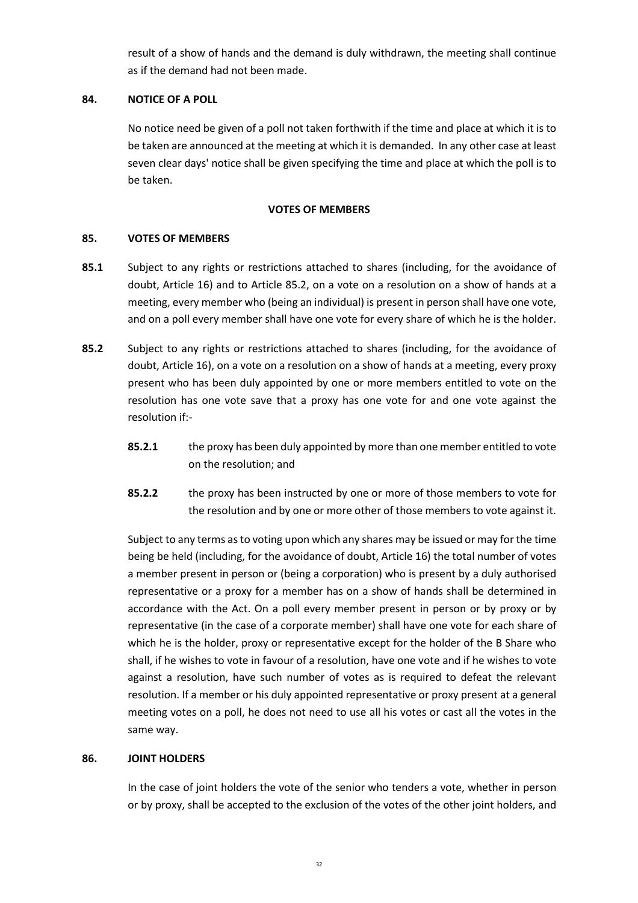result of a show of hands and the demand is duly withdrawn, the meeting shall continue as if the demand had not been made.

# **84. NOTICE OF A POLL**

No notice need be given of a poll not taken forthwith if the time and place at which it is to be taken are announced at the meeting at which it is demanded. In any other case at least seven clear days' notice shall be given specifying the time and place at which the poll is to be taken.

# **VOTES OF MEMBERS**

# **85. VOTES OF MEMBERS**

- **85.1** Subject to any rights or restrictions attached to shares (including, for the avoidance of doubt, Article 16) and to Article 85.2, on a vote on a resolution on a show of hands at a meeting, every member who (being an individual) is present in person shall have one vote, and on a poll every member shall have one vote for every share of which he is the holder.
- **85.2** Subject to any rights or restrictions attached to shares (including, for the avoidance of doubt, Article 16), on a vote on a resolution on a show of hands at a meeting, every proxy present who has been duly appointed by one or more members entitled to vote on the resolution has one vote save that a proxy has one vote for and one vote against the resolution if:-
	- **85.2.1** the proxy has been duly appointed by more than one member entitled to vote on the resolution; and
	- **85.2.2** the proxy has been instructed by one or more of those members to vote for the resolution and by one or more other of those members to vote against it.

Subject to any terms as to voting upon which any shares may be issued or may for the time being be held (including, for the avoidance of doubt, Article 16) the total number of votes a member present in person or (being a corporation) who is present by a duly authorised representative or a proxy for a member has on a show of hands shall be determined in accordance with the Act. On a poll every member present in person or by proxy or by representative (in the case of a corporate member) shall have one vote for each share of which he is the holder, proxy or representative except for the holder of the B Share who shall, if he wishes to vote in favour of a resolution, have one vote and if he wishes to vote against a resolution, have such number of votes as is required to defeat the relevant resolution. If a member or his duly appointed representative or proxy present at a general meeting votes on a poll, he does not need to use all his votes or cast all the votes in the same way.

### **86. JOINT HOLDERS**

In the case of joint holders the vote of the senior who tenders a vote, whether in person or by proxy, shall be accepted to the exclusion of the votes of the other joint holders, and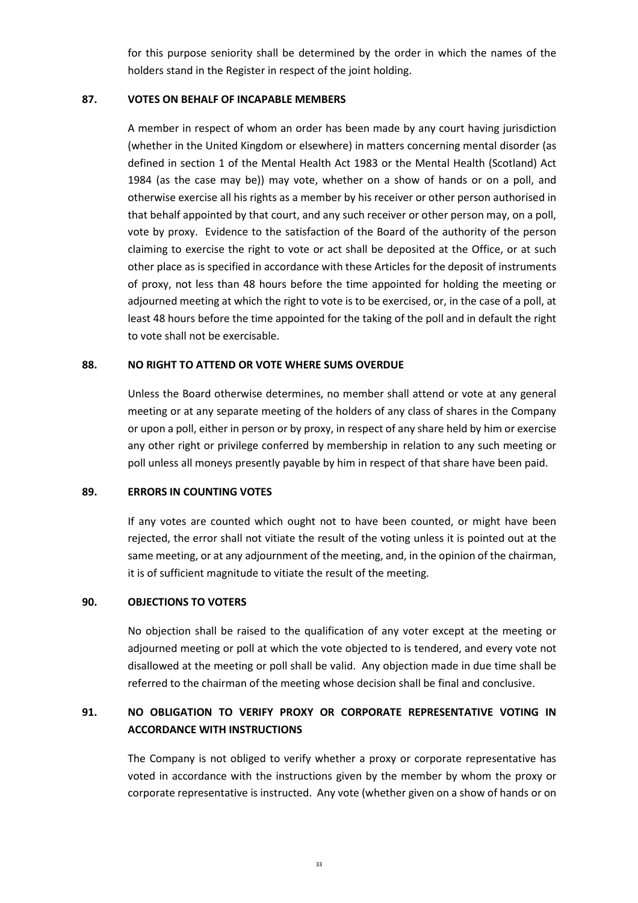for this purpose seniority shall be determined by the order in which the names of the holders stand in the Register in respect of the joint holding.

### **87. VOTES ON BEHALF OF INCAPABLE MEMBERS**

A member in respect of whom an order has been made by any court having jurisdiction (whether in the United Kingdom or elsewhere) in matters concerning mental disorder (as defined in section 1 of the Mental Health Act 1983 or the Mental Health (Scotland) Act 1984 (as the case may be)) may vote, whether on a show of hands or on a poll, and otherwise exercise all his rights as a member by his receiver or other person authorised in that behalf appointed by that court, and any such receiver or other person may, on a poll, vote by proxy. Evidence to the satisfaction of the Board of the authority of the person claiming to exercise the right to vote or act shall be deposited at the Office, or at such other place as is specified in accordance with these Articles for the deposit of instruments of proxy, not less than 48 hours before the time appointed for holding the meeting or adjourned meeting at which the right to vote is to be exercised, or, in the case of a poll, at least 48 hours before the time appointed for the taking of the poll and in default the right to vote shall not be exercisable.

### **88. NO RIGHT TO ATTEND OR VOTE WHERE SUMS OVERDUE**

Unless the Board otherwise determines, no member shall attend or vote at any general meeting or at any separate meeting of the holders of any class of shares in the Company or upon a poll, either in person or by proxy, in respect of any share held by him or exercise any other right or privilege conferred by membership in relation to any such meeting or poll unless all moneys presently payable by him in respect of that share have been paid.

### **89. ERRORS IN COUNTING VOTES**

If any votes are counted which ought not to have been counted, or might have been rejected, the error shall not vitiate the result of the voting unless it is pointed out at the same meeting, or at any adjournment of the meeting, and, in the opinion of the chairman, it is of sufficient magnitude to vitiate the result of the meeting.

#### **90. OBJECTIONS TO VOTERS**

No objection shall be raised to the qualification of any voter except at the meeting or adjourned meeting or poll at which the vote objected to is tendered, and every vote not disallowed at the meeting or poll shall be valid. Any objection made in due time shall be referred to the chairman of the meeting whose decision shall be final and conclusive.

# **91. NO OBLIGATION TO VERIFY PROXY OR CORPORATE REPRESENTATIVE VOTING IN ACCORDANCE WITH INSTRUCTIONS**

The Company is not obliged to verify whether a proxy or corporate representative has voted in accordance with the instructions given by the member by whom the proxy or corporate representative is instructed. Any vote (whether given on a show of hands or on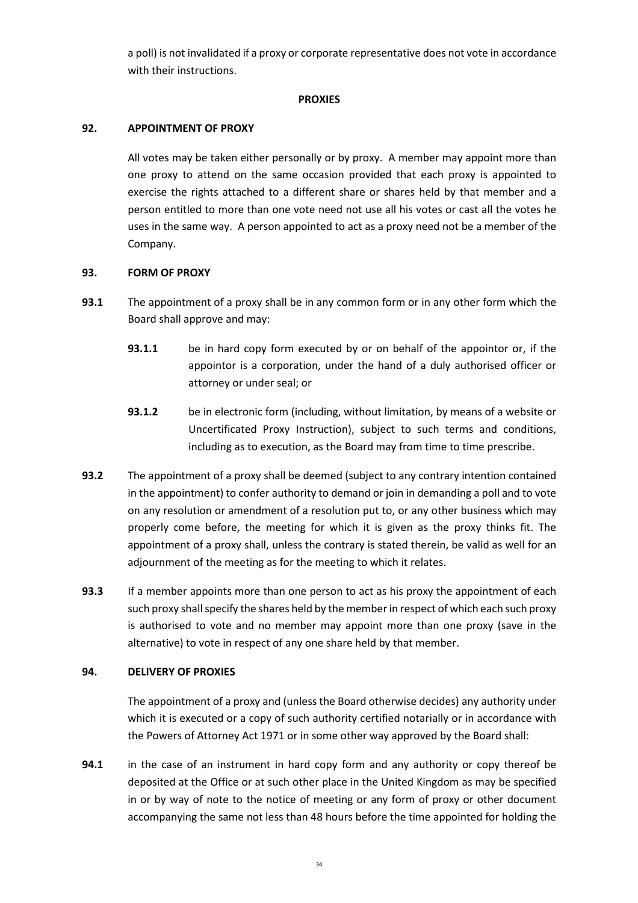a poll) is not invalidated if a proxy or corporate representative does not vote in accordance with their instructions.

### **PROXIES**

# **92. APPOINTMENT OF PROXY**

All votes may be taken either personally or by proxy. A member may appoint more than one proxy to attend on the same occasion provided that each proxy is appointed to exercise the rights attached to a different share or shares held by that member and a person entitled to more than one vote need not use all his votes or cast all the votes he uses in the same way. A person appointed to act as a proxy need not be a member of the Company.

# **93. FORM OF PROXY**

- **93.1** The appointment of a proxy shall be in any common form or in any other form which the Board shall approve and may:
	- **93.1.1** be in hard copy form executed by or on behalf of the appointor or, if the appointor is a corporation, under the hand of a duly authorised officer or attorney or under seal; or
	- **93.1.2** be in electronic form (including, without limitation, by means of a website or Uncertificated Proxy Instruction), subject to such terms and conditions, including as to execution, as the Board may from time to time prescribe.
- **93.2** The appointment of a proxy shall be deemed (subject to any contrary intention contained in the appointment) to confer authority to demand or join in demanding a poll and to vote on any resolution or amendment of a resolution put to, or any other business which may properly come before, the meeting for which it is given as the proxy thinks fit. The appointment of a proxy shall, unless the contrary is stated therein, be valid as well for an adjournment of the meeting as for the meeting to which it relates.
- **93.3** If a member appoints more than one person to act as his proxy the appointment of each such proxy shall specify the shares held by the member in respect of which each such proxy is authorised to vote and no member may appoint more than one proxy (save in the alternative) to vote in respect of any one share held by that member.

# **94. DELIVERY OF PROXIES**

The appointment of a proxy and (unless the Board otherwise decides) any authority under which it is executed or a copy of such authority certified notarially or in accordance with the Powers of Attorney Act 1971 or in some other way approved by the Board shall:

**94.1** in the case of an instrument in hard copy form and any authority or copy thereof be deposited at the Office or at such other place in the United Kingdom as may be specified in or by way of note to the notice of meeting or any form of proxy or other document accompanying the same not less than 48 hours before the time appointed for holding the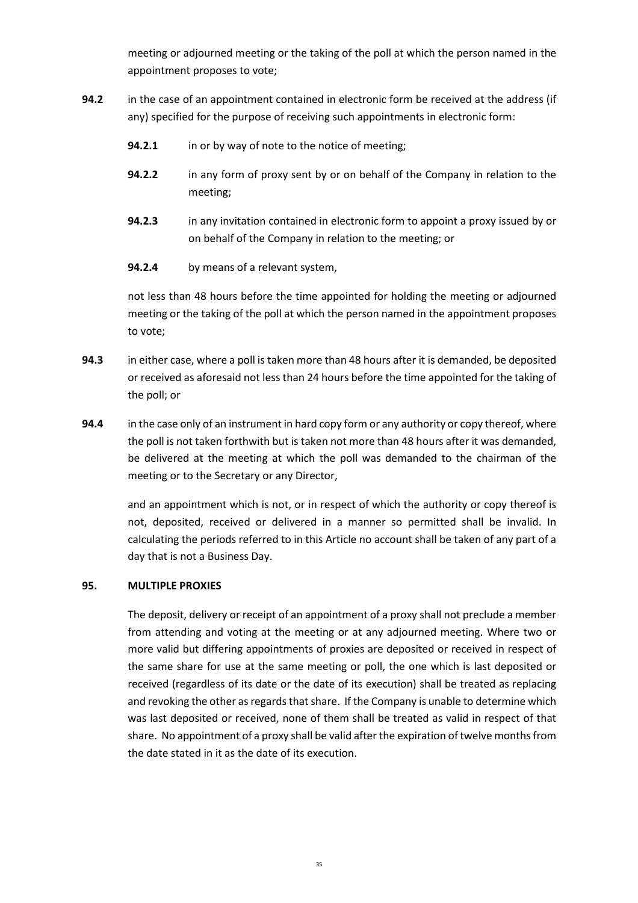meeting or adjourned meeting or the taking of the poll at which the person named in the appointment proposes to vote;

- **94.2** in the case of an appointment contained in electronic form be received at the address (if any) specified for the purpose of receiving such appointments in electronic form:
	- **94.2.1** in or by way of note to the notice of meeting;
	- **94.2.2** in any form of proxy sent by or on behalf of the Company in relation to the meeting;
	- **94.2.3** in any invitation contained in electronic form to appoint a proxy issued by or on behalf of the Company in relation to the meeting; or
	- **94.2.4** by means of a relevant system,

not less than 48 hours before the time appointed for holding the meeting or adjourned meeting or the taking of the poll at which the person named in the appointment proposes to vote;

- **94.3** in either case, where a poll is taken more than 48 hours after it is demanded, be deposited or received as aforesaid not less than 24 hours before the time appointed for the taking of the poll; or
- **94.4** in the case only of an instrument in hard copy form or any authority or copy thereof, where the poll is not taken forthwith but is taken not more than 48 hours after it was demanded, be delivered at the meeting at which the poll was demanded to the chairman of the meeting or to the Secretary or any Director,

and an appointment which is not, or in respect of which the authority or copy thereof is not, deposited, received or delivered in a manner so permitted shall be invalid. In calculating the periods referred to in this Article no account shall be taken of any part of a day that is not a Business Day.

# **95. MULTIPLE PROXIES**

The deposit, delivery or receipt of an appointment of a proxy shall not preclude a member from attending and voting at the meeting or at any adjourned meeting. Where two or more valid but differing appointments of proxies are deposited or received in respect of the same share for use at the same meeting or poll, the one which is last deposited or received (regardless of its date or the date of its execution) shall be treated as replacing and revoking the other as regards that share. If the Company is unable to determine which was last deposited or received, none of them shall be treated as valid in respect of that share. No appointment of a proxy shall be valid after the expiration of twelve months from the date stated in it as the date of its execution.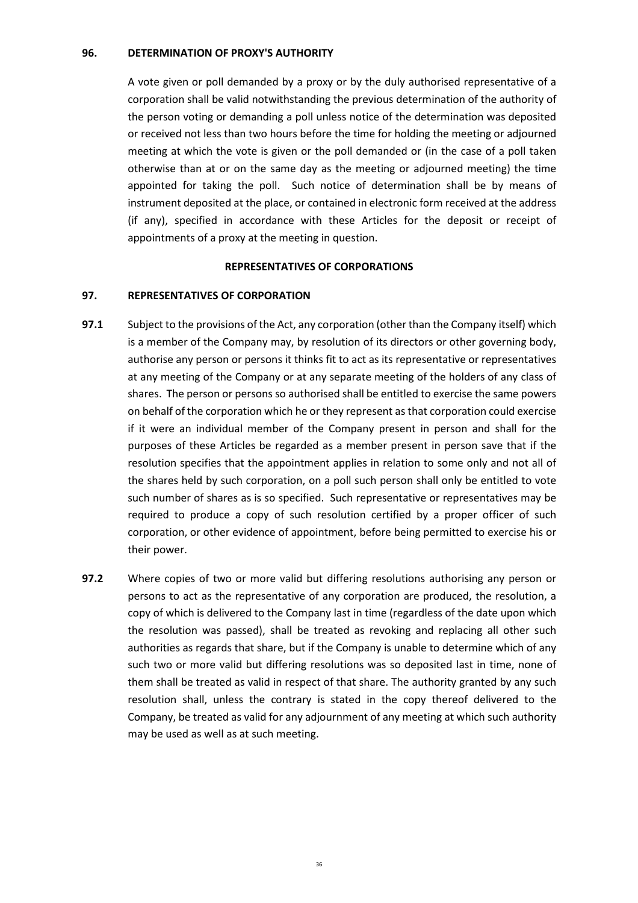### **96. DETERMINATION OF PROXY'S AUTHORITY**

A vote given or poll demanded by a proxy or by the duly authorised representative of a corporation shall be valid notwithstanding the previous determination of the authority of the person voting or demanding a poll unless notice of the determination was deposited or received not less than two hours before the time for holding the meeting or adjourned meeting at which the vote is given or the poll demanded or (in the case of a poll taken otherwise than at or on the same day as the meeting or adjourned meeting) the time appointed for taking the poll. Such notice of determination shall be by means of instrument deposited at the place, or contained in electronic form received at the address (if any), specified in accordance with these Articles for the deposit or receipt of appointments of a proxy at the meeting in question.

#### **REPRESENTATIVES OF CORPORATIONS**

### **97. REPRESENTATIVES OF CORPORATION**

- **97.1** Subject to the provisions of the Act, any corporation (other than the Company itself) which is a member of the Company may, by resolution of its directors or other governing body, authorise any person or persons it thinks fit to act as its representative or representatives at any meeting of the Company or at any separate meeting of the holders of any class of shares. The person or persons so authorised shall be entitled to exercise the same powers on behalf of the corporation which he or they represent as that corporation could exercise if it were an individual member of the Company present in person and shall for the purposes of these Articles be regarded as a member present in person save that if the resolution specifies that the appointment applies in relation to some only and not all of the shares held by such corporation, on a poll such person shall only be entitled to vote such number of shares as is so specified. Such representative or representatives may be required to produce a copy of such resolution certified by a proper officer of such corporation, or other evidence of appointment, before being permitted to exercise his or their power.
- **97.2** Where copies of two or more valid but differing resolutions authorising any person or persons to act as the representative of any corporation are produced, the resolution, a copy of which is delivered to the Company last in time (regardless of the date upon which the resolution was passed), shall be treated as revoking and replacing all other such authorities as regards that share, but if the Company is unable to determine which of any such two or more valid but differing resolutions was so deposited last in time, none of them shall be treated as valid in respect of that share. The authority granted by any such resolution shall, unless the contrary is stated in the copy thereof delivered to the Company, be treated as valid for any adjournment of any meeting at which such authority may be used as well as at such meeting.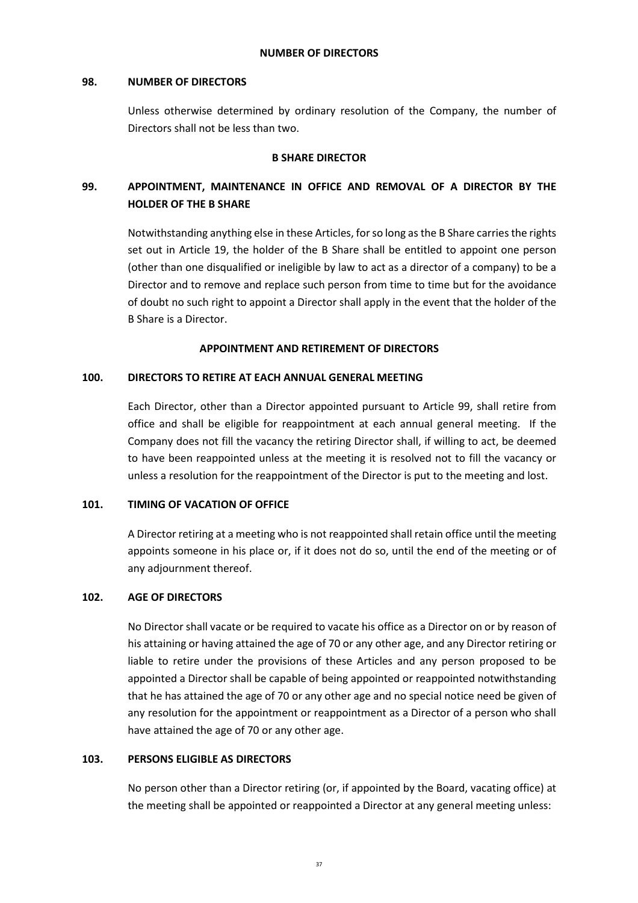### **98. NUMBER OF DIRECTORS**

Unless otherwise determined by ordinary resolution of the Company, the number of Directors shall not be less than two.

# **B SHARE DIRECTOR**

# **99. APPOINTMENT, MAINTENANCE IN OFFICE AND REMOVAL OF A DIRECTOR BY THE HOLDER OF THE B SHARE**

Notwithstanding anything else in these Articles, for so long as the B Share carries the rights set out in Article 19, the holder of the B Share shall be entitled to appoint one person (other than one disqualified or ineligible by law to act as a director of a company) to be a Director and to remove and replace such person from time to time but for the avoidance of doubt no such right to appoint a Director shall apply in the event that the holder of the B Share is a Director.

# **APPOINTMENT AND RETIREMENT OF DIRECTORS**

### **100. DIRECTORS TO RETIRE AT EACH ANNUAL GENERAL MEETING**

Each Director, other than a Director appointed pursuant to Article 99, shall retire from office and shall be eligible for reappointment at each annual general meeting. If the Company does not fill the vacancy the retiring Director shall, if willing to act, be deemed to have been reappointed unless at the meeting it is resolved not to fill the vacancy or unless a resolution for the reappointment of the Director is put to the meeting and lost.

### **101. TIMING OF VACATION OF OFFICE**

A Director retiring at a meeting who is not reappointed shall retain office until the meeting appoints someone in his place or, if it does not do so, until the end of the meeting or of any adjournment thereof.

# **102. AGE OF DIRECTORS**

No Director shall vacate or be required to vacate his office as a Director on or by reason of his attaining or having attained the age of 70 or any other age, and any Director retiring or liable to retire under the provisions of these Articles and any person proposed to be appointed a Director shall be capable of being appointed or reappointed notwithstanding that he has attained the age of 70 or any other age and no special notice need be given of any resolution for the appointment or reappointment as a Director of a person who shall have attained the age of 70 or any other age.

### **103. PERSONS ELIGIBLE AS DIRECTORS**

No person other than a Director retiring (or, if appointed by the Board, vacating office) at the meeting shall be appointed or reappointed a Director at any general meeting unless: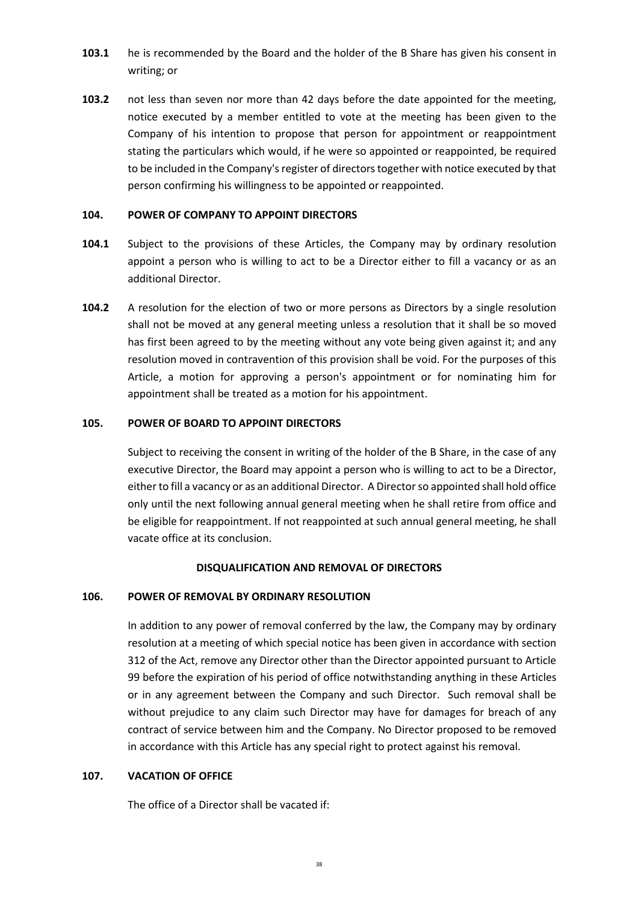- **103.1** he is recommended by the Board and the holder of the B Share has given his consent in writing; or
- **103.2** not less than seven nor more than 42 days before the date appointed for the meeting, notice executed by a member entitled to vote at the meeting has been given to the Company of his intention to propose that person for appointment or reappointment stating the particulars which would, if he were so appointed or reappointed, be required to be included in the Company's register of directors together with notice executed by that person confirming his willingness to be appointed or reappointed.

### **104. POWER OF COMPANY TO APPOINT DIRECTORS**

- **104.1** Subject to the provisions of these Articles, the Company may by ordinary resolution appoint a person who is willing to act to be a Director either to fill a vacancy or as an additional Director.
- **104.2** A resolution for the election of two or more persons as Directors by a single resolution shall not be moved at any general meeting unless a resolution that it shall be so moved has first been agreed to by the meeting without any vote being given against it; and any resolution moved in contravention of this provision shall be void. For the purposes of this Article, a motion for approving a person's appointment or for nominating him for appointment shall be treated as a motion for his appointment.

### **105. POWER OF BOARD TO APPOINT DIRECTORS**

Subject to receiving the consent in writing of the holder of the B Share, in the case of any executive Director, the Board may appoint a person who is willing to act to be a Director, either to fill a vacancy or as an additional Director. A Director so appointed shall hold office only until the next following annual general meeting when he shall retire from office and be eligible for reappointment. If not reappointed at such annual general meeting, he shall vacate office at its conclusion.

#### **DISQUALIFICATION AND REMOVAL OF DIRECTORS**

#### **106. POWER OF REMOVAL BY ORDINARY RESOLUTION**

In addition to any power of removal conferred by the law, the Company may by ordinary resolution at a meeting of which special notice has been given in accordance with section 312 of the Act, remove any Director other than the Director appointed pursuant to Article 99 before the expiration of his period of office notwithstanding anything in these Articles or in any agreement between the Company and such Director. Such removal shall be without prejudice to any claim such Director may have for damages for breach of any contract of service between him and the Company. No Director proposed to be removed in accordance with this Article has any special right to protect against his removal.

#### **107. VACATION OF OFFICE**

The office of a Director shall be vacated if: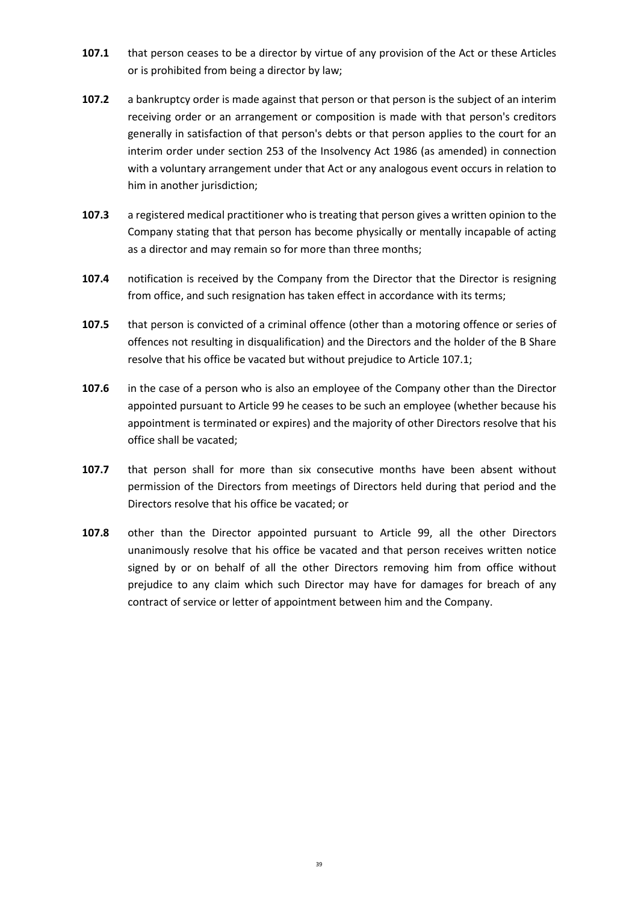- **107.1** that person ceases to be a director by virtue of any provision of the Act or these Articles or is prohibited from being a director by law;
- **107.2** a bankruptcy order is made against that person or that person is the subject of an interim receiving order or an arrangement or composition is made with that person's creditors generally in satisfaction of that person's debts or that person applies to the court for an interim order under section 253 of the Insolvency Act 1986 (as amended) in connection with a voluntary arrangement under that Act or any analogous event occurs in relation to him in another jurisdiction;
- **107.3** a registered medical practitioner who is treating that person gives a written opinion to the Company stating that that person has become physically or mentally incapable of acting as a director and may remain so for more than three months;
- **107.4** notification is received by the Company from the Director that the Director is resigning from office, and such resignation has taken effect in accordance with its terms;
- **107.5** that person is convicted of a criminal offence (other than a motoring offence or series of offences not resulting in disqualification) and the Directors and the holder of the B Share resolve that his office be vacated but without prejudice to Article 107.1;
- **107.6** in the case of a person who is also an employee of the Company other than the Director appointed pursuant to Article 99 he ceases to be such an employee (whether because his appointment is terminated or expires) and the majority of other Directors resolve that his office shall be vacated;
- **107.7** that person shall for more than six consecutive months have been absent without permission of the Directors from meetings of Directors held during that period and the Directors resolve that his office be vacated; or
- **107.8** other than the Director appointed pursuant to Article 99, all the other Directors unanimously resolve that his office be vacated and that person receives written notice signed by or on behalf of all the other Directors removing him from office without prejudice to any claim which such Director may have for damages for breach of any contract of service or letter of appointment between him and the Company.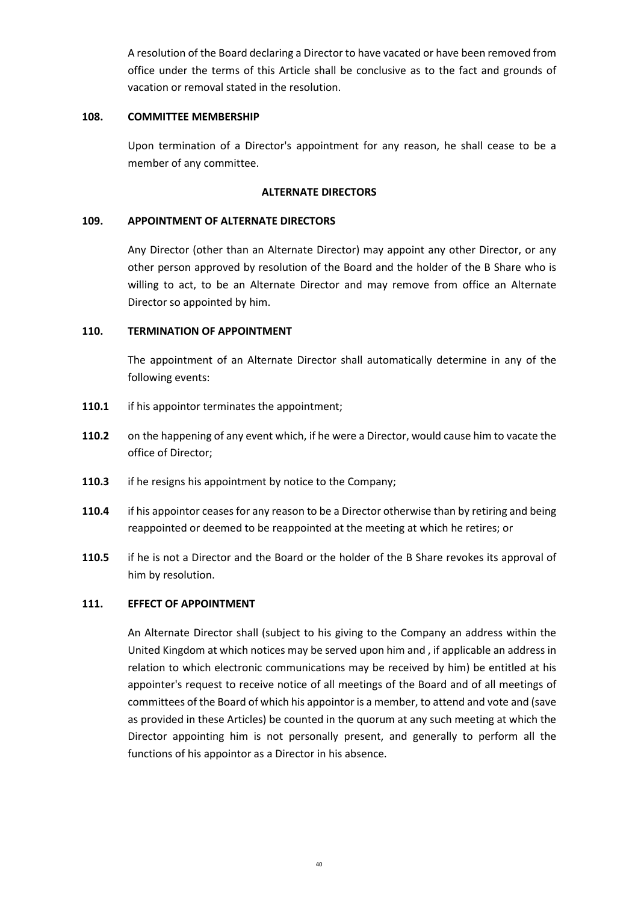A resolution of the Board declaring a Director to have vacated or have been removed from office under the terms of this Article shall be conclusive as to the fact and grounds of vacation or removal stated in the resolution.

### **108. COMMITTEE MEMBERSHIP**

Upon termination of a Director's appointment for any reason, he shall cease to be a member of any committee.

# **ALTERNATE DIRECTORS**

# **109. APPOINTMENT OF ALTERNATE DIRECTORS**

Any Director (other than an Alternate Director) may appoint any other Director, or any other person approved by resolution of the Board and the holder of the B Share who is willing to act, to be an Alternate Director and may remove from office an Alternate Director so appointed by him.

# **110. TERMINATION OF APPOINTMENT**

The appointment of an Alternate Director shall automatically determine in any of the following events:

- **110.1** if his appointor terminates the appointment;
- **110.2** on the happening of any event which, if he were a Director, would cause him to vacate the office of Director;
- **110.3** if he resigns his appointment by notice to the Company;
- **110.4** if his appointor ceases for any reason to be a Director otherwise than by retiring and being reappointed or deemed to be reappointed at the meeting at which he retires; or
- **110.5** if he is not a Director and the Board or the holder of the B Share revokes its approval of him by resolution.

### **111. EFFECT OF APPOINTMENT**

An Alternate Director shall (subject to his giving to the Company an address within the United Kingdom at which notices may be served upon him and , if applicable an address in relation to which electronic communications may be received by him) be entitled at his appointer's request to receive notice of all meetings of the Board and of all meetings of committees of the Board of which his appointor is a member, to attend and vote and (save as provided in these Articles) be counted in the quorum at any such meeting at which the Director appointing him is not personally present, and generally to perform all the functions of his appointor as a Director in his absence.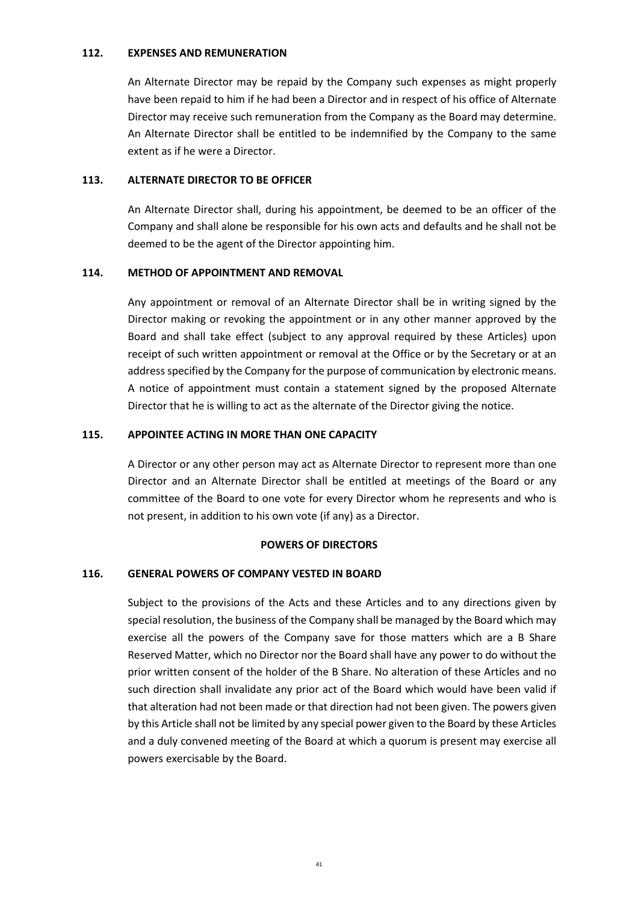### **112. EXPENSES AND REMUNERATION**

An Alternate Director may be repaid by the Company such expenses as might properly have been repaid to him if he had been a Director and in respect of his office of Alternate Director may receive such remuneration from the Company as the Board may determine. An Alternate Director shall be entitled to be indemnified by the Company to the same extent as if he were a Director.

### **113. ALTERNATE DIRECTOR TO BE OFFICER**

An Alternate Director shall, during his appointment, be deemed to be an officer of the Company and shall alone be responsible for his own acts and defaults and he shall not be deemed to be the agent of the Director appointing him.

### **114. METHOD OF APPOINTMENT AND REMOVAL**

Any appointment or removal of an Alternate Director shall be in writing signed by the Director making or revoking the appointment or in any other manner approved by the Board and shall take effect (subject to any approval required by these Articles) upon receipt of such written appointment or removal at the Office or by the Secretary or at an address specified by the Company for the purpose of communication by electronic means. A notice of appointment must contain a statement signed by the proposed Alternate Director that he is willing to act as the alternate of the Director giving the notice.

### **115. APPOINTEE ACTING IN MORE THAN ONE CAPACITY**

A Director or any other person may act as Alternate Director to represent more than one Director and an Alternate Director shall be entitled at meetings of the Board or any committee of the Board to one vote for every Director whom he represents and who is not present, in addition to his own vote (if any) as a Director.

### **POWERS OF DIRECTORS**

### **116. GENERAL POWERS OF COMPANY VESTED IN BOARD**

Subject to the provisions of the Acts and these Articles and to any directions given by special resolution, the business of the Company shall be managed by the Board which may exercise all the powers of the Company save for those matters which are a B Share Reserved Matter, which no Director nor the Board shall have any power to do without the prior written consent of the holder of the B Share. No alteration of these Articles and no such direction shall invalidate any prior act of the Board which would have been valid if that alteration had not been made or that direction had not been given. The powers given by this Article shall not be limited by any special power given to the Board by these Articles and a duly convened meeting of the Board at which a quorum is present may exercise all powers exercisable by the Board.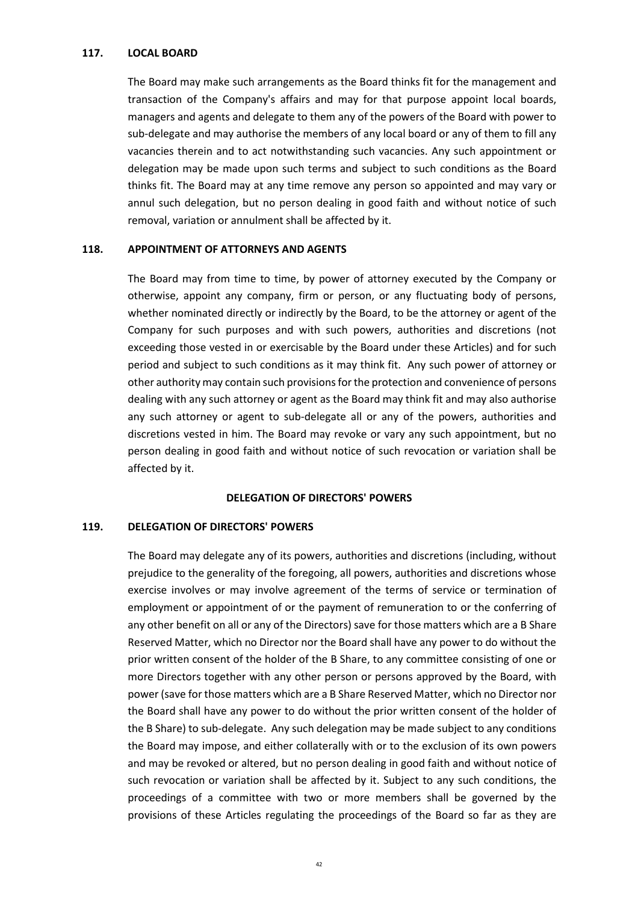### **117. LOCAL BOARD**

The Board may make such arrangements as the Board thinks fit for the management and transaction of the Company's affairs and may for that purpose appoint local boards, managers and agents and delegate to them any of the powers of the Board with power to sub-delegate and may authorise the members of any local board or any of them to fill any vacancies therein and to act notwithstanding such vacancies. Any such appointment or delegation may be made upon such terms and subject to such conditions as the Board thinks fit. The Board may at any time remove any person so appointed and may vary or annul such delegation, but no person dealing in good faith and without notice of such removal, variation or annulment shall be affected by it.

#### **118. APPOINTMENT OF ATTORNEYS AND AGENTS**

The Board may from time to time, by power of attorney executed by the Company or otherwise, appoint any company, firm or person, or any fluctuating body of persons, whether nominated directly or indirectly by the Board, to be the attorney or agent of the Company for such purposes and with such powers, authorities and discretions (not exceeding those vested in or exercisable by the Board under these Articles) and for such period and subject to such conditions as it may think fit. Any such power of attorney or other authority may contain such provisions for the protection and convenience of persons dealing with any such attorney or agent as the Board may think fit and may also authorise any such attorney or agent to sub-delegate all or any of the powers, authorities and discretions vested in him. The Board may revoke or vary any such appointment, but no person dealing in good faith and without notice of such revocation or variation shall be affected by it.

### **DELEGATION OF DIRECTORS' POWERS**

#### **119. DELEGATION OF DIRECTORS' POWERS**

The Board may delegate any of its powers, authorities and discretions (including, without prejudice to the generality of the foregoing, all powers, authorities and discretions whose exercise involves or may involve agreement of the terms of service or termination of employment or appointment of or the payment of remuneration to or the conferring of any other benefit on all or any of the Directors) save for those matters which are a B Share Reserved Matter, which no Director nor the Board shall have any power to do without the prior written consent of the holder of the B Share, to any committee consisting of one or more Directors together with any other person or persons approved by the Board, with power (save for those matters which are a B Share Reserved Matter, which no Director nor the Board shall have any power to do without the prior written consent of the holder of the B Share) to sub-delegate. Any such delegation may be made subject to any conditions the Board may impose, and either collaterally with or to the exclusion of its own powers and may be revoked or altered, but no person dealing in good faith and without notice of such revocation or variation shall be affected by it. Subject to any such conditions, the proceedings of a committee with two or more members shall be governed by the provisions of these Articles regulating the proceedings of the Board so far as they are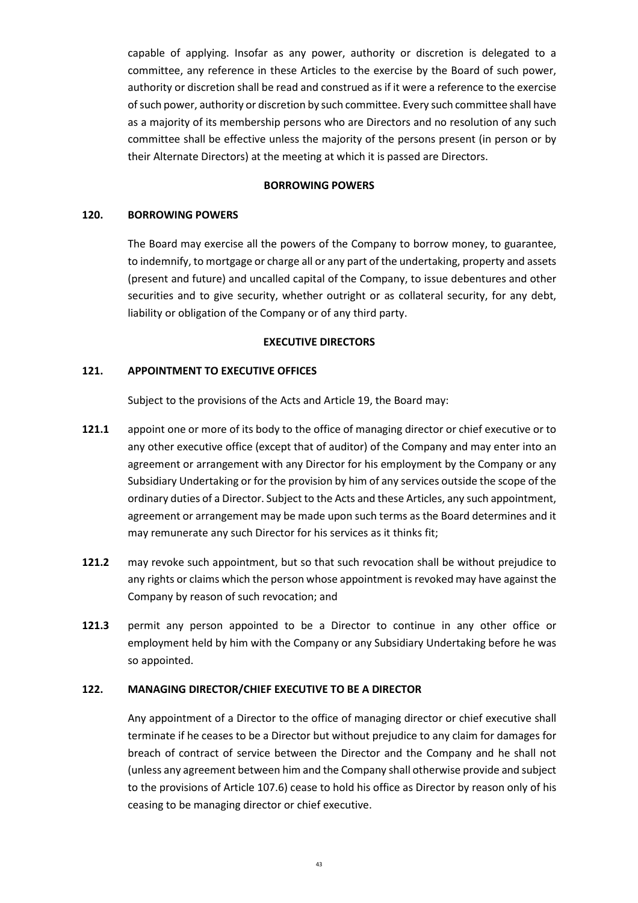capable of applying. Insofar as any power, authority or discretion is delegated to a committee, any reference in these Articles to the exercise by the Board of such power, authority or discretion shall be read and construed as if it were a reference to the exercise of such power, authority or discretion by such committee. Every such committee shall have as a majority of its membership persons who are Directors and no resolution of any such committee shall be effective unless the majority of the persons present (in person or by their Alternate Directors) at the meeting at which it is passed are Directors.

### **BORROWING POWERS**

### **120. BORROWING POWERS**

The Board may exercise all the powers of the Company to borrow money, to guarantee, to indemnify, to mortgage or charge all or any part of the undertaking, property and assets (present and future) and uncalled capital of the Company, to issue debentures and other securities and to give security, whether outright or as collateral security, for any debt, liability or obligation of the Company or of any third party.

#### **EXECUTIVE DIRECTORS**

### **121. APPOINTMENT TO EXECUTIVE OFFICES**

Subject to the provisions of the Acts and Article 19, the Board may:

- **121.1** appoint one or more of its body to the office of managing director or chief executive or to any other executive office (except that of auditor) of the Company and may enter into an agreement or arrangement with any Director for his employment by the Company or any Subsidiary Undertaking or for the provision by him of any services outside the scope of the ordinary duties of a Director. Subject to the Acts and these Articles, any such appointment, agreement or arrangement may be made upon such terms as the Board determines and it may remunerate any such Director for his services as it thinks fit;
- **121.2** may revoke such appointment, but so that such revocation shall be without prejudice to any rights or claims which the person whose appointment is revoked may have against the Company by reason of such revocation; and
- **121.3** permit any person appointed to be a Director to continue in any other office or employment held by him with the Company or any Subsidiary Undertaking before he was so appointed.

#### **122. MANAGING DIRECTOR/CHIEF EXECUTIVE TO BE A DIRECTOR**

Any appointment of a Director to the office of managing director or chief executive shall terminate if he ceases to be a Director but without prejudice to any claim for damages for breach of contract of service between the Director and the Company and he shall not (unless any agreement between him and the Company shall otherwise provide and subject to the provisions of Article 107.6) cease to hold his office as Director by reason only of his ceasing to be managing director or chief executive.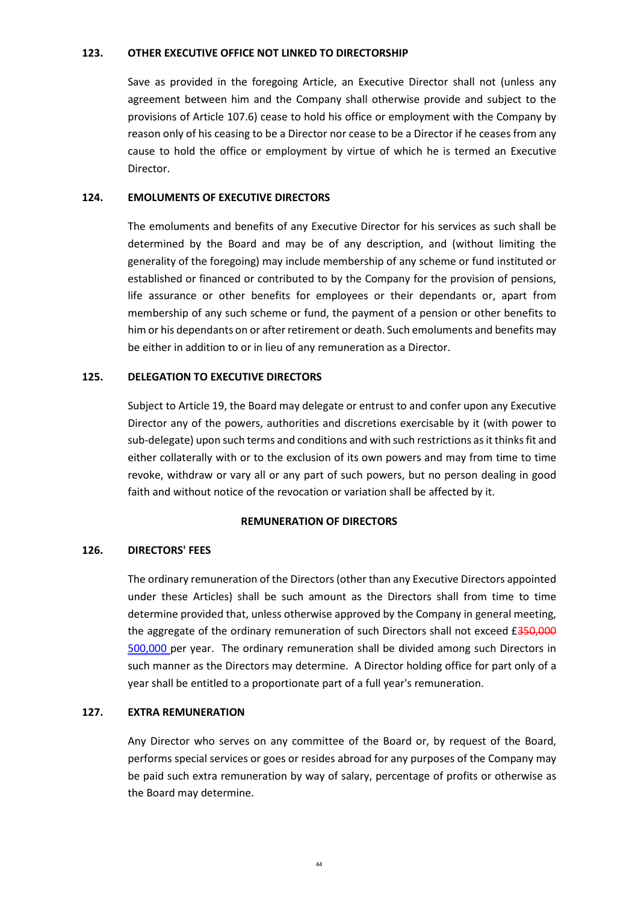### **123. OTHER EXECUTIVE OFFICE NOT LINKED TO DIRECTORSHIP**

Save as provided in the foregoing Article, an Executive Director shall not (unless any agreement between him and the Company shall otherwise provide and subject to the provisions of Article 107.6) cease to hold his office or employment with the Company by reason only of his ceasing to be a Director nor cease to be a Director if he ceases from any cause to hold the office or employment by virtue of which he is termed an Executive Director.

### **124. EMOLUMENTS OF EXECUTIVE DIRECTORS**

The emoluments and benefits of any Executive Director for his services as such shall be determined by the Board and may be of any description, and (without limiting the generality of the foregoing) may include membership of any scheme or fund instituted or established or financed or contributed to by the Company for the provision of pensions, life assurance or other benefits for employees or their dependants or, apart from membership of any such scheme or fund, the payment of a pension or other benefits to him or his dependants on or after retirement or death. Such emoluments and benefits may be either in addition to or in lieu of any remuneration as a Director.

### **125. DELEGATION TO EXECUTIVE DIRECTORS**

Subject to Article 19, the Board may delegate or entrust to and confer upon any Executive Director any of the powers, authorities and discretions exercisable by it (with power to sub-delegate) upon such terms and conditions and with such restrictions as it thinks fit and either collaterally with or to the exclusion of its own powers and may from time to time revoke, withdraw or vary all or any part of such powers, but no person dealing in good faith and without notice of the revocation or variation shall be affected by it.

### **REMUNERATION OF DIRECTORS**

### **126. DIRECTORS' FEES**

The ordinary remuneration of the Directors (other than any Executive Directors appointed under these Articles) shall be such amount as the Directors shall from time to time determine provided that, unless otherwise approved by the Company in general meeting, the aggregate of the ordinary remuneration of such Directors shall not exceed  $£350,000$ 500,000 per year. The ordinary remuneration shall be divided among such Directors in such manner as the Directors may determine. A Director holding office for part only of a year shall be entitled to a proportionate part of a full year's remuneration.

# **127. EXTRA REMUNERATION**

Any Director who serves on any committee of the Board or, by request of the Board, performs special services or goes or resides abroad for any purposes of the Company may be paid such extra remuneration by way of salary, percentage of profits or otherwise as the Board may determine.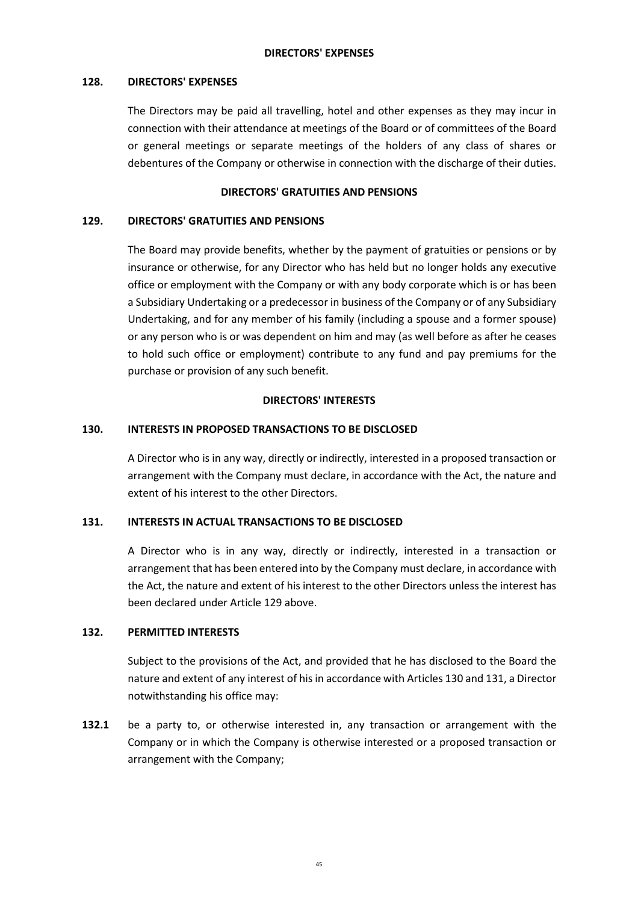### **128. DIRECTORS' EXPENSES**

The Directors may be paid all travelling, hotel and other expenses as they may incur in connection with their attendance at meetings of the Board or of committees of the Board or general meetings or separate meetings of the holders of any class of shares or debentures of the Company or otherwise in connection with the discharge of their duties.

### **DIRECTORS' GRATUITIES AND PENSIONS**

### **129. DIRECTORS' GRATUITIES AND PENSIONS**

The Board may provide benefits, whether by the payment of gratuities or pensions or by insurance or otherwise, for any Director who has held but no longer holds any executive office or employment with the Company or with any body corporate which is or has been a Subsidiary Undertaking or a predecessor in business of the Company or of any Subsidiary Undertaking, and for any member of his family (including a spouse and a former spouse) or any person who is or was dependent on him and may (as well before as after he ceases to hold such office or employment) contribute to any fund and pay premiums for the purchase or provision of any such benefit.

### **DIRECTORS' INTERESTS**

### **130. INTERESTS IN PROPOSED TRANSACTIONS TO BE DISCLOSED**

A Director who is in any way, directly or indirectly, interested in a proposed transaction or arrangement with the Company must declare, in accordance with the Act, the nature and extent of his interest to the other Directors.

### **131. INTERESTS IN ACTUAL TRANSACTIONS TO BE DISCLOSED**

A Director who is in any way, directly or indirectly, interested in a transaction or arrangement that has been entered into by the Company must declare, in accordance with the Act, the nature and extent of his interest to the other Directors unless the interest has been declared under Article 129 above.

#### **132. PERMITTED INTERESTS**

Subject to the provisions of the Act, and provided that he has disclosed to the Board the nature and extent of any interest of his in accordance with Articles 130 and 131, a Director notwithstanding his office may:

**132.1** be a party to, or otherwise interested in, any transaction or arrangement with the Company or in which the Company is otherwise interested or a proposed transaction or arrangement with the Company;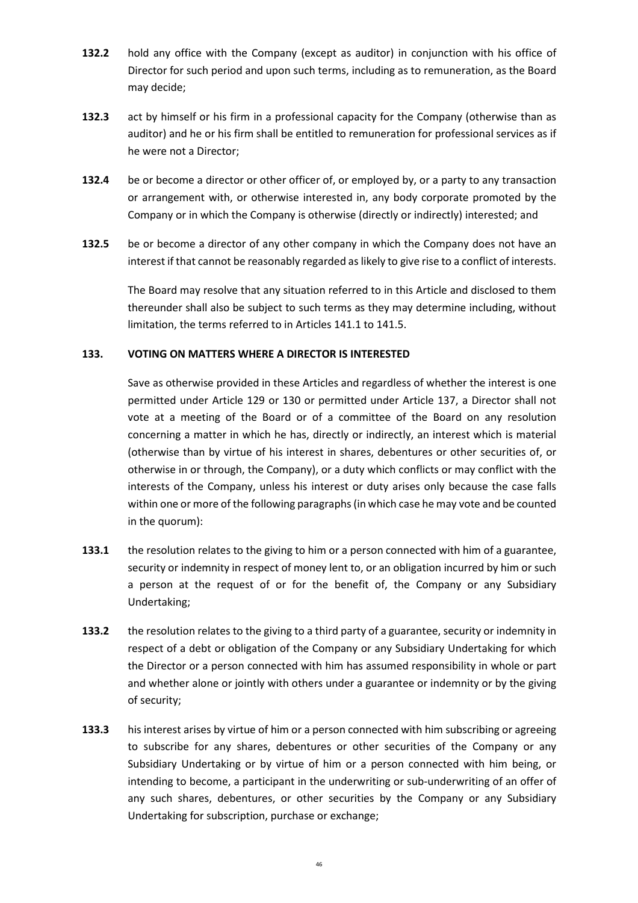- **132.2** hold any office with the Company (except as auditor) in conjunction with his office of Director for such period and upon such terms, including as to remuneration, as the Board may decide;
- **132.3** act by himself or his firm in a professional capacity for the Company (otherwise than as auditor) and he or his firm shall be entitled to remuneration for professional services as if he were not a Director;
- **132.4** be or become a director or other officer of, or employed by, or a party to any transaction or arrangement with, or otherwise interested in, any body corporate promoted by the Company or in which the Company is otherwise (directly or indirectly) interested; and
- **132.5** be or become a director of any other company in which the Company does not have an interest if that cannot be reasonably regarded as likely to give rise to a conflict of interests.

The Board may resolve that any situation referred to in this Article and disclosed to them thereunder shall also be subject to such terms as they may determine including, without limitation, the terms referred to in Articles 141.1 to 141.5.

# **133. VOTING ON MATTERS WHERE A DIRECTOR IS INTERESTED**

Save as otherwise provided in these Articles and regardless of whether the interest is one permitted under Article 129 or 130 or permitted under Article 137, a Director shall not vote at a meeting of the Board or of a committee of the Board on any resolution concerning a matter in which he has, directly or indirectly, an interest which is material (otherwise than by virtue of his interest in shares, debentures or other securities of, or otherwise in or through, the Company), or a duty which conflicts or may conflict with the interests of the Company, unless his interest or duty arises only because the case falls within one or more of the following paragraphs (in which case he may vote and be counted in the quorum):

- **133.1** the resolution relates to the giving to him or a person connected with him of a guarantee, security or indemnity in respect of money lent to, or an obligation incurred by him or such a person at the request of or for the benefit of, the Company or any Subsidiary Undertaking;
- **133.2** the resolution relates to the giving to a third party of a guarantee, security or indemnity in respect of a debt or obligation of the Company or any Subsidiary Undertaking for which the Director or a person connected with him has assumed responsibility in whole or part and whether alone or jointly with others under a guarantee or indemnity or by the giving of security;
- **133.3** his interest arises by virtue of him or a person connected with him subscribing or agreeing to subscribe for any shares, debentures or other securities of the Company or any Subsidiary Undertaking or by virtue of him or a person connected with him being, or intending to become, a participant in the underwriting or sub-underwriting of an offer of any such shares, debentures, or other securities by the Company or any Subsidiary Undertaking for subscription, purchase or exchange;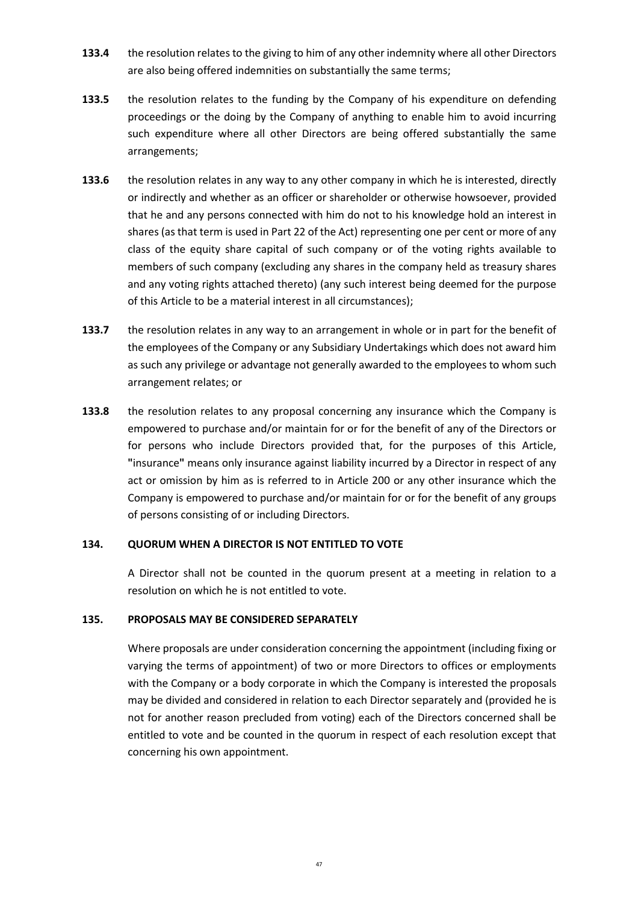- **133.4** the resolution relates to the giving to him of any other indemnity where all other Directors are also being offered indemnities on substantially the same terms;
- **133.5** the resolution relates to the funding by the Company of his expenditure on defending proceedings or the doing by the Company of anything to enable him to avoid incurring such expenditure where all other Directors are being offered substantially the same arrangements;
- **133.6** the resolution relates in any way to any other company in which he is interested, directly or indirectly and whether as an officer or shareholder or otherwise howsoever, provided that he and any persons connected with him do not to his knowledge hold an interest in shares (as that term is used in Part 22 of the Act) representing one per cent or more of any class of the equity share capital of such company or of the voting rights available to members of such company (excluding any shares in the company held as treasury shares and any voting rights attached thereto) (any such interest being deemed for the purpose of this Article to be a material interest in all circumstances);
- **133.7** the resolution relates in any way to an arrangement in whole or in part for the benefit of the employees of the Company or any Subsidiary Undertakings which does not award him as such any privilege or advantage not generally awarded to the employees to whom such arrangement relates; or
- **133.8** the resolution relates to any proposal concerning any insurance which the Company is empowered to purchase and/or maintain for or for the benefit of any of the Directors or for persons who include Directors provided that, for the purposes of this Article, **"**insurance**"** means only insurance against liability incurred by a Director in respect of any act or omission by him as is referred to in Article 200 or any other insurance which the Company is empowered to purchase and/or maintain for or for the benefit of any groups of persons consisting of or including Directors.

### **134. QUORUM WHEN A DIRECTOR IS NOT ENTITLED TO VOTE**

A Director shall not be counted in the quorum present at a meeting in relation to a resolution on which he is not entitled to vote.

### **135. PROPOSALS MAY BE CONSIDERED SEPARATELY**

Where proposals are under consideration concerning the appointment (including fixing or varying the terms of appointment) of two or more Directors to offices or employments with the Company or a body corporate in which the Company is interested the proposals may be divided and considered in relation to each Director separately and (provided he is not for another reason precluded from voting) each of the Directors concerned shall be entitled to vote and be counted in the quorum in respect of each resolution except that concerning his own appointment.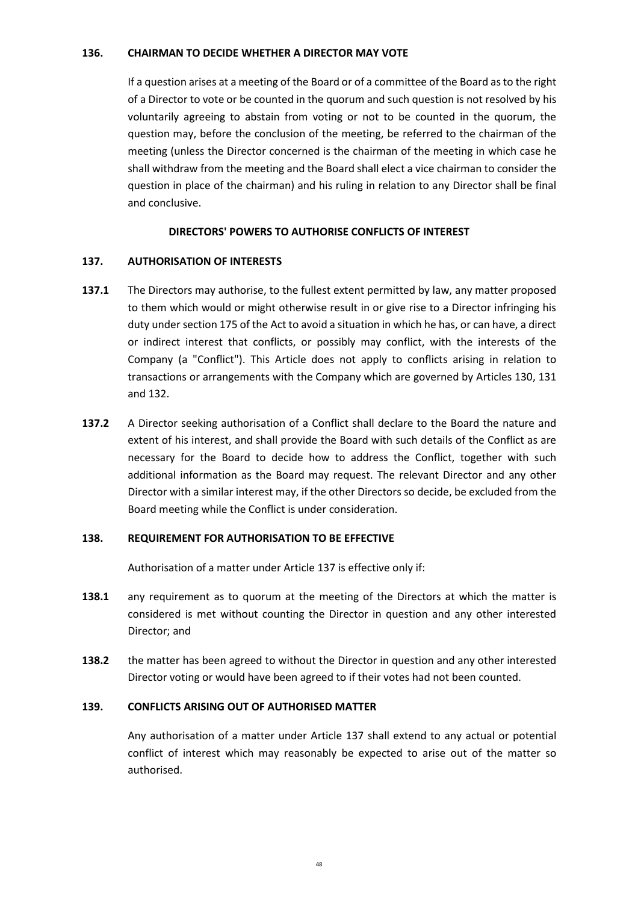### **136. CHAIRMAN TO DECIDE WHETHER A DIRECTOR MAY VOTE**

If a question arises at a meeting of the Board or of a committee of the Board as to the right of a Director to vote or be counted in the quorum and such question is not resolved by his voluntarily agreeing to abstain from voting or not to be counted in the quorum, the question may, before the conclusion of the meeting, be referred to the chairman of the meeting (unless the Director concerned is the chairman of the meeting in which case he shall withdraw from the meeting and the Board shall elect a vice chairman to consider the question in place of the chairman) and his ruling in relation to any Director shall be final and conclusive.

### **DIRECTORS' POWERS TO AUTHORISE CONFLICTS OF INTEREST**

### **137. AUTHORISATION OF INTERESTS**

- **137.1** The Directors may authorise, to the fullest extent permitted by law, any matter proposed to them which would or might otherwise result in or give rise to a Director infringing his duty under section 175 of the Act to avoid a situation in which he has, or can have, a direct or indirect interest that conflicts, or possibly may conflict, with the interests of the Company (a "Conflict"). This Article does not apply to conflicts arising in relation to transactions or arrangements with the Company which are governed by Articles 130, 131 and 132.
- **137.2** A Director seeking authorisation of a Conflict shall declare to the Board the nature and extent of his interest, and shall provide the Board with such details of the Conflict as are necessary for the Board to decide how to address the Conflict, together with such additional information as the Board may request. The relevant Director and any other Director with a similar interest may, if the other Directors so decide, be excluded from the Board meeting while the Conflict is under consideration.

#### **138. REQUIREMENT FOR AUTHORISATION TO BE EFFECTIVE**

Authorisation of a matter under Article 137 is effective only if:

- **138.1** any requirement as to quorum at the meeting of the Directors at which the matter is considered is met without counting the Director in question and any other interested Director; and
- **138.2** the matter has been agreed to without the Director in question and any other interested Director voting or would have been agreed to if their votes had not been counted.

#### **139. CONFLICTS ARISING OUT OF AUTHORISED MATTER**

Any authorisation of a matter under Article 137 shall extend to any actual or potential conflict of interest which may reasonably be expected to arise out of the matter so authorised.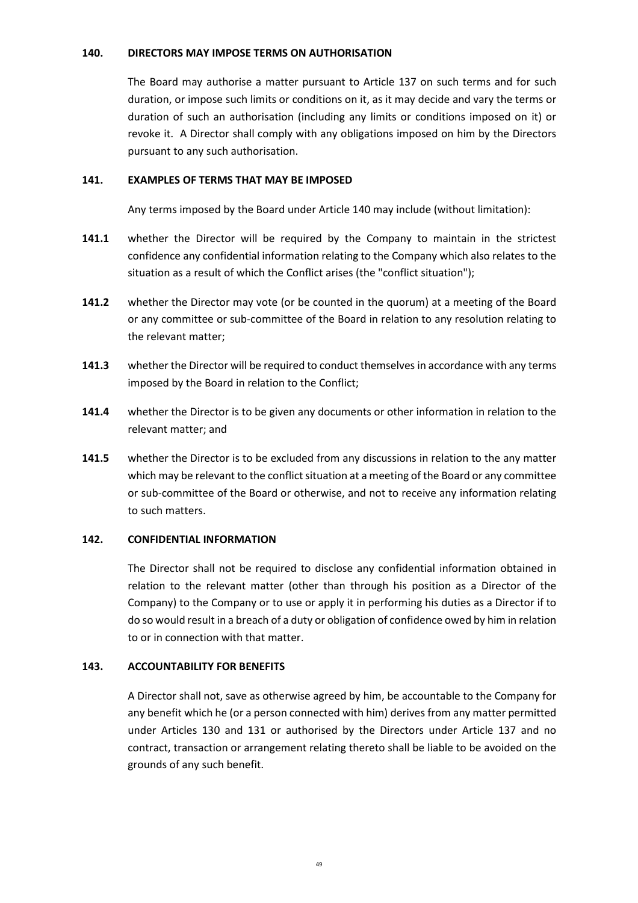### **140. DIRECTORS MAY IMPOSE TERMS ON AUTHORISATION**

The Board may authorise a matter pursuant to Article 137 on such terms and for such duration, or impose such limits or conditions on it, as it may decide and vary the terms or duration of such an authorisation (including any limits or conditions imposed on it) or revoke it. A Director shall comply with any obligations imposed on him by the Directors pursuant to any such authorisation.

### **141. EXAMPLES OF TERMS THAT MAY BE IMPOSED**

Any terms imposed by the Board under Article 140 may include (without limitation):

- **141.1** whether the Director will be required by the Company to maintain in the strictest confidence any confidential information relating to the Company which also relates to the situation as a result of which the Conflict arises (the "conflict situation");
- **141.2** whether the Director may vote (or be counted in the quorum) at a meeting of the Board or any committee or sub-committee of the Board in relation to any resolution relating to the relevant matter;
- **141.3** whether the Director will be required to conduct themselves in accordance with any terms imposed by the Board in relation to the Conflict;
- **141.4** whether the Director is to be given any documents or other information in relation to the relevant matter; and
- **141.5** whether the Director is to be excluded from any discussions in relation to the any matter which may be relevant to the conflict situation at a meeting of the Board or any committee or sub-committee of the Board or otherwise, and not to receive any information relating to such matters.

### **142. CONFIDENTIAL INFORMATION**

The Director shall not be required to disclose any confidential information obtained in relation to the relevant matter (other than through his position as a Director of the Company) to the Company or to use or apply it in performing his duties as a Director if to do so would result in a breach of a duty or obligation of confidence owed by him in relation to or in connection with that matter.

### **143. ACCOUNTABILITY FOR BENEFITS**

A Director shall not, save as otherwise agreed by him, be accountable to the Company for any benefit which he (or a person connected with him) derives from any matter permitted under Articles 130 and 131 or authorised by the Directors under Article 137 and no contract, transaction or arrangement relating thereto shall be liable to be avoided on the grounds of any such benefit.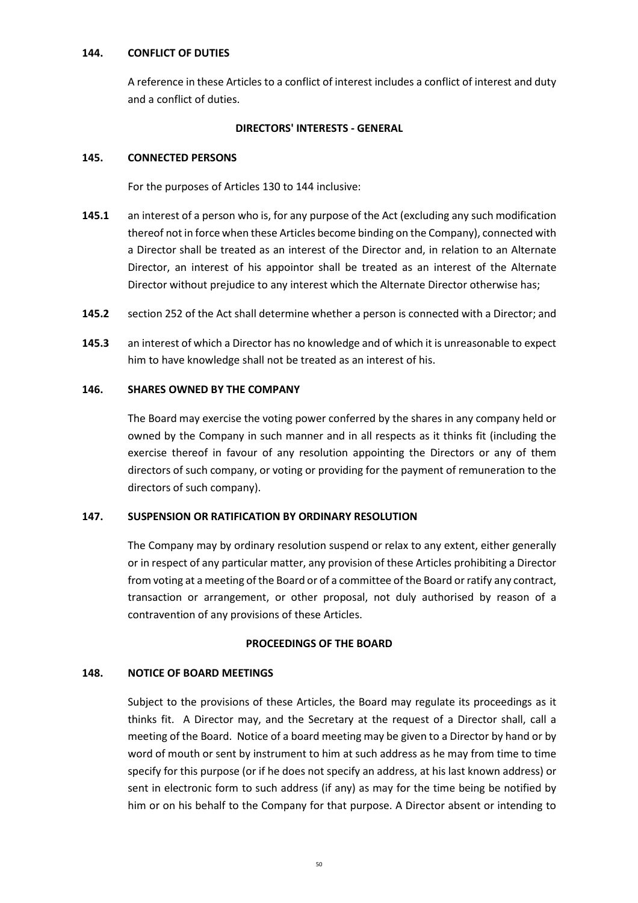### **144. CONFLICT OF DUTIES**

A reference in these Articles to a conflict of interest includes a conflict of interest and duty and a conflict of duties.

# **DIRECTORS' INTERESTS - GENERAL**

# **145. CONNECTED PERSONS**

For the purposes of Articles 130 to 144 inclusive:

- **145.1** an interest of a person who is, for any purpose of the Act (excluding any such modification thereof not in force when these Articles become binding on the Company), connected with a Director shall be treated as an interest of the Director and, in relation to an Alternate Director, an interest of his appointor shall be treated as an interest of the Alternate Director without prejudice to any interest which the Alternate Director otherwise has;
- **145.2** section 252 of the Act shall determine whether a person is connected with a Director; and
- **145.3** an interest of which a Director has no knowledge and of which it is unreasonable to expect him to have knowledge shall not be treated as an interest of his.

# **146. SHARES OWNED BY THE COMPANY**

The Board may exercise the voting power conferred by the shares in any company held or owned by the Company in such manner and in all respects as it thinks fit (including the exercise thereof in favour of any resolution appointing the Directors or any of them directors of such company, or voting or providing for the payment of remuneration to the directors of such company).

# **147. SUSPENSION OR RATIFICATION BY ORDINARY RESOLUTION**

The Company may by ordinary resolution suspend or relax to any extent, either generally or in respect of any particular matter, any provision of these Articles prohibiting a Director from voting at a meeting of the Board or of a committee of the Board or ratify any contract, transaction or arrangement, or other proposal, not duly authorised by reason of a contravention of any provisions of these Articles.

### **PROCEEDINGS OF THE BOARD**

# **148. NOTICE OF BOARD MEETINGS**

Subject to the provisions of these Articles, the Board may regulate its proceedings as it thinks fit. A Director may, and the Secretary at the request of a Director shall, call a meeting of the Board. Notice of a board meeting may be given to a Director by hand or by word of mouth or sent by instrument to him at such address as he may from time to time specify for this purpose (or if he does not specify an address, at his last known address) or sent in electronic form to such address (if any) as may for the time being be notified by him or on his behalf to the Company for that purpose. A Director absent or intending to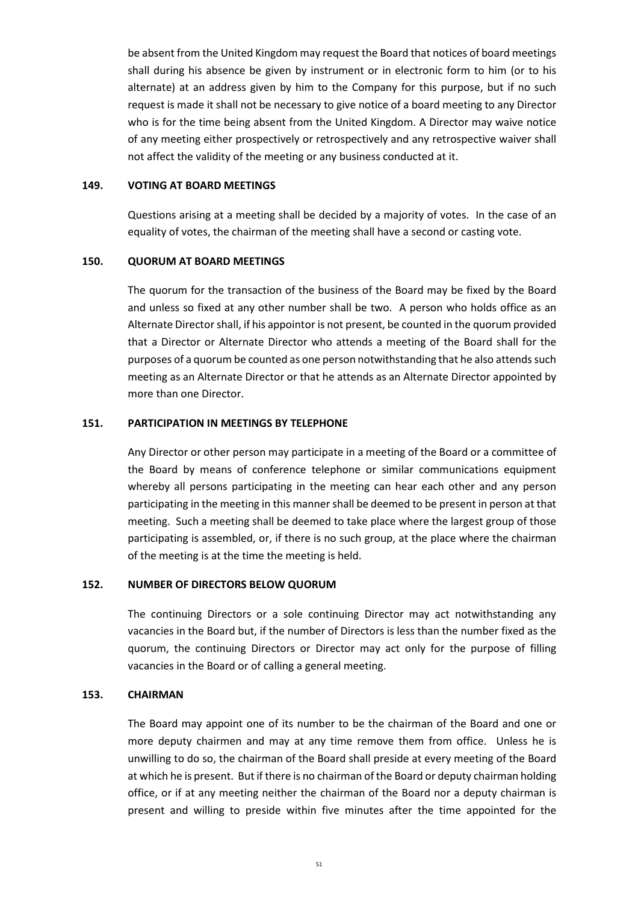be absent from the United Kingdom may request the Board that notices of board meetings shall during his absence be given by instrument or in electronic form to him (or to his alternate) at an address given by him to the Company for this purpose, but if no such request is made it shall not be necessary to give notice of a board meeting to any Director who is for the time being absent from the United Kingdom. A Director may waive notice of any meeting either prospectively or retrospectively and any retrospective waiver shall not affect the validity of the meeting or any business conducted at it.

#### **149. VOTING AT BOARD MEETINGS**

Questions arising at a meeting shall be decided by a majority of votes. In the case of an equality of votes, the chairman of the meeting shall have a second or casting vote.

### **150. QUORUM AT BOARD MEETINGS**

The quorum for the transaction of the business of the Board may be fixed by the Board and unless so fixed at any other number shall be two. A person who holds office as an Alternate Director shall, if his appointor is not present, be counted in the quorum provided that a Director or Alternate Director who attends a meeting of the Board shall for the purposes of a quorum be counted as one person notwithstanding that he also attends such meeting as an Alternate Director or that he attends as an Alternate Director appointed by more than one Director.

### **151. PARTICIPATION IN MEETINGS BY TELEPHONE**

Any Director or other person may participate in a meeting of the Board or a committee of the Board by means of conference telephone or similar communications equipment whereby all persons participating in the meeting can hear each other and any person participating in the meeting in this manner shall be deemed to be present in person at that meeting. Such a meeting shall be deemed to take place where the largest group of those participating is assembled, or, if there is no such group, at the place where the chairman of the meeting is at the time the meeting is held.

#### **152. NUMBER OF DIRECTORS BELOW QUORUM**

The continuing Directors or a sole continuing Director may act notwithstanding any vacancies in the Board but, if the number of Directors is less than the number fixed as the quorum, the continuing Directors or Director may act only for the purpose of filling vacancies in the Board or of calling a general meeting.

#### **153. CHAIRMAN**

The Board may appoint one of its number to be the chairman of the Board and one or more deputy chairmen and may at any time remove them from office. Unless he is unwilling to do so, the chairman of the Board shall preside at every meeting of the Board at which he is present. But if there is no chairman of the Board or deputy chairman holding office, or if at any meeting neither the chairman of the Board nor a deputy chairman is present and willing to preside within five minutes after the time appointed for the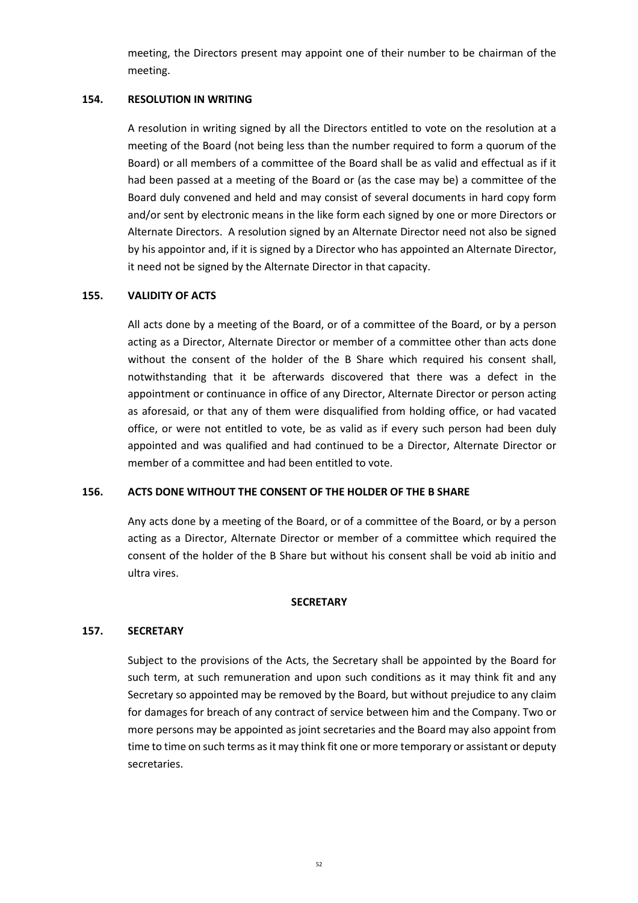meeting, the Directors present may appoint one of their number to be chairman of the meeting.

### **154. RESOLUTION IN WRITING**

A resolution in writing signed by all the Directors entitled to vote on the resolution at a meeting of the Board (not being less than the number required to form a quorum of the Board) or all members of a committee of the Board shall be as valid and effectual as if it had been passed at a meeting of the Board or (as the case may be) a committee of the Board duly convened and held and may consist of several documents in hard copy form and/or sent by electronic means in the like form each signed by one or more Directors or Alternate Directors. A resolution signed by an Alternate Director need not also be signed by his appointor and, if it is signed by a Director who has appointed an Alternate Director, it need not be signed by the Alternate Director in that capacity.

### **155. VALIDITY OF ACTS**

All acts done by a meeting of the Board, or of a committee of the Board, or by a person acting as a Director, Alternate Director or member of a committee other than acts done without the consent of the holder of the B Share which required his consent shall, notwithstanding that it be afterwards discovered that there was a defect in the appointment or continuance in office of any Director, Alternate Director or person acting as aforesaid, or that any of them were disqualified from holding office, or had vacated office, or were not entitled to vote, be as valid as if every such person had been duly appointed and was qualified and had continued to be a Director, Alternate Director or member of a committee and had been entitled to vote.

### **156. ACTS DONE WITHOUT THE CONSENT OF THE HOLDER OF THE B SHARE**

Any acts done by a meeting of the Board, or of a committee of the Board, or by a person acting as a Director, Alternate Director or member of a committee which required the consent of the holder of the B Share but without his consent shall be void ab initio and ultra vires.

#### **SECRETARY**

#### **157. SECRETARY**

Subject to the provisions of the Acts, the Secretary shall be appointed by the Board for such term, at such remuneration and upon such conditions as it may think fit and any Secretary so appointed may be removed by the Board, but without prejudice to any claim for damages for breach of any contract of service between him and the Company. Two or more persons may be appointed as joint secretaries and the Board may also appoint from time to time on such terms as it may think fit one or more temporary or assistant or deputy secretaries.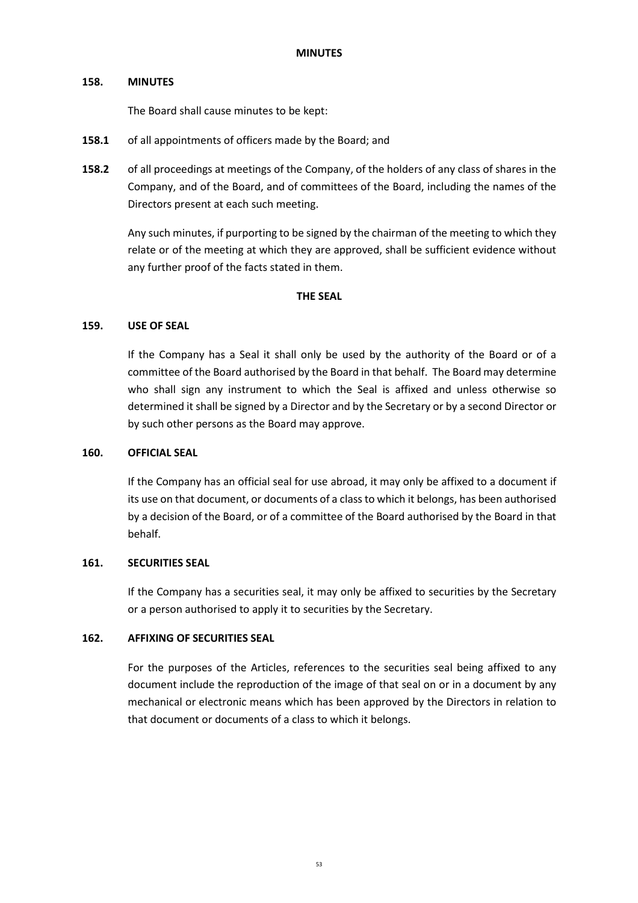### **158. MINUTES**

The Board shall cause minutes to be kept:

- **158.1** of all appointments of officers made by the Board; and
- **158.2** of all proceedings at meetings of the Company, of the holders of any class of shares in the Company, and of the Board, and of committees of the Board, including the names of the Directors present at each such meeting.

Any such minutes, if purporting to be signed by the chairman of the meeting to which they relate or of the meeting at which they are approved, shall be sufficient evidence without any further proof of the facts stated in them.

### **THE SEAL**

### **159. USE OF SEAL**

If the Company has a Seal it shall only be used by the authority of the Board or of a committee of the Board authorised by the Board in that behalf. The Board may determine who shall sign any instrument to which the Seal is affixed and unless otherwise so determined it shall be signed by a Director and by the Secretary or by a second Director or by such other persons as the Board may approve.

### **160. OFFICIAL SEAL**

If the Company has an official seal for use abroad, it may only be affixed to a document if its use on that document, or documents of a class to which it belongs, has been authorised by a decision of the Board, or of a committee of the Board authorised by the Board in that behalf.

### **161. SECURITIES SEAL**

If the Company has a securities seal, it may only be affixed to securities by the Secretary or a person authorised to apply it to securities by the Secretary.

### **162. AFFIXING OF SECURITIES SEAL**

For the purposes of the Articles, references to the securities seal being affixed to any document include the reproduction of the image of that seal on or in a document by any mechanical or electronic means which has been approved by the Directors in relation to that document or documents of a class to which it belongs.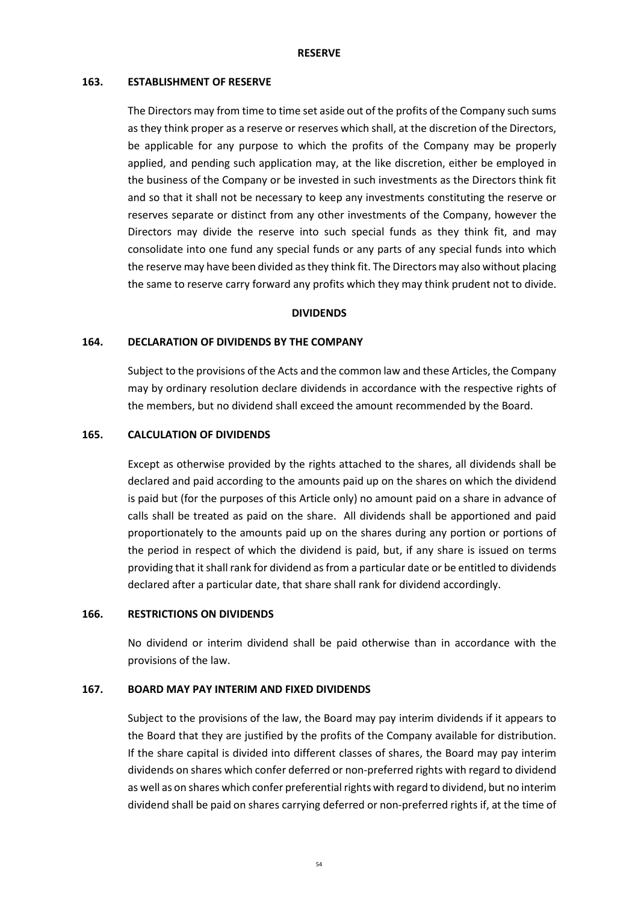#### **RESERVE**

#### **163. ESTABLISHMENT OF RESERVE**

The Directors may from time to time set aside out of the profits of the Company such sums as they think proper as a reserve or reserves which shall, at the discretion of the Directors, be applicable for any purpose to which the profits of the Company may be properly applied, and pending such application may, at the like discretion, either be employed in the business of the Company or be invested in such investments as the Directors think fit and so that it shall not be necessary to keep any investments constituting the reserve or reserves separate or distinct from any other investments of the Company, however the Directors may divide the reserve into such special funds as they think fit, and may consolidate into one fund any special funds or any parts of any special funds into which the reserve may have been divided as they think fit. The Directors may also without placing the same to reserve carry forward any profits which they may think prudent not to divide.

### **DIVIDENDS**

### **164. DECLARATION OF DIVIDENDS BY THE COMPANY**

Subject to the provisions of the Acts and the common law and these Articles, the Company may by ordinary resolution declare dividends in accordance with the respective rights of the members, but no dividend shall exceed the amount recommended by the Board.

### **165. CALCULATION OF DIVIDENDS**

Except as otherwise provided by the rights attached to the shares, all dividends shall be declared and paid according to the amounts paid up on the shares on which the dividend is paid but (for the purposes of this Article only) no amount paid on a share in advance of calls shall be treated as paid on the share. All dividends shall be apportioned and paid proportionately to the amounts paid up on the shares during any portion or portions of the period in respect of which the dividend is paid, but, if any share is issued on terms providing that it shall rank for dividend as from a particular date or be entitled to dividends declared after a particular date, that share shall rank for dividend accordingly.

#### **166. RESTRICTIONS ON DIVIDENDS**

No dividend or interim dividend shall be paid otherwise than in accordance with the provisions of the law.

### **167. BOARD MAY PAY INTERIM AND FIXED DIVIDENDS**

Subject to the provisions of the law, the Board may pay interim dividends if it appears to the Board that they are justified by the profits of the Company available for distribution. If the share capital is divided into different classes of shares, the Board may pay interim dividends on shares which confer deferred or non-preferred rights with regard to dividend as well as on shares which confer preferential rights with regard to dividend, but no interim dividend shall be paid on shares carrying deferred or non-preferred rights if, at the time of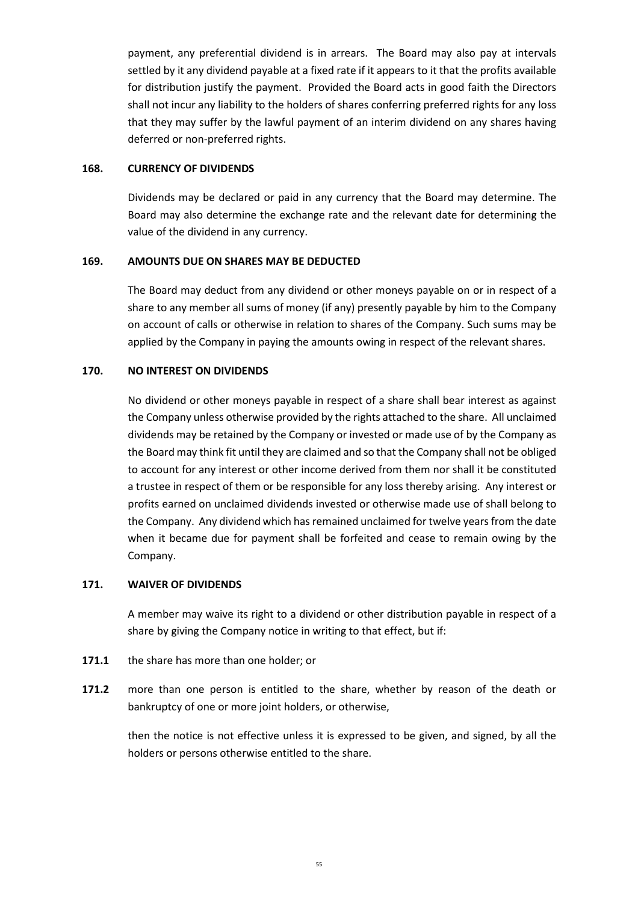payment, any preferential dividend is in arrears. The Board may also pay at intervals settled by it any dividend payable at a fixed rate if it appears to it that the profits available for distribution justify the payment. Provided the Board acts in good faith the Directors shall not incur any liability to the holders of shares conferring preferred rights for any loss that they may suffer by the lawful payment of an interim dividend on any shares having deferred or non-preferred rights.

### **168. CURRENCY OF DIVIDENDS**

Dividends may be declared or paid in any currency that the Board may determine. The Board may also determine the exchange rate and the relevant date for determining the value of the dividend in any currency.

### **169. AMOUNTS DUE ON SHARES MAY BE DEDUCTED**

The Board may deduct from any dividend or other moneys payable on or in respect of a share to any member all sums of money (if any) presently payable by him to the Company on account of calls or otherwise in relation to shares of the Company. Such sums may be applied by the Company in paying the amounts owing in respect of the relevant shares.

### **170. NO INTEREST ON DIVIDENDS**

No dividend or other moneys payable in respect of a share shall bear interest as against the Company unless otherwise provided by the rights attached to the share. All unclaimed dividends may be retained by the Company or invested or made use of by the Company as the Board may think fit until they are claimed and so that the Company shall not be obliged to account for any interest or other income derived from them nor shall it be constituted a trustee in respect of them or be responsible for any loss thereby arising. Any interest or profits earned on unclaimed dividends invested or otherwise made use of shall belong to the Company. Any dividend which has remained unclaimed for twelve years from the date when it became due for payment shall be forfeited and cease to remain owing by the Company.

### **171. WAIVER OF DIVIDENDS**

A member may waive its right to a dividend or other distribution payable in respect of a share by giving the Company notice in writing to that effect, but if:

- **171.1** the share has more than one holder; or
- **171.2** more than one person is entitled to the share, whether by reason of the death or bankruptcy of one or more joint holders, or otherwise,

then the notice is not effective unless it is expressed to be given, and signed, by all the holders or persons otherwise entitled to the share.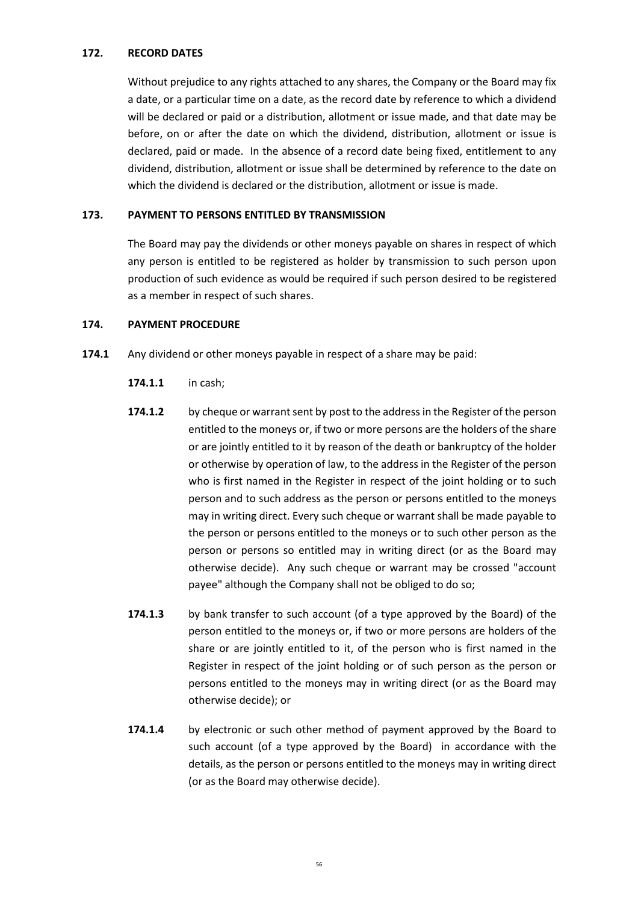### **172. RECORD DATES**

Without prejudice to any rights attached to any shares, the Company or the Board may fix a date, or a particular time on a date, as the record date by reference to which a dividend will be declared or paid or a distribution, allotment or issue made, and that date may be before, on or after the date on which the dividend, distribution, allotment or issue is declared, paid or made. In the absence of a record date being fixed, entitlement to any dividend, distribution, allotment or issue shall be determined by reference to the date on which the dividend is declared or the distribution, allotment or issue is made.

### **173. PAYMENT TO PERSONS ENTITLED BY TRANSMISSION**

The Board may pay the dividends or other moneys payable on shares in respect of which any person is entitled to be registered as holder by transmission to such person upon production of such evidence as would be required if such person desired to be registered as a member in respect of such shares.

### **174. PAYMENT PROCEDURE**

- **174.1** Any dividend or other moneys payable in respect of a share may be paid:
	- **174.1.1** in cash;
	- **174.1.2** by cheque or warrant sent by post to the address in the Register of the person entitled to the moneys or, if two or more persons are the holders of the share or are jointly entitled to it by reason of the death or bankruptcy of the holder or otherwise by operation of law, to the address in the Register of the person who is first named in the Register in respect of the joint holding or to such person and to such address as the person or persons entitled to the moneys may in writing direct. Every such cheque or warrant shall be made payable to the person or persons entitled to the moneys or to such other person as the person or persons so entitled may in writing direct (or as the Board may otherwise decide). Any such cheque or warrant may be crossed "account payee" although the Company shall not be obliged to do so;
	- **174.1.3** by bank transfer to such account (of a type approved by the Board) of the person entitled to the moneys or, if two or more persons are holders of the share or are jointly entitled to it, of the person who is first named in the Register in respect of the joint holding or of such person as the person or persons entitled to the moneys may in writing direct (or as the Board may otherwise decide); or
	- **174.1.4** by electronic or such other method of payment approved by the Board to such account (of a type approved by the Board) in accordance with the details, as the person or persons entitled to the moneys may in writing direct (or as the Board may otherwise decide).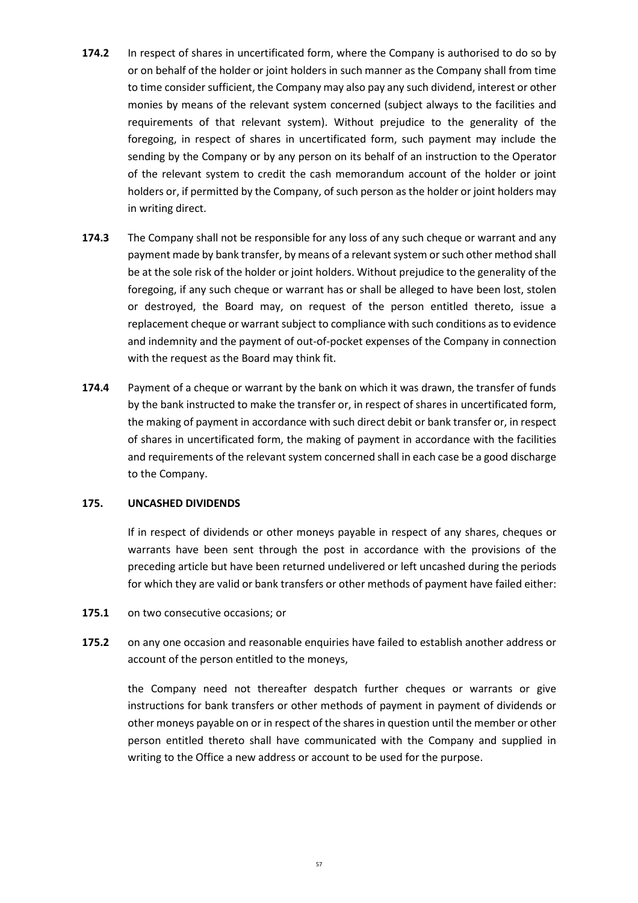- **174.2** In respect of shares in uncertificated form, where the Company is authorised to do so by or on behalf of the holder or joint holders in such manner as the Company shall from time to time consider sufficient, the Company may also pay any such dividend, interest or other monies by means of the relevant system concerned (subject always to the facilities and requirements of that relevant system). Without prejudice to the generality of the foregoing, in respect of shares in uncertificated form, such payment may include the sending by the Company or by any person on its behalf of an instruction to the Operator of the relevant system to credit the cash memorandum account of the holder or joint holders or, if permitted by the Company, of such person as the holder or joint holders may in writing direct.
- **174.3** The Company shall not be responsible for any loss of any such cheque or warrant and any payment made by bank transfer, by means of a relevant system or such other method shall be at the sole risk of the holder or joint holders. Without prejudice to the generality of the foregoing, if any such cheque or warrant has or shall be alleged to have been lost, stolen or destroyed, the Board may, on request of the person entitled thereto, issue a replacement cheque or warrant subject to compliance with such conditions as to evidence and indemnity and the payment of out-of-pocket expenses of the Company in connection with the request as the Board may think fit.
- **174.4** Payment of a cheque or warrant by the bank on which it was drawn, the transfer of funds by the bank instructed to make the transfer or, in respect of shares in uncertificated form, the making of payment in accordance with such direct debit or bank transfer or, in respect of shares in uncertificated form, the making of payment in accordance with the facilities and requirements of the relevant system concerned shall in each case be a good discharge to the Company.

### **175. UNCASHED DIVIDENDS**

If in respect of dividends or other moneys payable in respect of any shares, cheques or warrants have been sent through the post in accordance with the provisions of the preceding article but have been returned undelivered or left uncashed during the periods for which they are valid or bank transfers or other methods of payment have failed either:

#### **175.1** on two consecutive occasions; or

**175.2** on any one occasion and reasonable enquiries have failed to establish another address or account of the person entitled to the moneys,

the Company need not thereafter despatch further cheques or warrants or give instructions for bank transfers or other methods of payment in payment of dividends or other moneys payable on or in respect of the shares in question until the member or other person entitled thereto shall have communicated with the Company and supplied in writing to the Office a new address or account to be used for the purpose.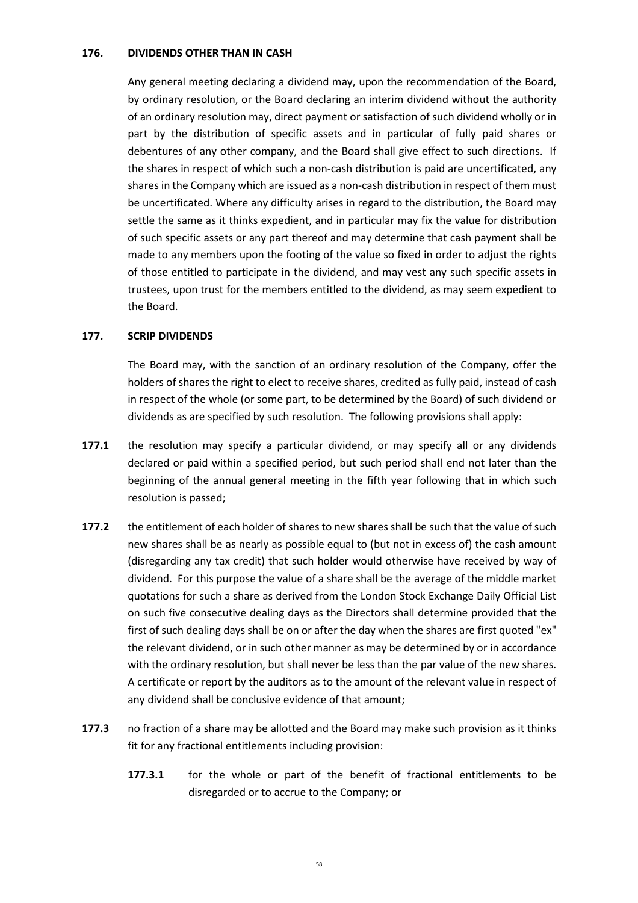### **176. DIVIDENDS OTHER THAN IN CASH**

Any general meeting declaring a dividend may, upon the recommendation of the Board, by ordinary resolution, or the Board declaring an interim dividend without the authority of an ordinary resolution may, direct payment or satisfaction of such dividend wholly or in part by the distribution of specific assets and in particular of fully paid shares or debentures of any other company, and the Board shall give effect to such directions. If the shares in respect of which such a non-cash distribution is paid are uncertificated, any shares in the Company which are issued as a non-cash distribution in respect of them must be uncertificated. Where any difficulty arises in regard to the distribution, the Board may settle the same as it thinks expedient, and in particular may fix the value for distribution of such specific assets or any part thereof and may determine that cash payment shall be made to any members upon the footing of the value so fixed in order to adjust the rights of those entitled to participate in the dividend, and may vest any such specific assets in trustees, upon trust for the members entitled to the dividend, as may seem expedient to the Board.

### **177. SCRIP DIVIDENDS**

The Board may, with the sanction of an ordinary resolution of the Company, offer the holders of shares the right to elect to receive shares, credited as fully paid, instead of cash in respect of the whole (or some part, to be determined by the Board) of such dividend or dividends as are specified by such resolution. The following provisions shall apply:

- **177.1** the resolution may specify a particular dividend, or may specify all or any dividends declared or paid within a specified period, but such period shall end not later than the beginning of the annual general meeting in the fifth year following that in which such resolution is passed;
- **177.2** the entitlement of each holder of shares to new shares shall be such that the value of such new shares shall be as nearly as possible equal to (but not in excess of) the cash amount (disregarding any tax credit) that such holder would otherwise have received by way of dividend. For this purpose the value of a share shall be the average of the middle market quotations for such a share as derived from the London Stock Exchange Daily Official List on such five consecutive dealing days as the Directors shall determine provided that the first of such dealing days shall be on or after the day when the shares are first quoted "ex" the relevant dividend, or in such other manner as may be determined by or in accordance with the ordinary resolution, but shall never be less than the par value of the new shares. A certificate or report by the auditors as to the amount of the relevant value in respect of any dividend shall be conclusive evidence of that amount;
- **177.3** no fraction of a share may be allotted and the Board may make such provision as it thinks fit for any fractional entitlements including provision:
	- **177.3.1** for the whole or part of the benefit of fractional entitlements to be disregarded or to accrue to the Company; or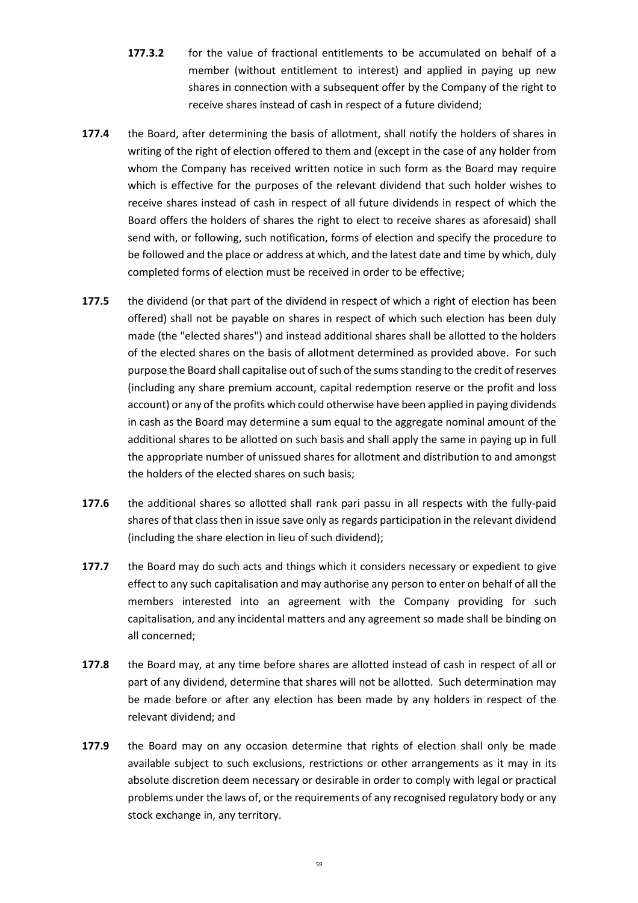- **177.3.2** for the value of fractional entitlements to be accumulated on behalf of a member (without entitlement to interest) and applied in paying up new shares in connection with a subsequent offer by the Company of the right to receive shares instead of cash in respect of a future dividend;
- **177.4** the Board, after determining the basis of allotment, shall notify the holders of shares in writing of the right of election offered to them and (except in the case of any holder from whom the Company has received written notice in such form as the Board may require which is effective for the purposes of the relevant dividend that such holder wishes to receive shares instead of cash in respect of all future dividends in respect of which the Board offers the holders of shares the right to elect to receive shares as aforesaid) shall send with, or following, such notification, forms of election and specify the procedure to be followed and the place or address at which, and the latest date and time by which, duly completed forms of election must be received in order to be effective;
- **177.5** the dividend (or that part of the dividend in respect of which a right of election has been offered) shall not be payable on shares in respect of which such election has been duly made (the "elected shares") and instead additional shares shall be allotted to the holders of the elected shares on the basis of allotment determined as provided above. For such purpose the Board shall capitalise out of such of the sums standing to the credit of reserves (including any share premium account, capital redemption reserve or the profit and loss account) or any of the profits which could otherwise have been applied in paying dividends in cash as the Board may determine a sum equal to the aggregate nominal amount of the additional shares to be allotted on such basis and shall apply the same in paying up in full the appropriate number of unissued shares for allotment and distribution to and amongst the holders of the elected shares on such basis;
- **177.6** the additional shares so allotted shall rank pari passu in all respects with the fully-paid shares of that class then in issue save only as regards participation in the relevant dividend (including the share election in lieu of such dividend);
- **177.7** the Board may do such acts and things which it considers necessary or expedient to give effect to any such capitalisation and may authorise any person to enter on behalf of all the members interested into an agreement with the Company providing for such capitalisation, and any incidental matters and any agreement so made shall be binding on all concerned;
- **177.8** the Board may, at any time before shares are allotted instead of cash in respect of all or part of any dividend, determine that shares will not be allotted. Such determination may be made before or after any election has been made by any holders in respect of the relevant dividend; and
- **177.9** the Board may on any occasion determine that rights of election shall only be made available subject to such exclusions, restrictions or other arrangements as it may in its absolute discretion deem necessary or desirable in order to comply with legal or practical problems under the laws of, or the requirements of any recognised regulatory body or any stock exchange in, any territory.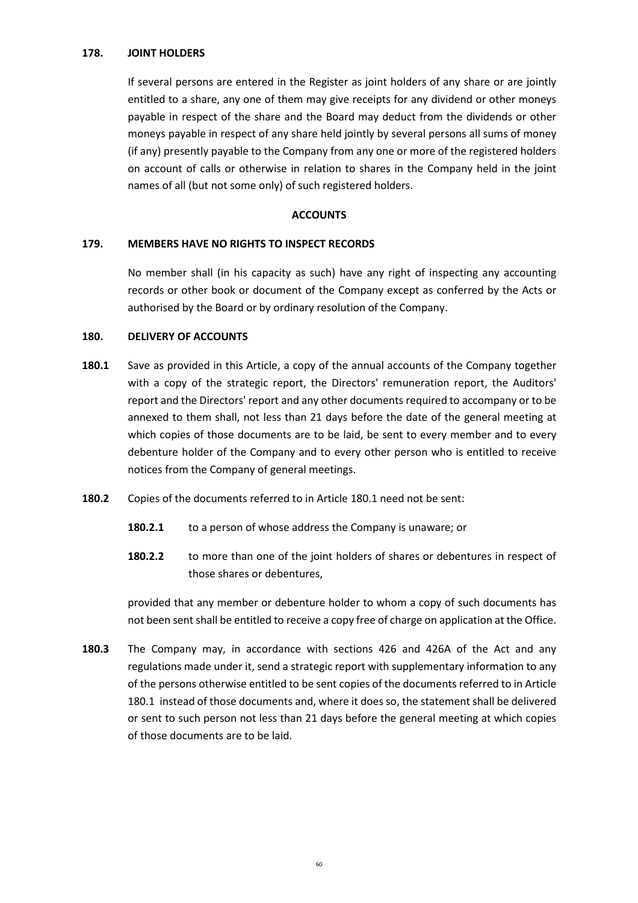### **178. JOINT HOLDERS**

If several persons are entered in the Register as joint holders of any share or are jointly entitled to a share, any one of them may give receipts for any dividend or other moneys payable in respect of the share and the Board may deduct from the dividends or other moneys payable in respect of any share held jointly by several persons all sums of money (if any) presently payable to the Company from any one or more of the registered holders on account of calls or otherwise in relation to shares in the Company held in the joint names of all (but not some only) of such registered holders.

### **ACCOUNTS**

# **179. MEMBERS HAVE NO RIGHTS TO INSPECT RECORDS**

No member shall (in his capacity as such) have any right of inspecting any accounting records or other book or document of the Company except as conferred by the Acts or authorised by the Board or by ordinary resolution of the Company.

### **180. DELIVERY OF ACCOUNTS**

- **180.1** Save as provided in this Article, a copy of the annual accounts of the Company together with a copy of the strategic report, the Directors' remuneration report, the Auditors' report and the Directors' report and any other documents required to accompany or to be annexed to them shall, not less than 21 days before the date of the general meeting at which copies of those documents are to be laid, be sent to every member and to every debenture holder of the Company and to every other person who is entitled to receive notices from the Company of general meetings.
- **180.2** Copies of the documents referred to in Article 180.1 need not be sent:
	- **180.2.1** to a person of whose address the Company is unaware; or
	- **180.2.2** to more than one of the joint holders of shares or debentures in respect of those shares or debentures,

provided that any member or debenture holder to whom a copy of such documents has not been sent shall be entitled to receive a copy free of charge on application at the Office.

**180.3** The Company may, in accordance with sections 426 and 426A of the Act and any regulations made under it, send a strategic report with supplementary information to any of the persons otherwise entitled to be sent copies of the documents referred to in Article 180.1 instead of those documents and, where it does so, the statement shall be delivered or sent to such person not less than 21 days before the general meeting at which copies of those documents are to be laid.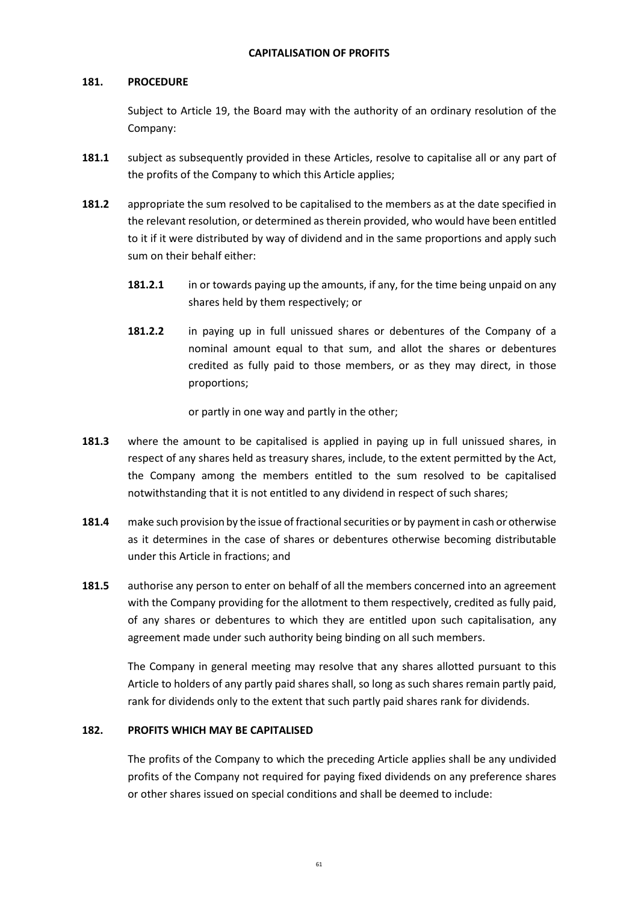# **181. PROCEDURE**

Subject to Article 19, the Board may with the authority of an ordinary resolution of the Company:

- **181.1** subject as subsequently provided in these Articles, resolve to capitalise all or any part of the profits of the Company to which this Article applies;
- **181.2** appropriate the sum resolved to be capitalised to the members as at the date specified in the relevant resolution, or determined as therein provided, who would have been entitled to it if it were distributed by way of dividend and in the same proportions and apply such sum on their behalf either:
	- 181.2.1 in or towards paying up the amounts, if any, for the time being unpaid on any shares held by them respectively; or
	- **181.2.2** in paying up in full unissued shares or debentures of the Company of a nominal amount equal to that sum, and allot the shares or debentures credited as fully paid to those members, or as they may direct, in those proportions;

or partly in one way and partly in the other;

- **181.3** where the amount to be capitalised is applied in paying up in full unissued shares, in respect of any shares held as treasury shares, include, to the extent permitted by the Act, the Company among the members entitled to the sum resolved to be capitalised notwithstanding that it is not entitled to any dividend in respect of such shares;
- **181.4** make such provision by the issue of fractional securities or by payment in cash or otherwise as it determines in the case of shares or debentures otherwise becoming distributable under this Article in fractions; and
- **181.5** authorise any person to enter on behalf of all the members concerned into an agreement with the Company providing for the allotment to them respectively, credited as fully paid, of any shares or debentures to which they are entitled upon such capitalisation, any agreement made under such authority being binding on all such members.

The Company in general meeting may resolve that any shares allotted pursuant to this Article to holders of any partly paid shares shall, so long as such shares remain partly paid, rank for dividends only to the extent that such partly paid shares rank for dividends.

# **182. PROFITS WHICH MAY BE CAPITALISED**

The profits of the Company to which the preceding Article applies shall be any undivided profits of the Company not required for paying fixed dividends on any preference shares or other shares issued on special conditions and shall be deemed to include: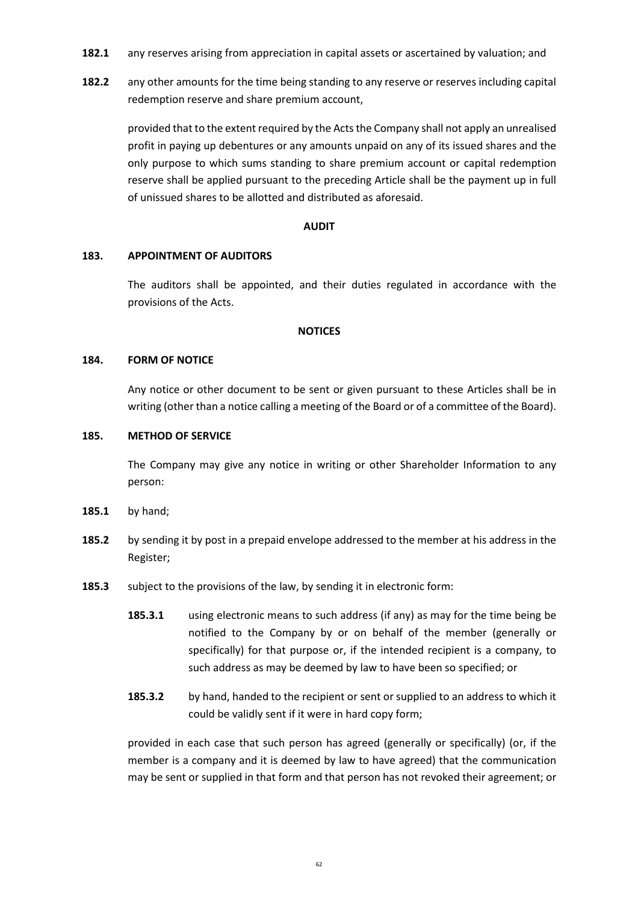- **182.1** any reserves arising from appreciation in capital assets or ascertained by valuation; and
- 182.2 any other amounts for the time being standing to any reserve or reserves including capital redemption reserve and share premium account,

provided that to the extent required by the Acts the Company shall not apply an unrealised profit in paying up debentures or any amounts unpaid on any of its issued shares and the only purpose to which sums standing to share premium account or capital redemption reserve shall be applied pursuant to the preceding Article shall be the payment up in full of unissued shares to be allotted and distributed as aforesaid.

### **AUDIT**

### **183. APPOINTMENT OF AUDITORS**

The auditors shall be appointed, and their duties regulated in accordance with the provisions of the Acts.

### **NOTICES**

### **184. FORM OF NOTICE**

Any notice or other document to be sent or given pursuant to these Articles shall be in writing (other than a notice calling a meeting of the Board or of a committee of the Board).

### **185. METHOD OF SERVICE**

The Company may give any notice in writing or other Shareholder Information to any person:

- **185.1** by hand;
- **185.2** by sending it by post in a prepaid envelope addressed to the member at his address in the Register;
- **185.3** subject to the provisions of the law, by sending it in electronic form:
	- **185.3.1** using electronic means to such address (if any) as may for the time being be notified to the Company by or on behalf of the member (generally or specifically) for that purpose or, if the intended recipient is a company, to such address as may be deemed by law to have been so specified; or
	- **185.3.2** by hand, handed to the recipient or sent or supplied to an address to which it could be validly sent if it were in hard copy form;

provided in each case that such person has agreed (generally or specifically) (or, if the member is a company and it is deemed by law to have agreed) that the communication may be sent or supplied in that form and that person has not revoked their agreement; or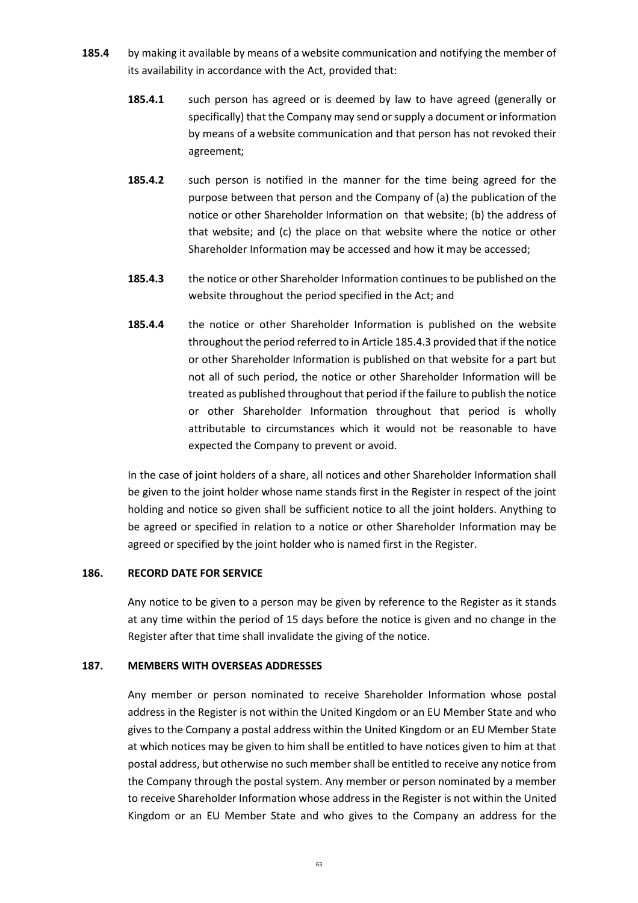- **185.4** by making it available by means of a website communication and notifying the member of its availability in accordance with the Act, provided that:
	- **185.4.1** such person has agreed or is deemed by law to have agreed (generally or specifically) that the Company may send or supply a document or information by means of a website communication and that person has not revoked their agreement;
	- **185.4.2** such person is notified in the manner for the time being agreed for the purpose between that person and the Company of (a) the publication of the notice or other Shareholder Information on that website; (b) the address of that website; and (c) the place on that website where the notice or other Shareholder Information may be accessed and how it may be accessed;
	- **185.4.3** the notice or other Shareholder Information continues to be published on the website throughout the period specified in the Act; and
	- **185.4.4** the notice or other Shareholder Information is published on the website throughout the period referred to in Article 185.4.3 provided that if the notice or other Shareholder Information is published on that website for a part but not all of such period, the notice or other Shareholder Information will be treated as published throughout that period if the failure to publish the notice or other Shareholder Information throughout that period is wholly attributable to circumstances which it would not be reasonable to have expected the Company to prevent or avoid.

In the case of joint holders of a share, all notices and other Shareholder Information shall be given to the joint holder whose name stands first in the Register in respect of the joint holding and notice so given shall be sufficient notice to all the joint holders. Anything to be agreed or specified in relation to a notice or other Shareholder Information may be agreed or specified by the joint holder who is named first in the Register.

### **186. RECORD DATE FOR SERVICE**

Any notice to be given to a person may be given by reference to the Register as it stands at any time within the period of 15 days before the notice is given and no change in the Register after that time shall invalidate the giving of the notice.

### **187. MEMBERS WITH OVERSEAS ADDRESSES**

Any member or person nominated to receive Shareholder Information whose postal address in the Register is not within the United Kingdom or an EU Member State and who gives to the Company a postal address within the United Kingdom or an EU Member State at which notices may be given to him shall be entitled to have notices given to him at that postal address, but otherwise no such member shall be entitled to receive any notice from the Company through the postal system. Any member or person nominated by a member to receive Shareholder Information whose address in the Register is not within the United Kingdom or an EU Member State and who gives to the Company an address for the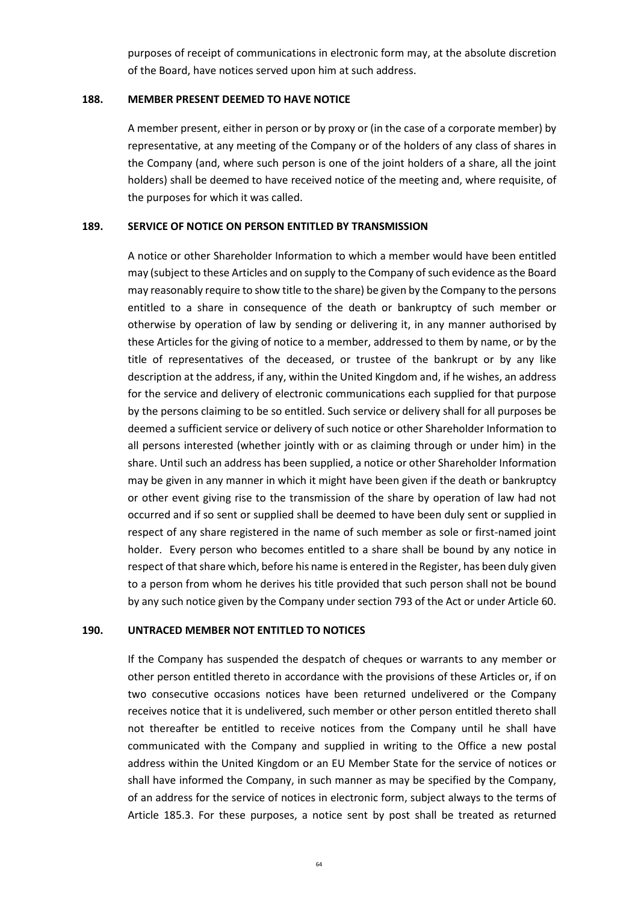purposes of receipt of communications in electronic form may, at the absolute discretion of the Board, have notices served upon him at such address.

#### **188. MEMBER PRESENT DEEMED TO HAVE NOTICE**

A member present, either in person or by proxy or (in the case of a corporate member) by representative, at any meeting of the Company or of the holders of any class of shares in the Company (and, where such person is one of the joint holders of a share, all the joint holders) shall be deemed to have received notice of the meeting and, where requisite, of the purposes for which it was called.

#### **189. SERVICE OF NOTICE ON PERSON ENTITLED BY TRANSMISSION**

A notice or other Shareholder Information to which a member would have been entitled may (subject to these Articles and on supply to the Company of such evidence as the Board may reasonably require to show title to the share) be given by the Company to the persons entitled to a share in consequence of the death or bankruptcy of such member or otherwise by operation of law by sending or delivering it, in any manner authorised by these Articles for the giving of notice to a member, addressed to them by name, or by the title of representatives of the deceased, or trustee of the bankrupt or by any like description at the address, if any, within the United Kingdom and, if he wishes, an address for the service and delivery of electronic communications each supplied for that purpose by the persons claiming to be so entitled. Such service or delivery shall for all purposes be deemed a sufficient service or delivery of such notice or other Shareholder Information to all persons interested (whether jointly with or as claiming through or under him) in the share. Until such an address has been supplied, a notice or other Shareholder Information may be given in any manner in which it might have been given if the death or bankruptcy or other event giving rise to the transmission of the share by operation of law had not occurred and if so sent or supplied shall be deemed to have been duly sent or supplied in respect of any share registered in the name of such member as sole or first-named joint holder. Every person who becomes entitled to a share shall be bound by any notice in respect of that share which, before his name is entered in the Register, has been duly given to a person from whom he derives his title provided that such person shall not be bound by any such notice given by the Company under section 793 of the Act or under Article 60.

### **190. UNTRACED MEMBER NOT ENTITLED TO NOTICES**

If the Company has suspended the despatch of cheques or warrants to any member or other person entitled thereto in accordance with the provisions of these Articles or, if on two consecutive occasions notices have been returned undelivered or the Company receives notice that it is undelivered, such member or other person entitled thereto shall not thereafter be entitled to receive notices from the Company until he shall have communicated with the Company and supplied in writing to the Office a new postal address within the United Kingdom or an EU Member State for the service of notices or shall have informed the Company, in such manner as may be specified by the Company, of an address for the service of notices in electronic form, subject always to the terms of Article 185.3. For these purposes, a notice sent by post shall be treated as returned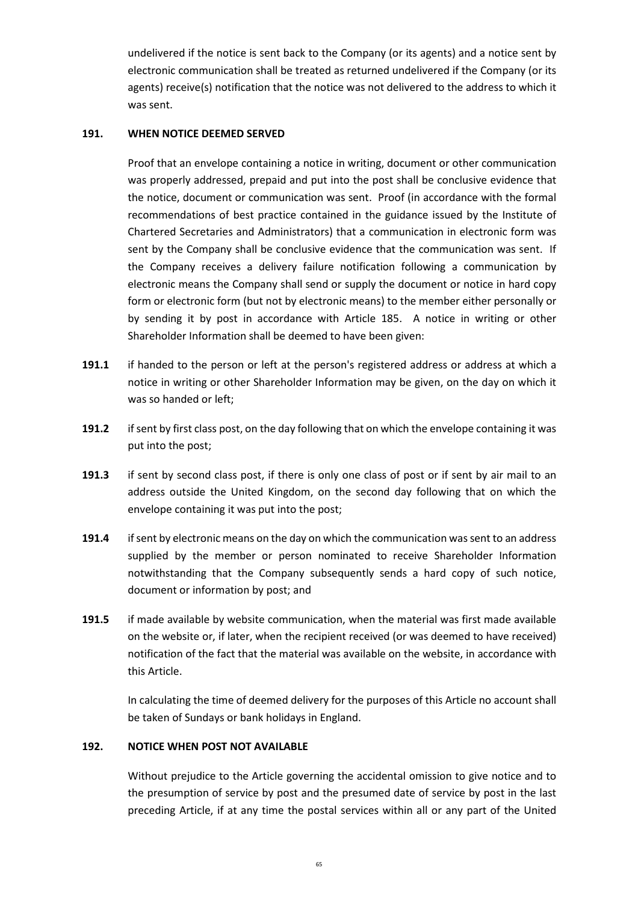undelivered if the notice is sent back to the Company (or its agents) and a notice sent by electronic communication shall be treated as returned undelivered if the Company (or its agents) receive(s) notification that the notice was not delivered to the address to which it was sent.

# **191. WHEN NOTICE DEEMED SERVED**

Proof that an envelope containing a notice in writing, document or other communication was properly addressed, prepaid and put into the post shall be conclusive evidence that the notice, document or communication was sent. Proof (in accordance with the formal recommendations of best practice contained in the guidance issued by the Institute of Chartered Secretaries and Administrators) that a communication in electronic form was sent by the Company shall be conclusive evidence that the communication was sent. If the Company receives a delivery failure notification following a communication by electronic means the Company shall send or supply the document or notice in hard copy form or electronic form (but not by electronic means) to the member either personally or by sending it by post in accordance with Article 185. A notice in writing or other Shareholder Information shall be deemed to have been given:

- **191.1** if handed to the person or left at the person's registered address or address at which a notice in writing or other Shareholder Information may be given, on the day on which it was so handed or left;
- **191.2** if sent by first class post, on the day following that on which the envelope containing it was put into the post;
- **191.3** if sent by second class post, if there is only one class of post or if sent by air mail to an address outside the United Kingdom, on the second day following that on which the envelope containing it was put into the post;
- **191.4** if sent by electronic means on the day on which the communication was sent to an address supplied by the member or person nominated to receive Shareholder Information notwithstanding that the Company subsequently sends a hard copy of such notice, document or information by post; and
- **191.5** if made available by website communication, when the material was first made available on the website or, if later, when the recipient received (or was deemed to have received) notification of the fact that the material was available on the website, in accordance with this Article.

In calculating the time of deemed delivery for the purposes of this Article no account shall be taken of Sundays or bank holidays in England.

# **192. NOTICE WHEN POST NOT AVAILABLE**

Without prejudice to the Article governing the accidental omission to give notice and to the presumption of service by post and the presumed date of service by post in the last preceding Article, if at any time the postal services within all or any part of the United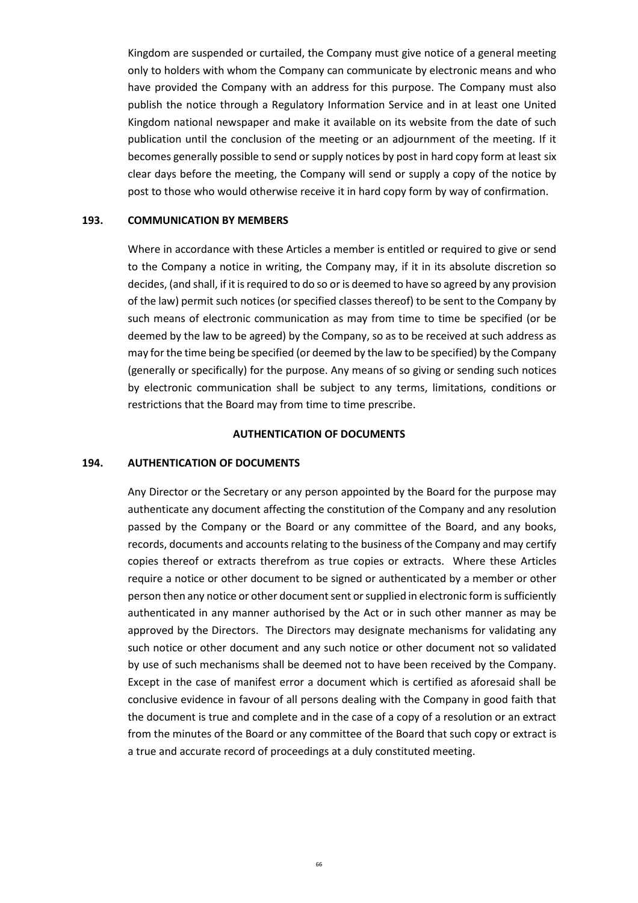Kingdom are suspended or curtailed, the Company must give notice of a general meeting only to holders with whom the Company can communicate by electronic means and who have provided the Company with an address for this purpose. The Company must also publish the notice through a Regulatory Information Service and in at least one United Kingdom national newspaper and make it available on its website from the date of such publication until the conclusion of the meeting or an adjournment of the meeting. If it becomes generally possible to send or supply notices by post in hard copy form at least six clear days before the meeting, the Company will send or supply a copy of the notice by post to those who would otherwise receive it in hard copy form by way of confirmation.

## **193. COMMUNICATION BY MEMBERS**

Where in accordance with these Articles a member is entitled or required to give or send to the Company a notice in writing, the Company may, if it in its absolute discretion so decides, (and shall, if it is required to do so or is deemed to have so agreed by any provision of the law) permit such notices (or specified classes thereof) to be sent to the Company by such means of electronic communication as may from time to time be specified (or be deemed by the law to be agreed) by the Company, so as to be received at such address as may for the time being be specified (or deemed by the law to be specified) by the Company (generally or specifically) for the purpose. Any means of so giving or sending such notices by electronic communication shall be subject to any terms, limitations, conditions or restrictions that the Board may from time to time prescribe.

## **AUTHENTICATION OF DOCUMENTS**

## **194. AUTHENTICATION OF DOCUMENTS**

Any Director or the Secretary or any person appointed by the Board for the purpose may authenticate any document affecting the constitution of the Company and any resolution passed by the Company or the Board or any committee of the Board, and any books, records, documents and accounts relating to the business of the Company and may certify copies thereof or extracts therefrom as true copies or extracts. Where these Articles require a notice or other document to be signed or authenticated by a member or other person then any notice or other document sent or supplied in electronic form is sufficiently authenticated in any manner authorised by the Act or in such other manner as may be approved by the Directors. The Directors may designate mechanisms for validating any such notice or other document and any such notice or other document not so validated by use of such mechanisms shall be deemed not to have been received by the Company. Except in the case of manifest error a document which is certified as aforesaid shall be conclusive evidence in favour of all persons dealing with the Company in good faith that the document is true and complete and in the case of a copy of a resolution or an extract from the minutes of the Board or any committee of the Board that such copy or extract is a true and accurate record of proceedings at a duly constituted meeting.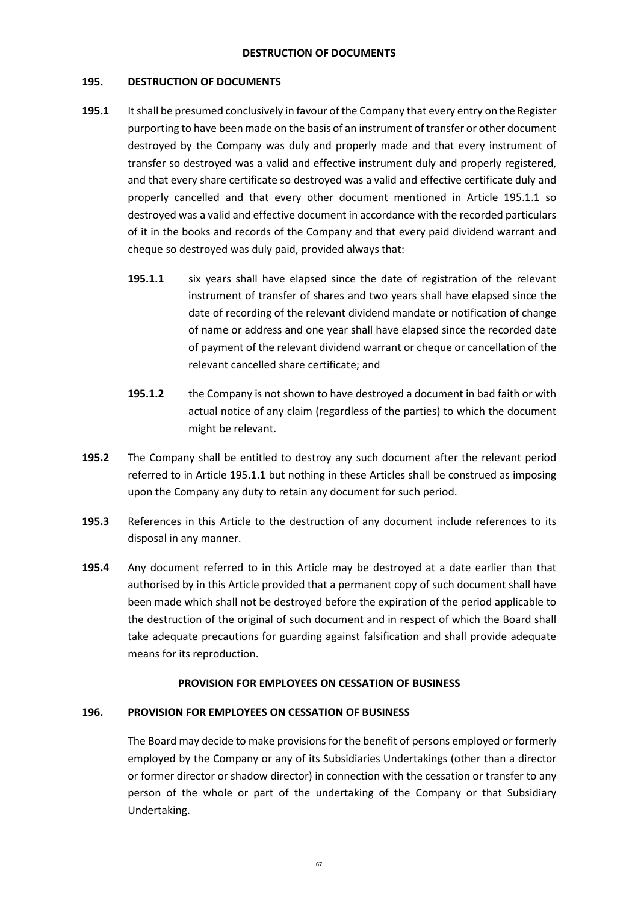# **DESTRUCTION OF DOCUMENTS**

## **195. DESTRUCTION OF DOCUMENTS**

- **195.1** It shall be presumed conclusively in favour of the Company that every entry on the Register purporting to have been made on the basis of an instrument of transfer or other document destroyed by the Company was duly and properly made and that every instrument of transfer so destroyed was a valid and effective instrument duly and properly registered, and that every share certificate so destroyed was a valid and effective certificate duly and properly cancelled and that every other document mentioned in Article 195.1.1 so destroyed was a valid and effective document in accordance with the recorded particulars of it in the books and records of the Company and that every paid dividend warrant and cheque so destroyed was duly paid, provided always that:
	- **195.1.1** six years shall have elapsed since the date of registration of the relevant instrument of transfer of shares and two years shall have elapsed since the date of recording of the relevant dividend mandate or notification of change of name or address and one year shall have elapsed since the recorded date of payment of the relevant dividend warrant or cheque or cancellation of the relevant cancelled share certificate; and
	- **195.1.2** the Company is not shown to have destroyed a document in bad faith or with actual notice of any claim (regardless of the parties) to which the document might be relevant.
- **195.2** The Company shall be entitled to destroy any such document after the relevant period referred to in Article 195.1.1 but nothing in these Articles shall be construed as imposing upon the Company any duty to retain any document for such period.
- **195.3** References in this Article to the destruction of any document include references to its disposal in any manner.
- **195.4** Any document referred to in this Article may be destroyed at a date earlier than that authorised by in this Article provided that a permanent copy of such document shall have been made which shall not be destroyed before the expiration of the period applicable to the destruction of the original of such document and in respect of which the Board shall take adequate precautions for guarding against falsification and shall provide adequate means for its reproduction.

## **PROVISION FOR EMPLOYEES ON CESSATION OF BUSINESS**

# **196. PROVISION FOR EMPLOYEES ON CESSATION OF BUSINESS**

The Board may decide to make provisions for the benefit of persons employed or formerly employed by the Company or any of its Subsidiaries Undertakings (other than a director or former director or shadow director) in connection with the cessation or transfer to any person of the whole or part of the undertaking of the Company or that Subsidiary Undertaking.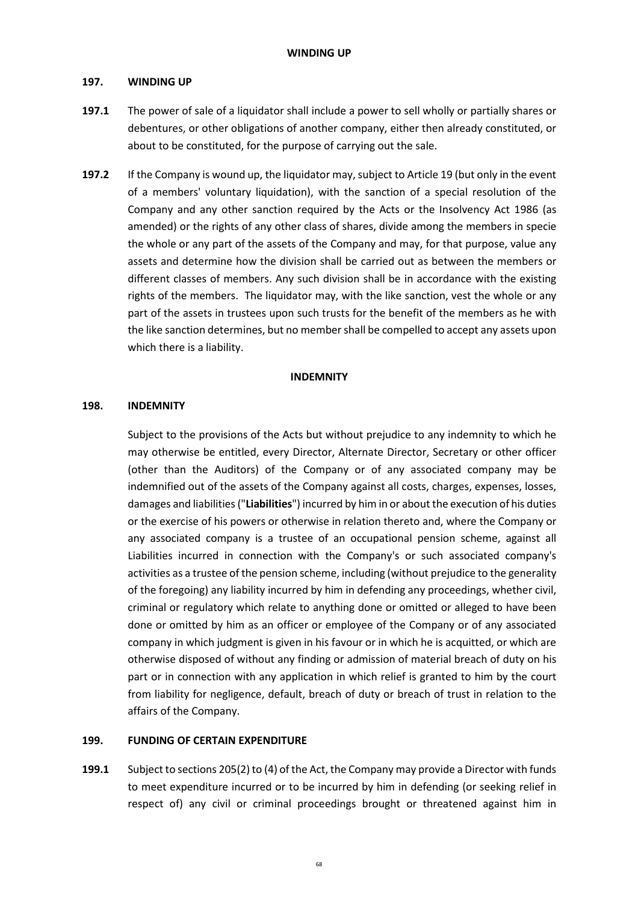## **197. WINDING UP**

- **197.1** The power of sale of a liquidator shall include a power to sell wholly or partially shares or debentures, or other obligations of another company, either then already constituted, or about to be constituted, for the purpose of carrying out the sale.
- **197.2** If the Company is wound up, the liquidator may, subject to Article 19 (but only in the event of a members' voluntary liquidation), with the sanction of a special resolution of the Company and any other sanction required by the Acts or the Insolvency Act 1986 (as amended) or the rights of any other class of shares, divide among the members in specie the whole or any part of the assets of the Company and may, for that purpose, value any assets and determine how the division shall be carried out as between the members or different classes of members. Any such division shall be in accordance with the existing rights of the members. The liquidator may, with the like sanction, vest the whole or any part of the assets in trustees upon such trusts for the benefit of the members as he with the like sanction determines, but no member shall be compelled to accept any assets upon which there is a liability.

## **INDEMNITY**

## **198. INDEMNITY**

Subject to the provisions of the Acts but without prejudice to any indemnity to which he may otherwise be entitled, every Director, Alternate Director, Secretary or other officer (other than the Auditors) of the Company or of any associated company may be indemnified out of the assets of the Company against all costs, charges, expenses, losses, damages and liabilities ("**Liabilities**") incurred by him in or about the execution of his duties or the exercise of his powers or otherwise in relation thereto and, where the Company or any associated company is a trustee of an occupational pension scheme, against all Liabilities incurred in connection with the Company's or such associated company's activities as a trustee of the pension scheme, including (without prejudice to the generality of the foregoing) any liability incurred by him in defending any proceedings, whether civil, criminal or regulatory which relate to anything done or omitted or alleged to have been done or omitted by him as an officer or employee of the Company or of any associated company in which judgment is given in his favour or in which he is acquitted, or which are otherwise disposed of without any finding or admission of material breach of duty on his part or in connection with any application in which relief is granted to him by the court from liability for negligence, default, breach of duty or breach of trust in relation to the affairs of the Company.

# **199. FUNDING OF CERTAIN EXPENDITURE**

**199.1** Subject to sections 205(2) to (4) of the Act, the Company may provide a Director with funds to meet expenditure incurred or to be incurred by him in defending (or seeking relief in respect of) any civil or criminal proceedings brought or threatened against him in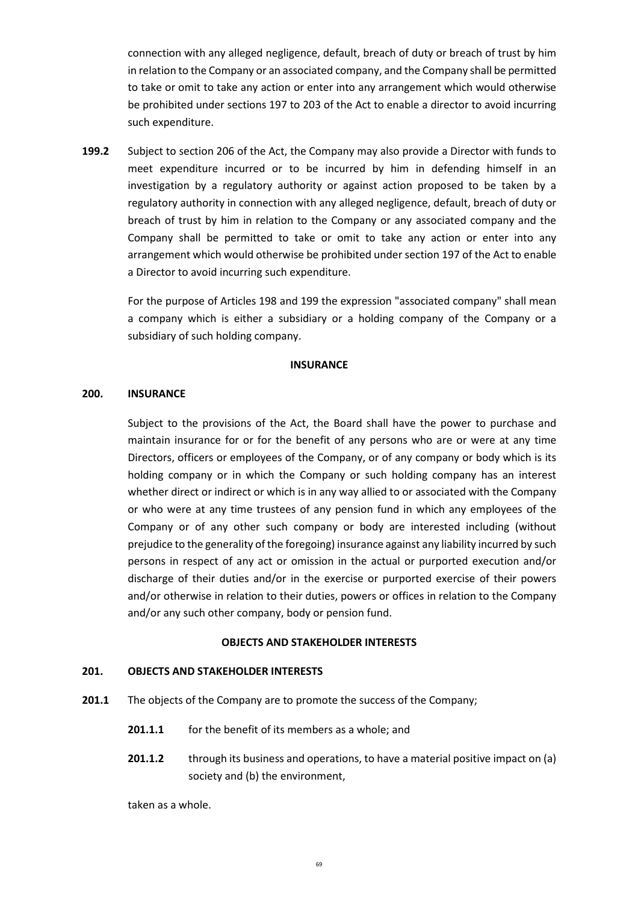connection with any alleged negligence, default, breach of duty or breach of trust by him in relation to the Company or an associated company, and the Company shall be permitted to take or omit to take any action or enter into any arrangement which would otherwise be prohibited under sections 197 to 203 of the Act to enable a director to avoid incurring such expenditure.

**199.2** Subject to section 206 of the Act, the Company may also provide a Director with funds to meet expenditure incurred or to be incurred by him in defending himself in an investigation by a regulatory authority or against action proposed to be taken by a regulatory authority in connection with any alleged negligence, default, breach of duty or breach of trust by him in relation to the Company or any associated company and the Company shall be permitted to take or omit to take any action or enter into any arrangement which would otherwise be prohibited under section 197 of the Act to enable a Director to avoid incurring such expenditure.

For the purpose of Articles 198 and 199 the expression "associated company" shall mean a company which is either a subsidiary or a holding company of the Company or a subsidiary of such holding company.

## **INSURANCE**

## **200. INSURANCE**

Subject to the provisions of the Act, the Board shall have the power to purchase and maintain insurance for or for the benefit of any persons who are or were at any time Directors, officers or employees of the Company, or of any company or body which is its holding company or in which the Company or such holding company has an interest whether direct or indirect or which is in any way allied to or associated with the Company or who were at any time trustees of any pension fund in which any employees of the Company or of any other such company or body are interested including (without prejudice to the generality of the foregoing) insurance against any liability incurred by such persons in respect of any act or omission in the actual or purported execution and/or discharge of their duties and/or in the exercise or purported exercise of their powers and/or otherwise in relation to their duties, powers or offices in relation to the Company and/or any such other company, body or pension fund.

## **OBJECTS AND STAKEHOLDER INTERESTS**

# **201. OBJECTS AND STAKEHOLDER INTERESTS**

- **201.1** The objects of the Company are to promote the success of the Company;
	- **201.1.1** for the benefit of its members as a whole; and
	- **201.1.2** through its business and operations, to have a material positive impact on (a) society and (b) the environment,

taken as a whole.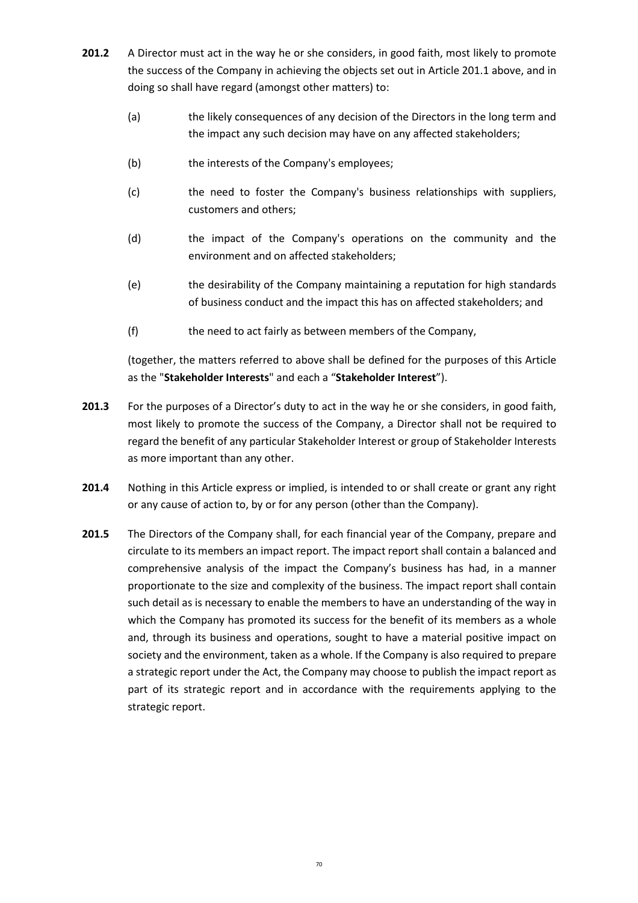- **201.2** A Director must act in the way he or she considers, in good faith, most likely to promote the success of the Company in achieving the objects set out in Article 201.1 above, and in doing so shall have regard (amongst other matters) to:
	- (a) the likely consequences of any decision of the Directors in the long term and the impact any such decision may have on any affected stakeholders;
	- (b) the interests of the Company's employees;
	- (c) the need to foster the Company's business relationships with suppliers, customers and others;
	- (d) the impact of the Company's operations on the community and the environment and on affected stakeholders;
	- (e) the desirability of the Company maintaining a reputation for high standards of business conduct and the impact this has on affected stakeholders; and
	- (f) the need to act fairly as between members of the Company,

(together, the matters referred to above shall be defined for the purposes of this Article as the "**Stakeholder Interests**" and each a "**Stakeholder Interest**").

- **201.3** For the purposes of a Director's duty to act in the way he or she considers, in good faith, most likely to promote the success of the Company, a Director shall not be required to regard the benefit of any particular Stakeholder Interest or group of Stakeholder Interests as more important than any other.
- **201.4** Nothing in this Article express or implied, is intended to or shall create or grant any right or any cause of action to, by or for any person (other than the Company).
- **201.5** The Directors of the Company shall, for each financial year of the Company, prepare and circulate to its members an impact report. The impact report shall contain a balanced and comprehensive analysis of the impact the Company's business has had, in a manner proportionate to the size and complexity of the business. The impact report shall contain such detail as is necessary to enable the members to have an understanding of the way in which the Company has promoted its success for the benefit of its members as a whole and, through its business and operations, sought to have a material positive impact on society and the environment, taken as a whole. If the Company is also required to prepare a strategic report under the Act, the Company may choose to publish the impact report as part of its strategic report and in accordance with the requirements applying to the strategic report.